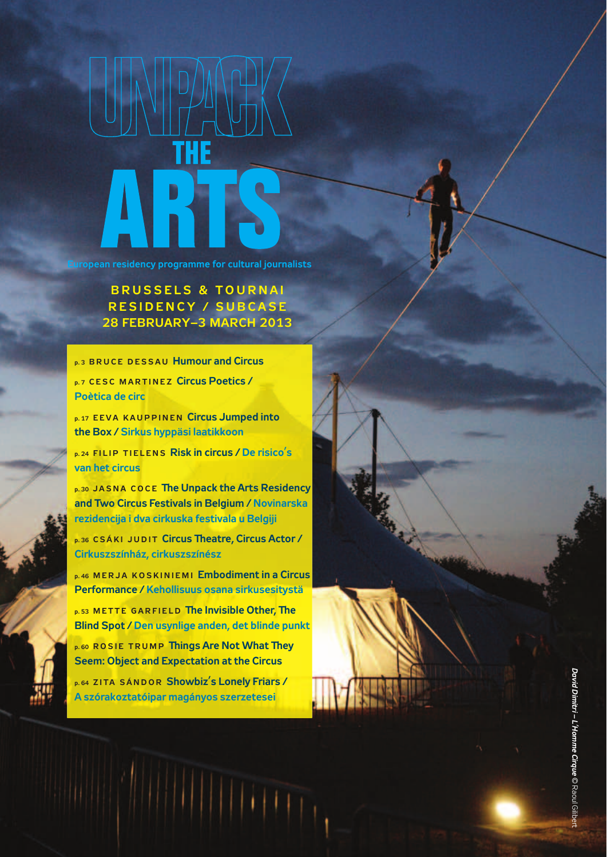

**european residency programme for cultural journalists**

**BRUSSELS & TOURNAI R e s i D e n c y / s u B c A s e 28 FeBRuARy–3 MARch 2013**

**p.3 BRUCE DESSAU Humour and Circus** 

**p. 7 CESC MARTINEZ Circus Poetics / Poètica de circ**

**p. 17 EEVA KAUPPINEN Circus Jumped into the Box / sirkus hyppäsi laatikkoon**

**p. 24 FILIP TIELENS Risk in circus / De risico's van het circus**

**p. 30 JASNA COCE The Unpack the Arts Residency and two circus Festivals in Belgium / novinarska rezidencija i dva cirkuska festivala u Belgiji**

**p. 36 CSÁKI JUDIT Circus Theatre, Circus Actor / cirkuszszínház, cirkuszszínész**

**p. 46 M e R J A K o s K i n i e M i embodiment in a circus Performance / Kehollisuus osana sirkusesitystä**

**p. 53 METTE GARFIELD The Invisible Other, The Blind spot / Den usynlige anden, det blinde punkt**

**p. 60 ROSIE TRUMP Things Are Not What They Seem: Object and Expectation at the Circus** 

**p. 64 z i t A s á n D o R showbiz's lonely Friars / A szórakoztatóipar magányos szerzetesei**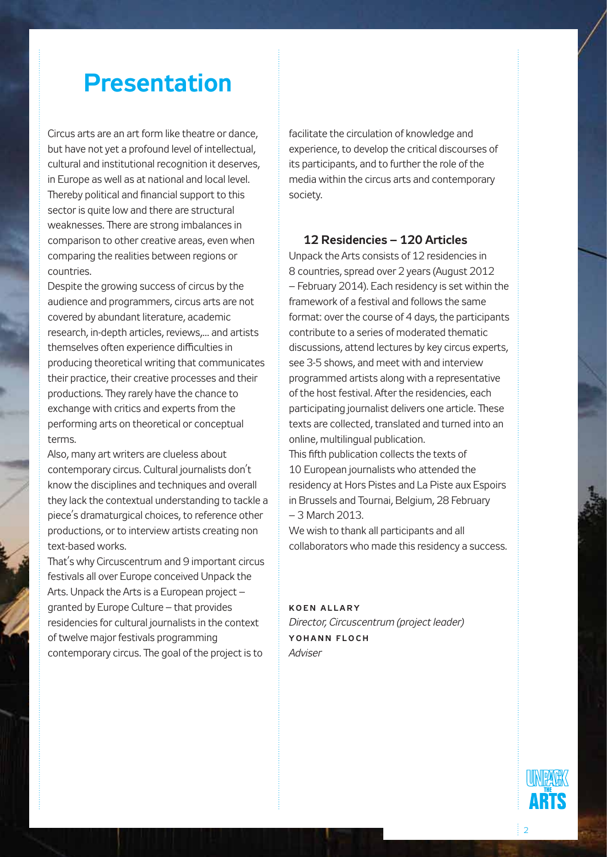### **Presentation**

Circus arts are an art form like theatre or dance, but have not yet a profound level of intellectual, cultural and institutional recognition it deserves, in Europe as well as at national and local level. Thereby political and financial support to this sector is quite low and there are structural weaknesses. There are strong imbalances in comparison to other creative areas, even when comparing the realities between regions or countries.

Despite the growing success of circus by the audience and programmers, circus arts are not covered by abundant literature, academic research, in-depth articles, reviews,... and artists themselves often experience difficulties in producing theoretical writing that communicates their practice, their creative processes and their productions. They rarely have the chance to exchange with critics and experts from the performing arts on theoretical or conceptual terms.

Also, many art writers are clueless about contemporary circus. Cultural journalists don't know the disciplines and techniques and overall they lack the contextual understanding to tackle a piece's dramaturgical choices, to reference other productions, or to interview artists creating non text-based works.

That's why Circuscentrum and 9 important circus festivals all over Europe conceived Unpack the Arts. Unpack the Arts is a European project – granted by Europe Culture – that provides residencies for cultural journalists in the context of twelve major festivals programming contemporary circus. The goal of the project is to

facilitate the circulation of knowledge and experience, to develop the critical discourses of its participants, and to further the role of the media within the circus arts and contemporary society.

### **12 Residencies – 120 Articles**

Unpack the Arts consists of 12 residencies in 8 countries, spread over 2 years (August 2012 – February 2014). Each residency is set within the framework of a festival and follows the same format: over the course of 4 days, the participants contribute to a series of moderated thematic discussions, attend lectures by key circus experts, see 3-5 shows, and meet with and interview programmed artists along with a representative of the host festival. After the residencies, each participating journalist delivers one article. These texts are collected, translated and turned into an online, multilingual publication.

This fifth publication collects the texts of 10 European journalists who attended the residency at Hors Pistes and La Piste aux Espoirs in Brussels and Tournai, Belgium, 28 February – 3 March 2013.

We wish to thank all participants and all collaborators who made this residency a success.

### **K o e n A l l ar y** *Director, Circuscentrum (project leader)* **Y o h a n n F l o c h** *Adviser*



2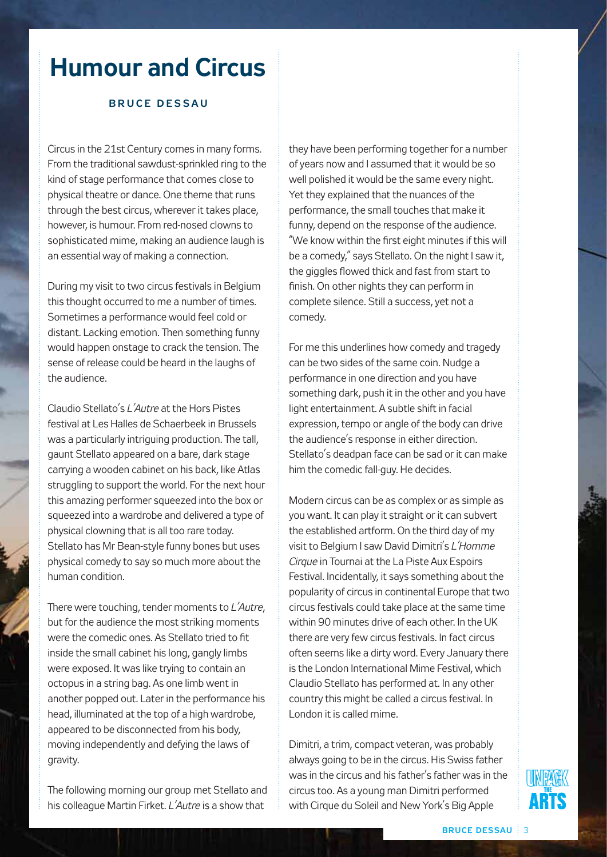### **Humour and Circus**

#### **B r u c e D e s s a u**

Circus in the 21st Century comes in many forms. From the traditional sawdust-sprinkled ring to the kind of stage performance that comes close to physical theatre or dance. One theme that runs through the best circus, wherever it takes place, however, is humour. From red-nosed clowns to sophisticated mime, making an audience laugh is an essential way of making a connection.

During my visit to two circus festivals in Belgium this thought occurred to me a number of times. Sometimes a performance would feel cold or distant. Lacking emotion. Then something funny would happen onstage to crack the tension. The sense of release could be heard in the laughs of the audience.

Claudio Stellato's *L'Autre* at the Hors Pistes festival at Les Halles de Schaerbeek in Brussels was a particularly intriguing production. The tall, gaunt Stellato appeared on a bare, dark stage carrying a wooden cabinet on his back, like Atlas struggling to support the world. For the next hour this amazing performer squeezed into the box or squeezed into a wardrobe and delivered a type of physical clowning that is all too rare today. Stellato has Mr Bean-style funny bones but uses physical comedy to say so much more about the human condition.

There were touching, tender moments to *L'Autre*, but for the audience the most striking moments were the comedic ones. As Stellato tried to fit inside the small cabinet his long, gangly limbs were exposed. It was like trying to contain an octopus in a string bag. As one limb went in another popped out. Later in the performance his head, illuminated at the top of a high wardrobe, appeared to be disconnected from his body, moving independently and defying the laws of gravity.

The following morning our group met Stellato and his colleague Martin Firket. *L'Autre* is a show that

they have been performing together for a number of years now and I assumed that it would be so well polished it would be the same every night. Yet they explained that the nuances of the performance, the small touches that make it funny, depend on the response of the audience. "We know within the first eight minutes if this will be a comedy," says Stellato. On the night I saw it, the giggles flowed thick and fast from start to finish. On other nights they can perform in complete silence. Still a success, yet not a comedy.

For me this underlines how comedy and tragedy can be two sides of the same coin. Nudge a performance in one direction and you have something dark, push it in the other and you have light entertainment. A subtle shift in facial expression, tempo or angle of the body can drive the audience's response in either direction. Stellato's deadpan face can be sad or it can make him the comedic fall-guy. He decides.

Modern circus can be as complex or as simple as you want. It can play it straight or it can subvert the established artform. On the third day of my visit to Belgium I saw David Dimitri's *L'Homme Cirque* in Tournai at the La Piste Aux Espoirs Festival. Incidentally, it says something about the popularity of circus in continental Europe that two circus festivals could take place at the same time within 90 minutes drive of each other. In the UK there are very few circus festivals. In fact circus often seems like a dirty word. Every January there is the London International Mime Festival, which Claudio Stellato has performed at. In any other country this might be called a circus festival. In London it is called mime.

Dimitri, a trim, compact veteran, was probably always going to be in the circus. His Swiss father was in the circus and his father's father was in the circus too. As a young man Dimitri performed with Cirque du Soleil and New York's Big Apple

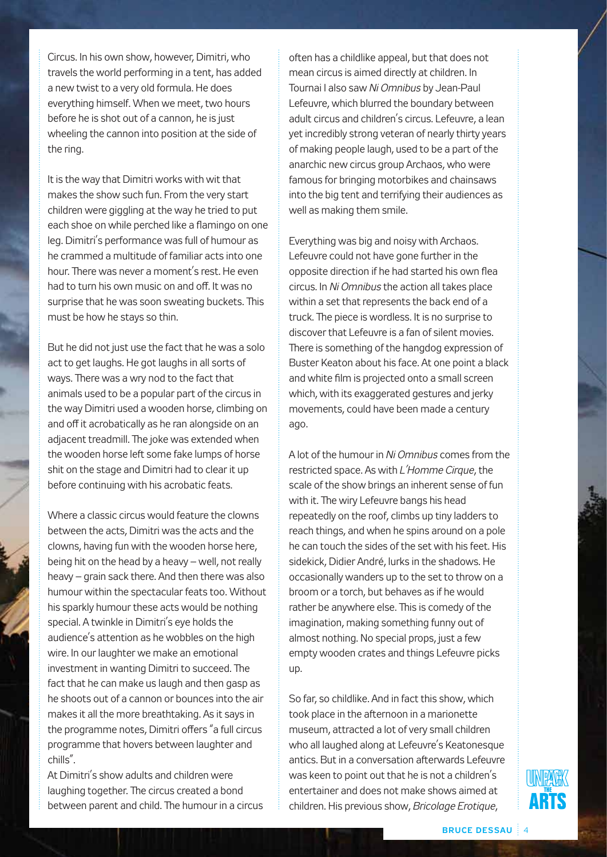Circus. In his own show, however, Dimitri, who travels the world performing in a tent, has added a new twist to a very old formula. He does everything himself. When we meet, two hours before he is shot out of a cannon, he is just wheeling the cannon into position at the side of the ring.

It is the way that Dimitri works with wit that makes the show such fun. From the very start children were giggling at the way he tried to put each shoe on while perched like a flamingo on one leg. Dimitri's performance was full of humour as he crammed a multitude of familiar acts into one hour. There was never a moment's rest. He even had to turn his own music on and off. It was no surprise that he was soon sweating buckets. This must be how he stays so thin.

But he did not just use the fact that he was a solo act to get laughs. He got laughs in all sorts of ways. There was a wry nod to the fact that animals used to be a popular part of the circus in the way Dimitri used a wooden horse, climbing on and off it acrobatically as he ran alongside on an adjacent treadmill. The joke was extended when the wooden horse left some fake lumps of horse shit on the stage and Dimitri had to clear it up before continuing with his acrobatic feats.

Where a classic circus would feature the clowns between the acts, Dimitri was the acts and the clowns, having fun with the wooden horse here, being hit on the head by a heavy – well, not really heavy – grain sack there. And then there was also humour within the spectacular feats too. Without his sparkly humour these acts would be nothing special. A twinkle in Dimitri's eye holds the audience's attention as he wobbles on the high wire. In our laughter we make an emotional investment in wanting Dimitri to succeed. The fact that he can make us laugh and then gasp as he shoots out of a cannon or bounces into the air makes it all the more breathtaking. As it says in the programme notes, Dimitri offers "a full circus programme that hovers between laughter and chills".

At Dimitri's show adults and children were laughing together. The circus created a bond between parent and child. The humour in a circus often has a childlike appeal, but that does not mean circus is aimed directly at children. In Tournai I also saw *Ni Omnibus* by Jean-Paul Lefeuvre, which blurred the boundary between adult circus and children's circus. Lefeuvre, a lean yet incredibly strong veteran of nearly thirty years of making people laugh, used to be a part of the anarchic new circus group Archaos, who were famous for bringing motorbikes and chainsaws into the big tent and terrifying their audiences as well as making them smile.

Everything was big and noisy with Archaos. Lefeuvre could not have gone further in the opposite direction if he had started his own flea circus. In *Ni Omnibus* the action all takes place within a set that represents the back end of a truck. The piece is wordless. It is no surprise to discover that Lefeuvre is a fan of silent movies. There is something of the hangdog expression of Buster Keaton about his face. At one point a black and white film is projected onto a small screen which, with its exaggerated gestures and jerky movements, could have been made a century ago.

A lot of the humour in *Ni Omnibus* comes from the restricted space. As with *L'Homme Cirque*, the scale of the show brings an inherent sense of fun with it. The wiry Lefeuvre bangs his head repeatedly on the roof, climbs up tiny ladders to reach things, and when he spins around on a pole he can touch the sides of the set with his feet. His sidekick, Didier André, lurks in the shadows. He occasionally wanders up to the set to throw on a broom or a torch, but behaves as if he would rather be anywhere else. This is comedy of the imagination, making something funny out of almost nothing. No special props, just a few empty wooden crates and things Lefeuvre picks up.

So far, so childlike. And in fact this show, which took place in the afternoon in a marionette museum, attracted a lot of very small children who all laughed along at Lefeuvre's Keatonesque antics. But in a conversation afterwards Lefeuvre was keen to point out that he is not a children's entertainer and does not make shows aimed at children. His previous show, *Bricolage Erotique*,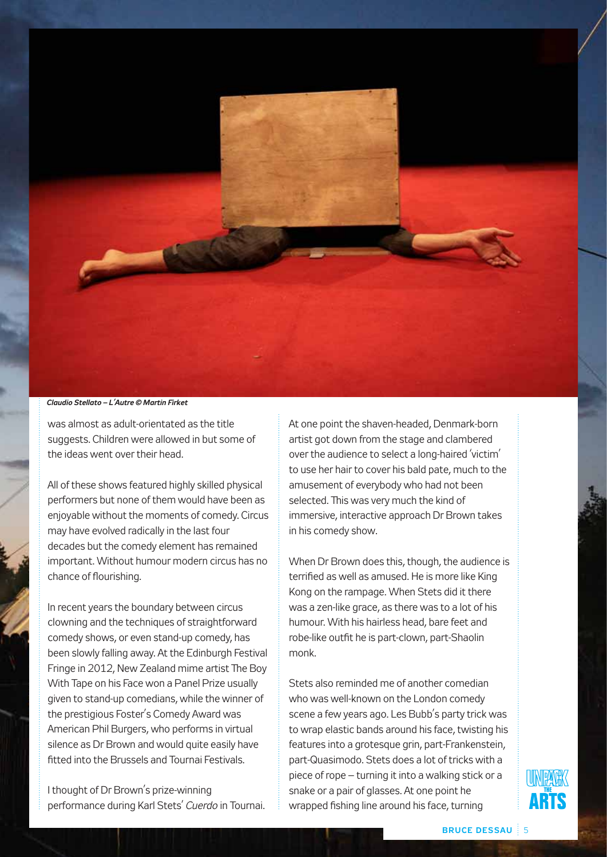

*Claudio Stellato – L'Autre © Martin Firket*

was almost as adult-orientated as the title suggests. Children were allowed in but some of the ideas went over their head.

All of these shows featured highly skilled physical performers but none of them would have been as enjoyable without the moments of comedy. Circus may have evolved radically in the last four decades but the comedy element has remained important. Without humour modern circus has no chance of flourishing.

In recent years the boundary between circus clowning and the techniques of straightforward comedy shows, or even stand-up comedy, has been slowly falling away. At the Edinburgh Festival Fringe in 2012, New Zealand mime artist The Boy With Tape on his Face won a Panel Prize usually given to stand-up comedians, while the winner of the prestigious Foster's Comedy Award was American Phil Burgers, who performs in virtual silence as Dr Brown and would quite easily have fitted into the Brussels and Tournai Festivals.

I thought of Dr Brown's prize-winning performance during Karl Stets' *Cuerdo* in Tournai. At one point the shaven-headed, Denmark-born artist got down from the stage and clambered over the audience to select a long-haired 'victim' to use her hair to cover his bald pate, much to the amusement of everybody who had not been selected. This was very much the kind of immersive, interactive approach Dr Brown takes in his comedy show.

When Dr Brown does this, though, the audience is terrified as well as amused. He is more like King Kong on the rampage. When Stets did it there was a zen-like grace, as there was to a lot of his humour. With his hairless head, bare feet and robe-like outfit he is part-clown, part-Shaolin monk.

Stets also reminded me of another comedian who was well-known on the London comedy scene a few years ago. Les Bubb's party trick was to wrap elastic bands around his face, twisting his features into a grotesque grin, part-Frankenstein, part-Quasimodo. Stets does a lot of tricks with a piece of rope – turning it into a walking stick or a snake or a pair of glasses. At one point he wrapped fishing line around his face, turning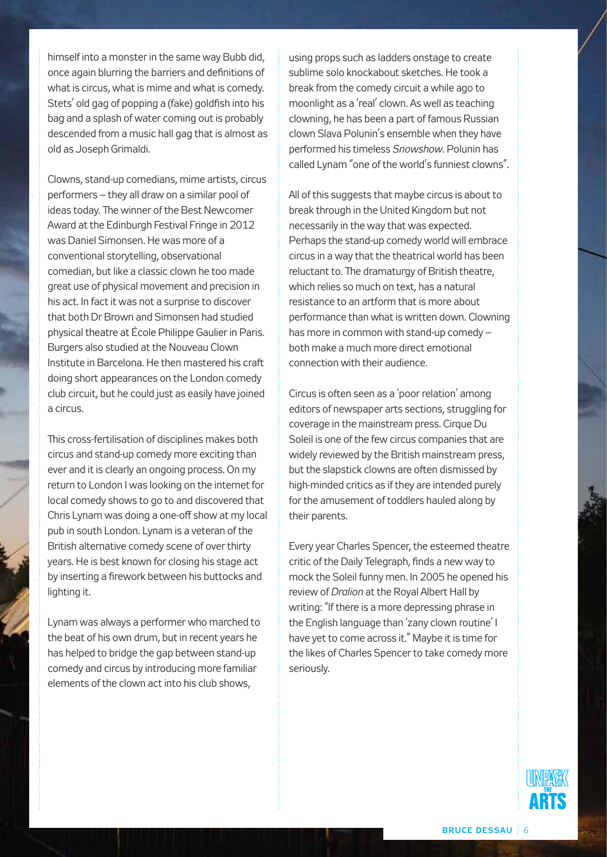himself into a monster in the same way Bubb did, once again blurring the barriers and definitions of what is circus, what is mime and what is comedy. Stets' old gag of popping a (fake) goldfish into his bag and a splash of water coming out is probably descended from a music hall gag that is almost as old as Joseph Grimaldi.

Clowns, stand-up comedians, mime artists, circus performers – they all draw on a similar pool of ideas today. The winner of the Best Newcomer Award at the Edinburgh Festival Fringe in 2012 was Daniel Simonsen. He was more of a conventional storytelling, observational comedian, but like a classic clown he too made great use of physical movement and precision in his act. In fact it was not a surprise to discover that both Dr Brown and Simonsen had studied physical theatre at École Philippe Gaulier in Paris. Burgers also studied at the Nouveau Clown Institute in Barcelona. He then mastered his craft doing short appearances on the London comedy club circuit, but he could just as easily have joined a circus.

This cross-fertilisation of disciplines makes both circus and stand-up comedy more exciting than ever and it is clearly an ongoing process. On my return to London I was looking on the internet for local comedy shows to go to and discovered that Chris Lynam was doing a one-off show at my local pub in south London. Lynam is a veteran of the British alternative comedy scene of over thirty years. He is best known for closing his stage act by inserting a firework between his buttocks and lighting it.

Lynam was always a performer who marched to the beat of his own drum, but in recent years he has helped to bridge the gap between stand-up comedy and circus by introducing more familiar elements of the clown act into his club shows,

using props such as ladders onstage to create sublime solo knockabout sketches. He took a break from the comedy circuit a while ago to moonlight as a 'real' clown. As well as teaching clowning, he has been a part of famous Russian clown Slava Polunin's ensemble when they have performed his timeless *Snowshow*. Polunin has called Lynam "one of the world's funniest clowns".

All of this suggests that maybe circus is about to break through in the United Kingdom but not necessarily in the way that was expected. Perhaps the stand-up comedy world will embrace circus in a way that the theatrical world has been reluctant to. The dramaturgy of British theatre, which relies so much on text, has a natural resistance to an artform that is more about performance than what is written down. Clowning has more in common with stand-up comedy – both make a much more direct emotional connection with their audience.

Circus is often seen as a 'poor relation' among editors of newspaper arts sections, struggling for coverage in the mainstream press. Cirque Du Soleil is one of the few circus companies that are widely reviewed by the British mainstream press, but the slapstick clowns are often dismissed by high-minded critics as if they are intended purely for the amusement of toddlers hauled along by their parents.

Every year Charles Spencer, the esteemed theatre critic of the Daily Telegraph, finds a new way to mock the Soleil funny men. In 2005 he opened his review of *Dralion* at the Royal Albert Hall by writing: "If there is a more depressing phrase in the English language than 'zany clown routine' I have yet to come across it." Maybe it is time for the likes of Charles Spencer to take comedy more seriously.

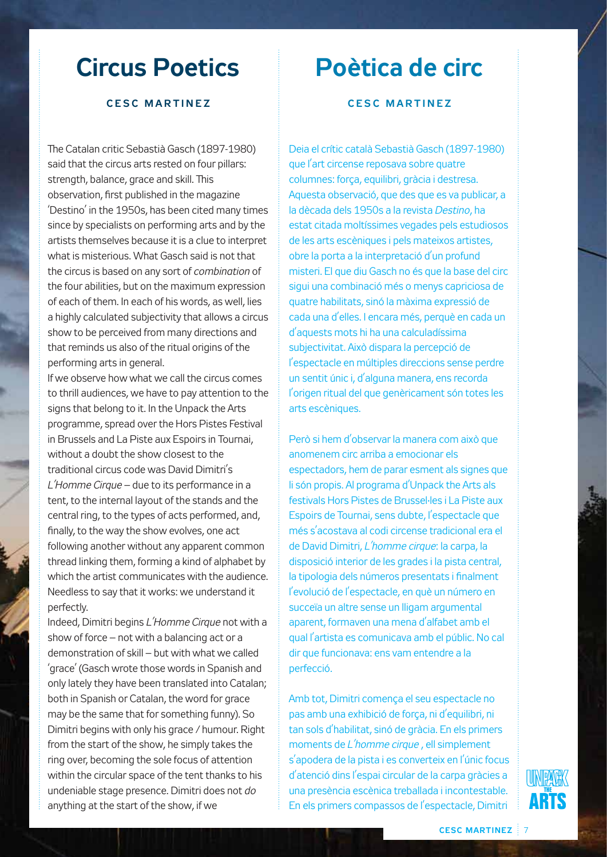### **Circus Poetics**

#### **C e s c M ar t i n e z**

The Catalan critic Sebastià Gasch (1897-1980) said that the circus arts rested on four pillars: strength, balance, grace and skill. This observation, first published in the magazine 'Destino' in the 1950s, has been cited many times since by specialists on performing arts and by the artists themselves because it is a clue to interpret what is misterious. What Gasch said is not that the circus is based on any sort of *combination* of the four abilities, but on the maximum expression of each of them. In each of his words, as well, lies a highly calculated subjectivity that allows a circus show to be perceived from many directions and that reminds us also of the ritual origins of the performing arts in general.

If we observe how what we call the circus comes to thrill audiences, we have to pay attention to the signs that belong to it. In the Unpack the Arts programme, spread over the Hors Pistes Festival in Brussels and La Piste aux Espoirs in Tournai, without a doubt the show closest to the traditional circus code was David Dimitri's *L'Homme Cirque* – due to its performance in a tent, to the internal layout of the stands and the central ring, to the types of acts performed, and, finally, to the way the show evolves, one act following another without any apparent common thread linking them, forming a kind of alphabet by which the artist communicates with the audience. Needless to say that it works: we understand it perfectly.

Indeed, Dimitri begins *L'Homme Cirque* not with a show of force – not with a balancing act or a demonstration of skill – but with what we called 'grace' (Gasch wrote those words in Spanish and only lately they have been translated into Catalan; both in Spanish or Catalan, the word for grace may be the same that for something funny). So Dimitri begins with only his grace / humour. Right from the start of the show, he simply takes the ring over, becoming the sole focus of attention within the circular space of the tent thanks to his undeniable stage presence. Dimitri does not *do* anything at the start of the show, if we

### **Poètica de circ**

#### **C e s c M ar t i n e z**

Deia el crític català Sebastià Gasch (1897-1980) que l'art circense reposava sobre quatre columnes: força, equilibri, gràcia i destresa. Aquesta observació, que des que es va publicar, a la dècada dels 1950s a la revista *Destino*, ha estat citada moltíssimes vegades pels estudiosos de les arts escèniques i pels mateixos artistes, obre la porta a la interpretació d'un profund misteri. El que diu Gasch no és que la base del circ sigui una combinació més o menys capriciosa de quatre habilitats, sinó la màxima expressió de cada una d'elles. I encara més, perquè en cada un d'aquests mots hi ha una calculadíssima subjectivitat. Això dispara la percepció de l'espectacle en múltiples direccions sense perdre un sentit únic i, d'alguna manera, ens recorda l'origen ritual del que genèricament són totes les arts escèniques.

Però si hem d'observar la manera com això que anomenem circ arriba a emocionar els espectadors, hem de parar esment als signes que li són propis. Al programa d'Unpack the Arts als festivals Hors Pistes de Brussel·les i La Piste aux Espoirs de Tournai, sens dubte, l'espectacle que més s'acostava al codi circense tradicional era el de David Dimitri, *L'homme cirque*: la carpa, la disposició interior de les grades i la pista central, la tipologia dels números presentats i finalment l'evolució de l'espectacle, en què un número en succeïa un altre sense un lligam argumental aparent, formaven una mena d'alfabet amb el qual l'artista es comunicava amb el públic. No cal dir que funcionava: ens vam entendre a la perfecció.

Amb tot, Dimitri comença el seu espectacle no pas amb una exhibició de força, ni d'equilibri, ni tan sols d'habilitat, sinó de gràcia. En els primers moments de *L'homme cirque* , ell simplement s'apodera de la pista i es converteix en l'únic focus d'atenció dins l'espai circular de la carpa gràcies a una presència escènica treballada i incontestable. En els primers compassos de l'espectacle, Dimitri

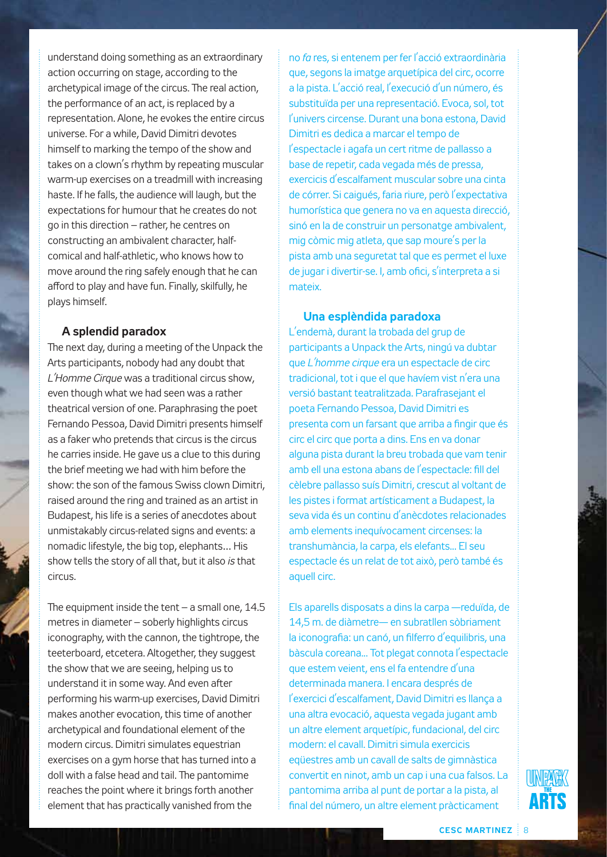understand doing something as an extraordinary action occurring on stage, according to the archetypical image of the circus. The real action, the performance of an act, is replaced by a representation. Alone, he evokes the entire circus universe. For a while, David Dimitri devotes himself to marking the tempo of the show and takes on a clown's rhythm by repeating muscular warm-up exercises on a treadmill with increasing haste. If he falls, the audience will laugh, but the expectations for humour that he creates do not go in this direction – rather, he centres on constructing an ambivalent character, halfcomical and half-athletic, who knows how to move around the ring safely enough that he can afford to play and have fun. Finally, skilfully, he plays himself.

#### **A splendid paradox**

The next day, during a meeting of the Unpack the Arts participants, nobody had any doubt that *L'Homme Cirque* was a traditional circus show, even though what we had seen was a rather theatrical version of one. Paraphrasing the poet Fernando Pessoa, David Dimitri presents himself as a faker who pretends that circus is the circus he carries inside. He gave us a clue to this during the brief meeting we had with him before the show: the son of the famous Swiss clown Dimitri, raised around the ring and trained as an artist in Budapest, his life is a series of anecdotes about unmistakably circus-related signs and events: a nomadic lifestyle, the big top, elephants… His show tells the story of all that, but it also *is* that circus.

The equipment inside the tent – a small one, 14.5 metres in diameter – soberly highlights circus iconography, with the cannon, the tightrope, the teeterboard, etcetera. Altogether, they suggest the show that we are seeing, helping us to understand it in some way. And even after performing his warm-up exercises, David Dimitri makes another evocation, this time of another archetypical and foundational element of the modern circus. Dimitri simulates equestrian exercises on a gym horse that has turned into a doll with a false head and tail. The pantomime reaches the point where it brings forth another element that has practically vanished from the

no *fa* res, si entenem per fer l'acció extraordinària que, segons la imatge arquetípica del circ, ocorre a la pista. L'acció real, l'execució d'un número, és substituïda per una representació. Evoca, sol, tot l'univers circense. Durant una bona estona, David Dimitri es dedica a marcar el tempo de l'espectacle i agafa un cert ritme de pallasso a base de repetir, cada vegada més de pressa, exercicis d'escalfament muscular sobre una cinta de córrer. Si caigués, faria riure, però l'expectativa humorística que genera no va en aquesta direcció, sinó en la de construir un personatge ambivalent, mig còmic mig atleta, que sap moure's per la pista amb una seguretat tal que es permet el luxe de jugar i divertir-se. I, amb ofici, s'interpreta a si mateix.

#### **Una esplèndida paradoxa**

L'endemà, durant la trobada del grup de participants a Unpack the Arts, ningú va dubtar que *L'homme cirque* era un espectacle de circ tradicional, tot i que el que havíem vist n'era una versió bastant teatralitzada. Parafrasejant el poeta Fernando Pessoa, David Dimitri es presenta com un farsant que arriba a fingir que és circ el circ que porta a dins. Ens en va donar alguna pista durant la breu trobada que vam tenir amb ell una estona abans de l'espectacle: fill del cèlebre pallasso suís Dimitri, crescut al voltant de les pistes i format artísticament a Budapest, la seva vida és un continu d'anècdotes relacionades amb elements inequívocament circenses: la transhumància, la carpa, els elefants... El seu espectacle és un relat de tot això, però també és aquell circ.

Els aparells disposats a dins la carpa —reduïda, de 14,5 m. de diàmetre— en subratllen sòbriament la iconografia: un canó, un filferro d'equilibris, una bàscula coreana... Tot plegat connota l'espectacle que estem veient, ens el fa entendre d'una determinada manera. I encara després de l'exercici d'escalfament, David Dimitri es llança a una altra evocació, aquesta vegada jugant amb un altre element arquetípic, fundacional, del circ modern: el cavall. Dimitri simula exercicis eqüestres amb un cavall de salts de gimnàstica convertit en ninot, amb un cap i una cua falsos. La pantomima arriba al punt de portar a la pista, al final del número, un altre element pràcticament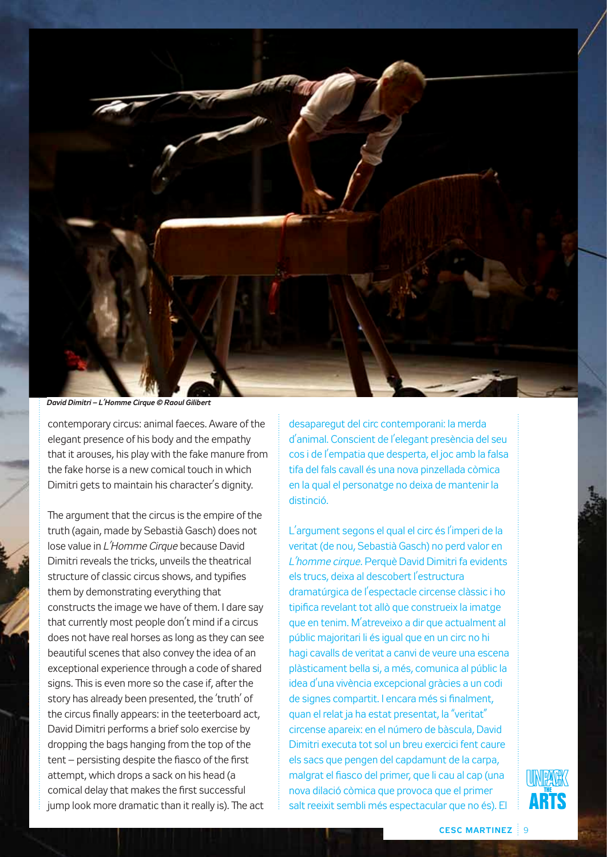

*David Dimitri – L'Homme Cirque © Raoul Gilibert*

contemporary circus: animal faeces. Aware of the elegant presence of his body and the empathy that it arouses, his play with the fake manure from the fake horse is a new comical touch in which Dimitri gets to maintain his character's dignity.

The argument that the circus is the empire of the truth (again, made by Sebastià Gasch) does not lose value in *L'Homme Cirque* because David Dimitri reveals the tricks, unveils the theatrical structure of classic circus shows, and typifies them by demonstrating everything that constructs the image we have of them. I dare say that currently most people don't mind if a circus does not have real horses as long as they can see beautiful scenes that also convey the idea of an exceptional experience through a code of shared signs. This is even more so the case if, after the story has already been presented, the 'truth' of the circus finally appears: in the teeterboard act, David Dimitri performs a brief solo exercise by dropping the bags hanging from the top of the tent – persisting despite the fiasco of the first attempt, which drops a sack on his head (a comical delay that makes the first successful jump look more dramatic than it really is). The act desaparegut del circ contemporani: la merda d'animal. Conscient de l'elegant presència del seu cos i de l'empatia que desperta, el joc amb la falsa tifa del fals cavall és una nova pinzellada còmica en la qual el personatge no deixa de mantenir la distinció.

L'argument segons el qual el circ és l'imperi de la veritat (de nou, Sebastià Gasch) no perd valor en *L'homme cirque*. Perquè David Dimitri fa evidents els trucs, deixa al descobert l'estructura dramatúrgica de l'espectacle circense clàssic i ho tipifica revelant tot allò que construeix la imatge que en tenim. M'atreveixo a dir que actualment al públic majoritari li és igual que en un circ no hi hagi cavalls de veritat a canvi de veure una escena plàsticament bella si, a més, comunica al públic la idea d'una vivència excepcional gràcies a un codi de signes compartit. I encara més si finalment, quan el relat ja ha estat presentat, la "veritat" circense apareix: en el número de bàscula, David Dimitri executa tot sol un breu exercici fent caure els sacs que pengen del capdamunt de la carpa, malgrat el fiasco del primer, que li cau al cap (una nova dilació còmica que provoca que el primer salt reeixit sembli més espectacular que no és). El

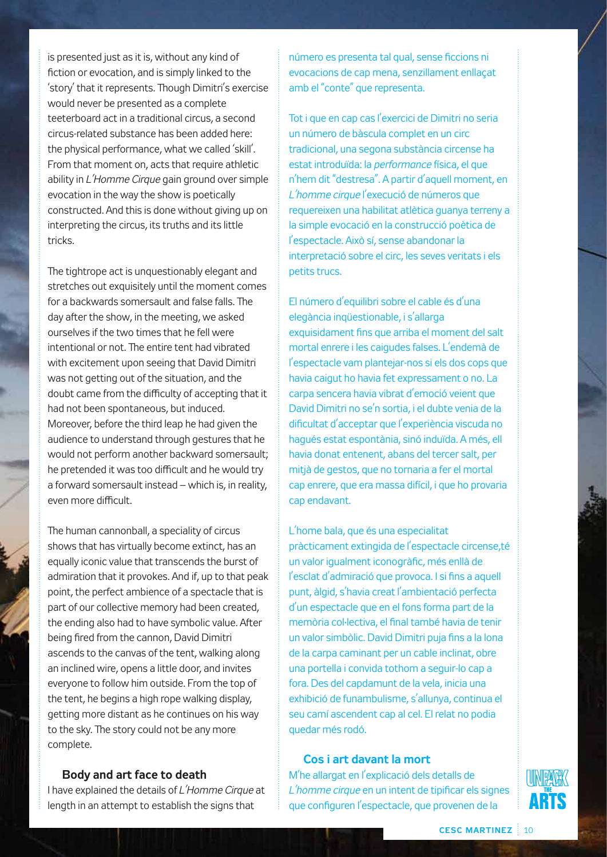is presented just as it is, without any kind of fiction or evocation, and is simply linked to the 'story' that it represents. Though Dimitri's exercise would never be presented as a complete teeterboard act in a traditional circus, a second circus-related substance has been added here: the physical performance, what we called 'skill'. From that moment on, acts that require athletic ability in *L'Homme Cirque* gain ground over simple evocation in the way the show is poetically constructed. And this is done without giving up on interpreting the circus, its truths and its little tricks.

The tightrope act is unquestionably elegant and stretches out exquisitely until the moment comes for a backwards somersault and false falls. The day after the show, in the meeting, we asked ourselves if the two times that he fell were intentional or not. The entire tent had vibrated with excitement upon seeing that David Dimitri was not getting out of the situation, and the doubt came from the difficulty of accepting that it had not been spontaneous, but induced. Moreover, before the third leap he had given the audience to understand through gestures that he would not perform another backward somersault; he pretended it was too difficult and he would try a forward somersault instead – which is, in reality, even more difficult.

The human cannonball, a speciality of circus shows that has virtually become extinct, has an equally iconic value that transcends the burst of admiration that it provokes. And if, up to that peak point, the perfect ambience of a spectacle that is part of our collective memory had been created, the ending also had to have symbolic value. After being fired from the cannon, David Dimitri ascends to the canvas of the tent, walking along an inclined wire, opens a little door, and invites everyone to follow him outside. From the top of the tent, he begins a high rope walking display, getting more distant as he continues on his way to the sky. The story could not be any more complete.

#### **Body and art face to death**

I have explained the details of *L'Homme Cirque* at length in an attempt to establish the signs that

número es presenta tal qual, sense ficcions ni evocacions de cap mena, senzillament enllaçat amb el "conte" que representa.

Tot i que en cap cas l'exercici de Dimitri no seria un número de bàscula complet en un circ tradicional, una segona substància circense ha estat introduïda: la *performance* física, el que n'hem dit "destresa". A partir d'aquell moment, en *L'homme cirque* l'execució de números que requereixen una habilitat atlètica guanya terreny a la simple evocació en la construcció poètica de l'espectacle. Això sí, sense abandonar la interpretació sobre el circ, les seves veritats i els petits trucs.

El número d'equilibri sobre el cable és d'una elegància inqüestionable, i s'allarga exquisidament fins que arriba el moment del salt mortal enrere i les caigudes falses. L'endemà de l'espectacle vam plantejar-nos si els dos cops que havia caigut ho havia fet expressament o no. La carpa sencera havia vibrat d'emoció veient que David Dimitri no se'n sortia, i el dubte venia de la dificultat d'acceptar que l'experiència viscuda no hagués estat espontània, sinó induïda. A més, ell havia donat entenent, abans del tercer salt, per mitjà de gestos, que no tornaria a fer el mortal cap enrere, que era massa difícil, i que ho provaria cap endavant.

L'home bala, que és una especialitat pràcticament extingida de l'espectacle circense,té un valor igualment iconogràfic, més enllà de l'esclat d'admiració que provoca. I si fins a aquell punt, àlgid, s'havia creat l'ambientació perfecta d'un espectacle que en el fons forma part de la memòria col·lectiva, el final també havia de tenir un valor simbòlic. David Dimitri puja fins a la lona de la carpa caminant per un cable inclinat, obre una portella i convida tothom a seguir-lo cap a fora. Des del capdamunt de la vela, inicia una exhibició de funambulisme, s'allunya, continua el seu camí ascendent cap al cel. El relat no podia quedar més rodó.

#### **Cos i art davant la mort**

M'he allargat en l'explicació dels detalls de *L'homme cirque* en un intent de tipificar els signes que configuren l'espectacle, que provenen de la

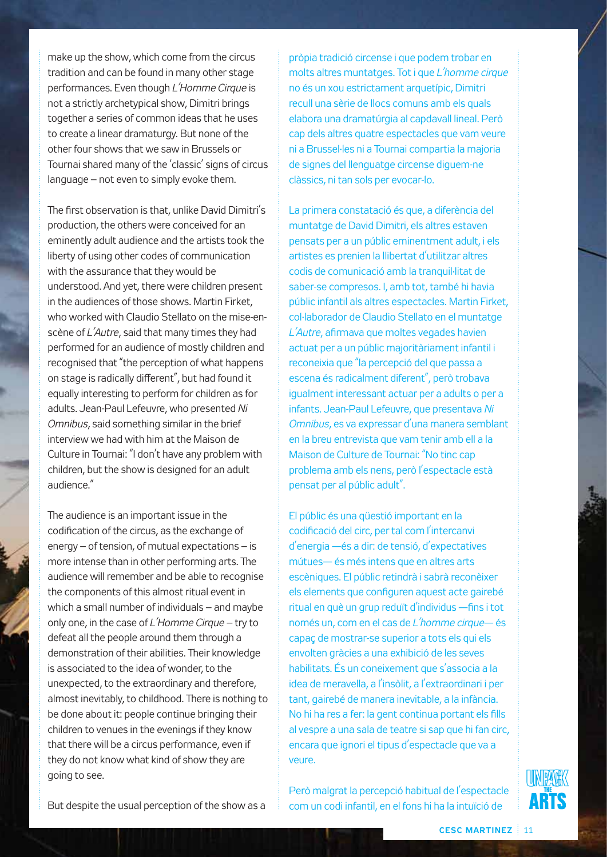make up the show, which come from the circus tradition and can be found in many other stage performances. Even though *L'Homme Cirque* is not a strictly archetypical show, Dimitri brings together a series of common ideas that he uses to create a linear dramaturgy. But none of the other four shows that we saw in Brussels or Tournai shared many of the 'classic' signs of circus language – not even to simply evoke them.

The first observation is that, unlike David Dimitri's production, the others were conceived for an eminently adult audience and the artists took the liberty of using other codes of communication with the assurance that they would be understood. And yet, there were children present in the audiences of those shows. Martin Firket, who worked with Claudio Stellato on the mise-enscène of *L'Autre*, said that many times they had performed for an audience of mostly children and recognised that "the perception of what happens on stage is radically different", but had found it equally interesting to perform for children as for adults. Jean-Paul Lefeuvre, who presented *Ni Omnibus*, said something similar in the brief interview we had with him at the Maison de Culture in Tournai: "I don't have any problem with children, but the show is designed for an adult audience."

The audience is an important issue in the codification of the circus, as the exchange of energy – of tension, of mutual expectations – is more intense than in other performing arts. The audience will remember and be able to recognise the components of this almost ritual event in which a small number of individuals – and maybe only one, in the case of *L'Homme Cirque –* try to defeat all the people around them through a demonstration of their abilities. Their knowledge is associated to the idea of wonder, to the unexpected, to the extraordinary and therefore, almost inevitably, to childhood. There is nothing to be done about it: people continue bringing their children to venues in the evenings if they know that there will be a circus performance, even if they do not know what kind of show they are going to see.

pròpia tradició circense i que podem trobar en molts altres muntatges. Tot i que *L'homme cirque*  no és un xou estrictament arquetípic, Dimitri recull una sèrie de llocs comuns amb els quals elabora una dramatúrgia al capdavall lineal. Però cap dels altres quatre espectacles que vam veure ni a Brussel·les ni a Tournai compartia la majoria de signes del llenguatge circense diguem-ne clàssics, ni tan sols per evocar-lo.

La primera constatació és que, a diferència del muntatge de David Dimitri, els altres estaven pensats per a un públic eminentment adult, i els artistes es prenien la llibertat d'utilitzar altres codis de comunicació amb la tranquil·litat de saber-se compresos. I, amb tot, també hi havia públic infantil als altres espectacles. Martin Firket, col·laborador de Claudio Stellato en el muntatge *L'Autre*, afirmava que moltes vegades havien actuat per a un públic majoritàriament infantil i reconeixia que "la percepció del que passa a escena és radicalment diferent", però trobava igualment interessant actuar per a adults o per a infants. Jean-Paul Lefeuvre, que presentava *Ni Omnibus*, es va expressar d'una manera semblant en la breu entrevista que vam tenir amb ell a la Maison de Culture de Tournai: "No tinc cap problema amb els nens, però l'espectacle està pensat per al públic adult".

El públic és una qüestió important en la codificació del circ, per tal com l'intercanvi d'energia —és a dir: de tensió, d'expectatives mútues— és més intens que en altres arts escèniques. El públic retindrà i sabrà reconèixer els elements que configuren aquest acte gairebé ritual en què un grup reduït d'individus —fins i tot només un, com en el cas de *L'homme cirque*— és capaç de mostrar-se superior a tots els qui els envolten gràcies a una exhibició de les seves habilitats. És un coneixement que s'associa a la idea de meravella, a l'insòlit, a l'extraordinari i per tant, gairebé de manera inevitable, a la infància. No hi ha res a fer: la gent continua portant els fills al vespre a una sala de teatre si sap que hi fan circ, encara que ignori el tipus d'espectacle que va a veure.

Però malgrat la percepció habitual de l'espectacle com un codi infantil, en el fons hi ha la intuïció de



But despite the usual perception of the show as a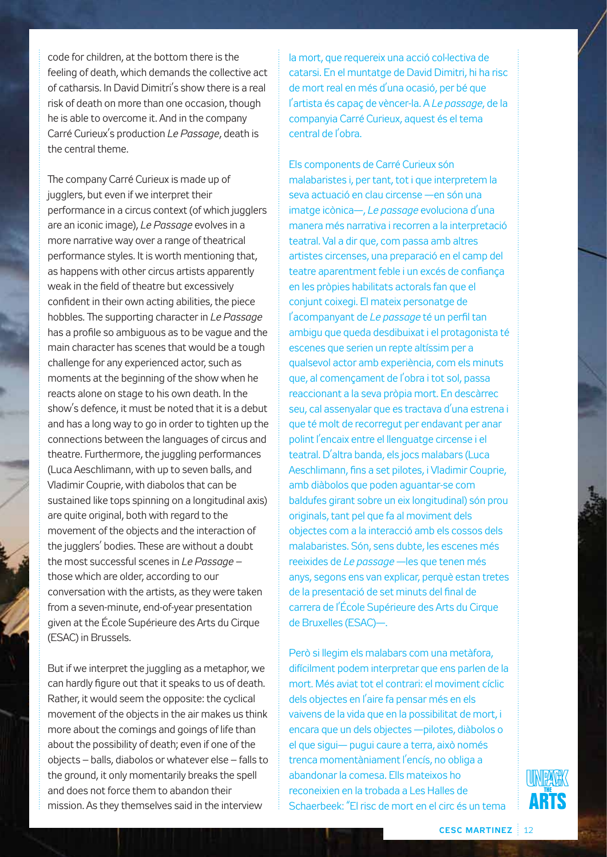code for children, at the bottom there is the feeling of death, which demands the collective act of catharsis. In David Dimitri's show there is a real risk of death on more than one occasion, though he is able to overcome it. And in the company Carré Curieux's production *Le Passage*, death is the central theme.

The company Carré Curieux is made up of jugglers, but even if we interpret their performance in a circus context (of which jugglers are an iconic image), *Le Passage* evolves in a more narrative way over a range of theatrical performance styles. It is worth mentioning that, as happens with other circus artists apparently weak in the field of theatre but excessively confident in their own acting abilities, the piece hobbles. The supporting character in *Le Passage*  has a profile so ambiguous as to be vague and the main character has scenes that would be a tough challenge for any experienced actor, such as moments at the beginning of the show when he reacts alone on stage to his own death. In the show's defence, it must be noted that it is a debut and has a long way to go in order to tighten up the connections between the languages of circus and theatre. Furthermore, the juggling performances (Luca Aeschlimann, with up to seven balls, and Vladimir Couprie, with diabolos that can be sustained like tops spinning on a longitudinal axis) are quite original, both with regard to the movement of the objects and the interaction of the jugglers' bodies. These are without a doubt the most successful scenes in *Le Passage –*  those which are older, according to our conversation with the artists, as they were taken from a seven-minute, end-of-year presentation given at the École Supérieure des Arts du Cirque (ESAC) in Brussels.

But if we interpret the juggling as a metaphor, we can hardly figure out that it speaks to us of death. Rather, it would seem the opposite: the cyclical movement of the objects in the air makes us think more about the comings and goings of life than about the possibility of death; even if one of the objects – balls, diabolos or whatever else – falls to the ground, it only momentarily breaks the spell and does not force them to abandon their mission. As they themselves said in the interview

la mort, que requereix una acció col·lectiva de catarsi. En el muntatge de David Dimitri, hi ha risc de mort real en més d'una ocasió, per bé que l'artista és capaç de vèncer-la. A *Le passage*, de la companyia Carré Curieux, aquest és el tema central de l'obra.

Els components de Carré Curieux són malabaristes i, per tant, tot i que interpretem la seva actuació en clau circense —en són una imatge icònica—, *Le passage* evoluciona d'una manera més narrativa i recorren a la interpretació teatral. Val a dir que, com passa amb altres artistes circenses, una preparació en el camp del teatre aparentment feble i un excés de confiança en les pròpies habilitats actorals fan que el conjunt coixegi. El mateix personatge de l'acompanyant de *Le passage* té un perfil tan ambigu que queda desdibuixat i el protagonista té escenes que serien un repte altíssim per a qualsevol actor amb experiència, com els minuts que, al començament de l'obra i tot sol, passa reaccionant a la seva pròpia mort. En descàrrec seu, cal assenyalar que es tractava d'una estrena i que té molt de recorregut per endavant per anar polint l'encaix entre el llenguatge circense i el teatral. D'altra banda, els jocs malabars (Luca Aeschlimann, fins a set pilotes, i Vladimir Couprie, amb diàbolos que poden aguantar-se com baldufes girant sobre un eix longitudinal) són prou originals, tant pel que fa al moviment dels objectes com a la interacció amb els cossos dels malabaristes. Són, sens dubte, les escenes més reeixides de *Le passage* —les que tenen més anys, segons ens van explicar, perquè estan tretes de la presentació de set minuts del final de carrera de l'École Supérieure des Arts du Cirque de Bruxelles (ESAC)—.

Però si llegim els malabars com una metàfora, difícilment podem interpretar que ens parlen de la mort. Més aviat tot el contrari: el moviment cíclic dels objectes en l'aire fa pensar més en els vaivens de la vida que en la possibilitat de mort, i encara que un dels objectes —pilotes, diàbolos o el que sigui— pugui caure a terra, això només trenca momentàniament l'encís, no obliga a abandonar la comesa. Ells mateixos ho reconeixien en la trobada a Les Halles de Schaerbeek: "El risc de mort en el circ és un tema

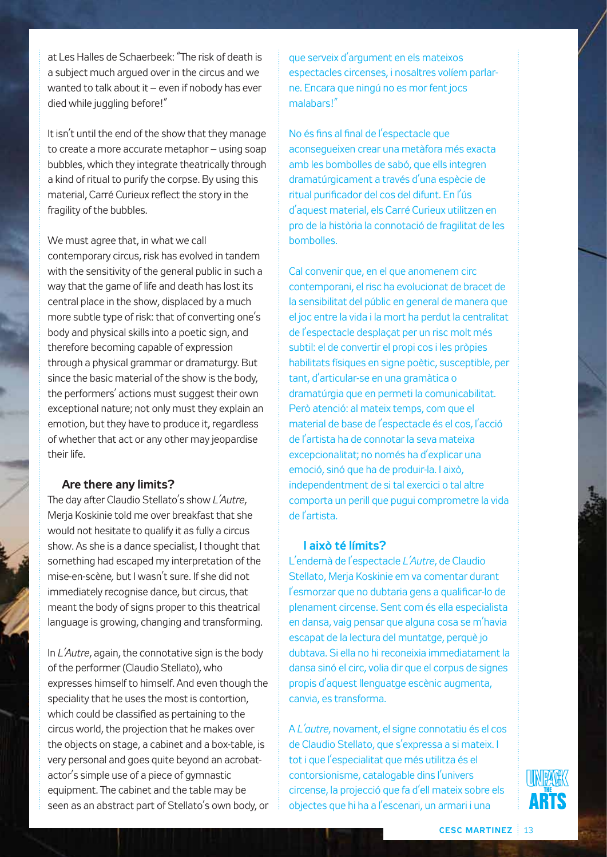at Les Halles de Schaerbeek: "The risk of death is a subject much argued over in the circus and we wanted to talk about it – even if nobody has ever died while juggling before!"

It isn't until the end of the show that they manage to create a more accurate metaphor – using soap bubbles, which they integrate theatrically through a kind of ritual to purify the corpse. By using this material, Carré Curieux reflect the story in the fragility of the bubbles.

#### We must agree that, in what we call

contemporary circus, risk has evolved in tandem with the sensitivity of the general public in such a way that the game of life and death has lost its central place in the show, displaced by a much more subtle type of risk: that of converting one's body and physical skills into a poetic sign, and therefore becoming capable of expression through a physical grammar or dramaturgy. But since the basic material of the show is the body, the performers' actions must suggest their own exceptional nature; not only must they explain an emotion, but they have to produce it, regardless of whether that act or any other may jeopardise their life.

#### **Are there any limits?**

The day after Claudio Stellato's show *L'Autre*, Merja Koskinie told me over breakfast that she would not hesitate to qualify it as fully a circus show. As she is a dance specialist, I thought that something had escaped my interpretation of the mise-en-scène*,* but I wasn't sure. If she did not immediately recognise dance, but circus, that meant the body of signs proper to this theatrical language is growing, changing and transforming.

In *L'Autre*, again, the connotative sign is the body of the performer (Claudio Stellato), who expresses himself to himself. And even though the speciality that he uses the most is contortion, which could be classified as pertaining to the circus world, the projection that he makes over the objects on stage, a cabinet and a box-table, is very personal and goes quite beyond an acrobatactor's simple use of a piece of gymnastic equipment. The cabinet and the table may be seen as an abstract part of Stellato's own body, or que serveix d'argument en els mateixos espectacles circenses, i nosaltres volíem parlarne. Encara que ningú no es mor fent jocs malabars!"

No és fins al final de l'espectacle que aconsegueixen crear una metàfora més exacta amb les bombolles de sabó, que ells integren dramatúrgicament a través d'una espècie de ritual purificador del cos del difunt. En l'ús d'aquest material, els Carré Curieux utilitzen en pro de la història la connotació de fragilitat de les bombolles.

Cal convenir que, en el que anomenem circ contemporani, el risc ha evolucionat de bracet de la sensibilitat del públic en general de manera que el joc entre la vida i la mort ha perdut la centralitat de l'espectacle desplaçat per un risc molt més subtil: el de convertir el propi cos i les pròpies habilitats físiques en signe poètic, susceptible, per tant, d'articular-se en una gramàtica o dramatúrgia que en permeti la comunicabilitat. Però atenció: al mateix temps, com que el material de base de l'espectacle és el cos, l'acció de l'artista ha de connotar la seva mateixa excepcionalitat; no només ha d'explicar una emoció, sinó que ha de produir-la. I això, independentment de si tal exercici o tal altre comporta un perill que pugui comprometre la vida de l'artista.

#### **I això té límits?**

L'endemà de l'espectacle *L'Autre*, de Claudio Stellato, Meria Koskinie em va comentar durant l'esmorzar que no dubtaria gens a qualificar-lo de plenament circense. Sent com és ella especialista en dansa, vaig pensar que alguna cosa se m'havia escapat de la lectura del muntatge, perquè jo dubtava. Si ella no hi reconeixia immediatament la dansa sinó el circ, volia dir que el corpus de signes propis d'aquest llenguatge escènic augmenta, canvia, es transforma.

A *L'autre*, novament, el signe connotatiu és el cos de Claudio Stellato, que s'expressa a si mateix. I tot i que l'especialitat que més utilitza és el contorsionisme, catalogable dins l'univers circense, la projecció que fa d'ell mateix sobre els objectes que hi ha a l'escenari, un armari i una

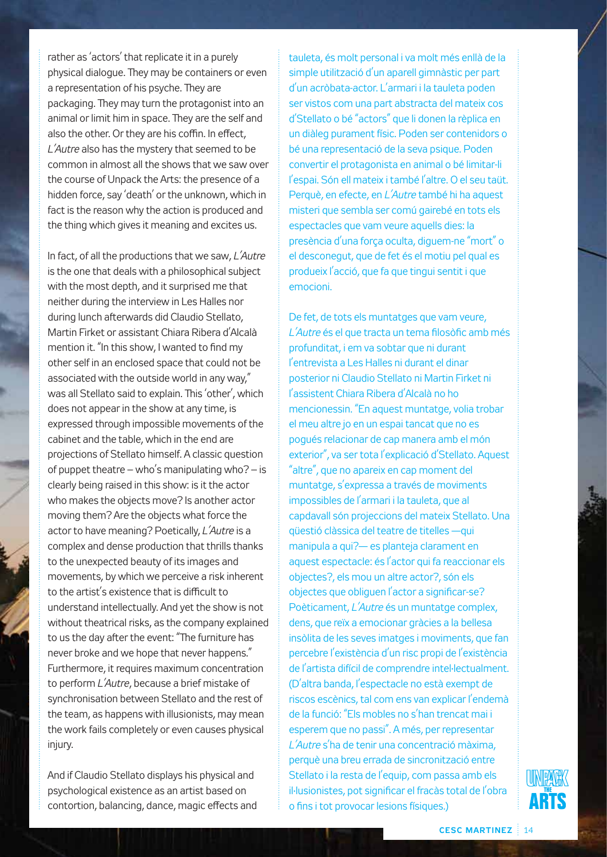rather as 'actors' that replicate it in a purely physical dialogue. They may be containers or even a representation of his psyche. They are packaging. They may turn the protagonist into an animal or limit him in space. They are the self and also the other. Or they are his coffin. In effect, *L'Autre* also has the mystery that seemed to be common in almost all the shows that we saw over the course of Unpack the Arts: the presence of a hidden force, say 'death' or the unknown, which in fact is the reason why the action is produced and the thing which gives it meaning and excites us.

In fact, of all the productions that we saw, *L'Autre* is the one that deals with a philosophical subject with the most depth, and it surprised me that neither during the interview in Les Halles nor during lunch afterwards did Claudio Stellato, Martin Firket or assistant Chiara Ribera d'Alcalà mention it. "In this show, I wanted to find my other self in an enclosed space that could not be associated with the outside world in any way," was all Stellato said to explain. This 'other', which does not appear in the show at any time, is expressed through impossible movements of the cabinet and the table, which in the end are projections of Stellato himself. A classic question of puppet theatre – who's manipulating who? – is clearly being raised in this show: is it the actor who makes the objects move? Is another actor moving them? Are the objects what force the actor to have meaning? Poetically, *L'Autre* is a complex and dense production that thrills thanks to the unexpected beauty of its images and movements, by which we perceive a risk inherent to the artist's existence that is difficult to understand intellectually. And yet the show is not without theatrical risks, as the company explained to us the day after the event: "The furniture has never broke and we hope that never happens." Furthermore, it requires maximum concentration to perform *L'Autre*, because a brief mistake of synchronisation between Stellato and the rest of the team, as happens with illusionists, may mean the work fails completely or even causes physical injury.

And if Claudio Stellato displays his physical and psychological existence as an artist based on contortion, balancing, dance, magic effects and tauleta, és molt personal i va molt més enllà de la simple utilització d'un aparell gimnàstic per part d'un acròbata-actor. L'armari i la tauleta poden ser vistos com una part abstracta del mateix cos d'Stellato o bé "actors" que li donen la rèplica en un diàleg purament físic. Poden ser contenidors o bé una representació de la seva psique. Poden convertir el protagonista en animal o bé limitar-li l'espai. Són ell mateix i també l'altre. O el seu taüt. Perquè, en efecte, en *L'Autre* també hi ha aquest misteri que sembla ser comú gairebé en tots els espectacles que vam veure aquells dies: la presència d'una força oculta, diguem-ne "mort" o el desconegut, que de fet és el motiu pel qual es produeix l'acció, que fa que tingui sentit i que emocioni.

De fet, de tots els muntatges que vam veure, *L'Autre* és el que tracta un tema filosòfic amb més profunditat, i em va sobtar que ni durant l'entrevista a Les Halles ni durant el dinar posterior ni Claudio Stellato ni Martin Firket ni l'assistent Chiara Ribera d'Alcalà no ho mencionessin. "En aquest muntatge, volia trobar el meu altre jo en un espai tancat que no es pogués relacionar de cap manera amb el món exterior", va ser tota l'explicació d'Stellato. Aquest "altre", que no apareix en cap moment del muntatge, s'expressa a través de moviments impossibles de l'armari i la tauleta, que al capdavall són projeccions del mateix Stellato. Una qüestió clàssica del teatre de titelles —qui manipula a qui?— es planteja clarament en aquest espectacle: és l'actor qui fa reaccionar els objectes?, els mou un altre actor?, són els objectes que obliguen l'actor a significar-se? Poèticament, *L'Autre* és un muntatge complex, dens, que reïx a emocionar gràcies a la bellesa insòlita de les seves imatges i moviments, que fan percebre l'existència d'un risc propi de l'existència de l'artista difícil de comprendre intel·lectualment. (D'altra banda, l'espectacle no està exempt de riscos escènics, tal com ens van explicar l'endemà de la funció: "Els mobles no s'han trencat mai i esperem que no passi". A més, per representar *L'Autre* s'ha de tenir una concentració màxima, perquè una breu errada de sincronització entre Stellato i la resta de l'equip, com passa amb els il·lusionistes, pot significar el fracàs total de l'obra o fins i tot provocar lesions físiques.)

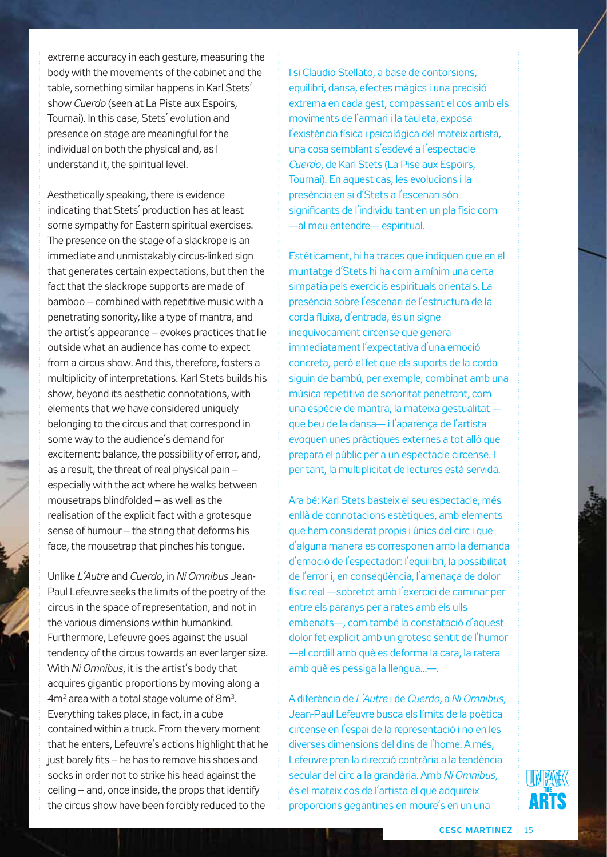extreme accuracy in each gesture, measuring the body with the movements of the cabinet and the table, something similar happens in Karl Stets' show *Cuerdo* (seen at La Piste aux Espoirs, Tournai). In this case, Stets' evolution and presence on stage are meaningful for the individual on both the physical and, as I understand it, the spiritual level.

Aesthetically speaking, there is evidence indicating that Stets' production has at least some sympathy for Eastern spiritual exercises. The presence on the stage of a slackrope is an immediate and unmistakably circus-linked sign that generates certain expectations, but then the fact that the slackrope supports are made of bamboo – combined with repetitive music with a penetrating sonority, like a type of mantra, and the artist's appearance – evokes practices that lie outside what an audience has come to expect from a circus show. And this, therefore, fosters a multiplicity of interpretations. Karl Stets builds his show, beyond its aesthetic connotations, with elements that we have considered uniquely belonging to the circus and that correspond in some way to the audience's demand for excitement: balance, the possibility of error, and, as a result, the threat of real physical pain – especially with the act where he walks between mousetraps blindfolded – as well as the realisation of the explicit fact with a grotesque sense of humour – the string that deforms his face, the mousetrap that pinches his tongue.

Unlike *L'Autre* and *Cuerdo*, in *Ni Omnibus* Jean-Paul Lefeuvre seeks the limits of the poetry of the circus in the space of representation, and not in the various dimensions within humankind. Furthermore, Lefeuvre goes against the usual tendency of the circus towards an ever larger size. With *Ni Omnibus*, it is the artist's body that acquires gigantic proportions by moving along a 4m2 area with a total stage volume of 8m3. Everything takes place, in fact, in a cube contained within a truck. From the very moment that he enters, Lefeuvre's actions highlight that he just barely fits – he has to remove his shoes and socks in order not to strike his head against the ceiling – and, once inside, the props that identify the circus show have been forcibly reduced to the

I si Claudio Stellato, a base de contorsions, equilibri, dansa, efectes màgics i una precisió extrema en cada gest, compassant el cos amb els moviments de l'armari i la tauleta, exposa l'existència física i psicològica del mateix artista, una cosa semblant s'esdevé a l'espectacle *Cuerdo*, de Karl Stets (La Pise aux Espoirs, Tournai). En aquest cas, les evolucions i la presència en si d'Stets a l'escenari són significants de l'individu tant en un pla físic com —al meu entendre— espiritual.

Estèticament, hi ha traces que indiquen que en el muntatge d'Stets hi ha com a mínim una certa simpatia pels exercicis espirituals orientals. La presència sobre l'escenari de l'estructura de la corda fluixa, d'entrada, és un signe inequívocament circense que genera immediatament l'expectativa d'una emoció concreta, però el fet que els suports de la corda siguin de bambú, per exemple, combinat amb una música repetitiva de sonoritat penetrant, com una espècie de mantra, la mateixa gestualitat que beu de la dansa— i l'aparença de l'artista evoquen unes pràctiques externes a tot allò que prepara el públic per a un espectacle circense. I per tant, la multiplicitat de lectures està servida.

Ara bé: Karl Stets basteix el seu espectacle, més enllà de connotacions estètiques, amb elements que hem considerat propis i únics del circ i que d'alguna manera es corresponen amb la demanda d'emoció de l'espectador: l'equilibri, la possibilitat de l'error i, en conseqüència, l'amenaça de dolor físic real —sobretot amb l'exercici de caminar per entre els paranys per a rates amb els ulls embenats—, com també la constatació d'aquest dolor fet explícit amb un grotesc sentit de l'humor —el cordill amb què es deforma la cara, la ratera amb què es pessiga la llengua...—.

A diferència de *L'Autre* i de *Cuerdo*, a *Ni Omnibus*, Jean-Paul Lefeuvre busca els límits de la poètica circense en l'espai de la representació i no en les diverses dimensions del dins de l'home. A més, Lefeuvre pren la direcció contrària a la tendència secular del circ a la grandària. Amb *Ni Omnibus*, és el mateix cos de l'artista el que adquireix proporcions gegantines en moure's en un una

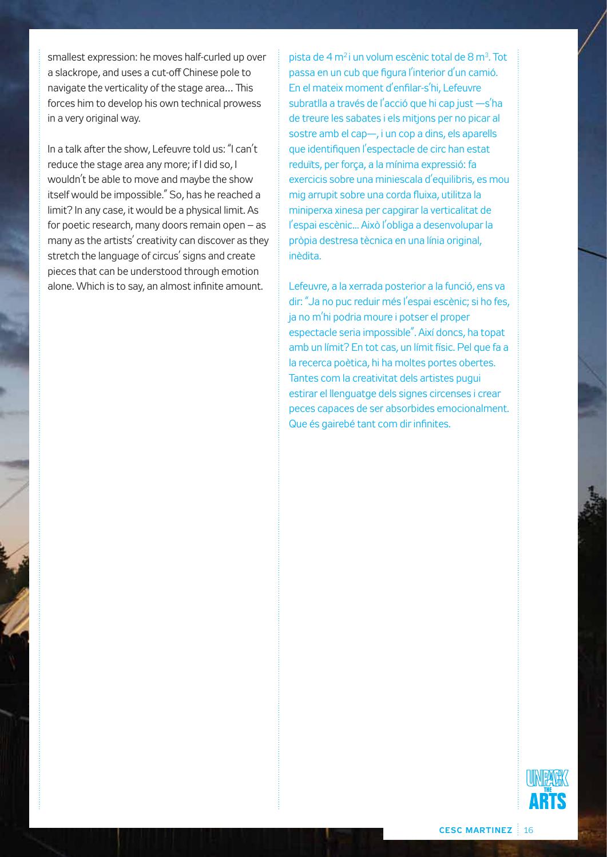smallest expression: he moves half-curled up over a slackrope, and uses a cut-off Chinese pole to navigate the verticality of the stage area… This forces him to develop his own technical prowess in a very original way.

In a talk after the show, Lefeuvre told us: "I can't reduce the stage area any more; if I did so, I wouldn't be able to move and maybe the show itself would be impossible." So, has he reached a limit? In any case, it would be a physical limit. As for poetic research, many doors remain open – as many as the artists' creativity can discover as they stretch the language of circus' signs and create pieces that can be understood through emotion alone. Which is to say, an almost infinite amount.

pista de 4 m<sup>2</sup> i un volum escènic total de 8 m<sup>3</sup>. Tot passa en un cub que figura l'interior d'un camió. En el mateix moment d'enfilar-s'hi, Lefeuvre subratlla a través de l'acció que hi cap just -s'ha de treure les sabates i els mitjons per no picar al sostre amb el cap—, i un cop a dins, els aparells que identifiquen l'espectacle de circ han estat reduïts, per força, a la mínima expressió: fa exercicis sobre una miniescala d'equilibris, es mou mig arrupit sobre una corda fluixa, utilitza la miniperxa xinesa per capgirar la verticalitat de l'espai escènic... Això l'obliga a desenvolupar la pròpia destresa tècnica en una línia original, inèdita.

Lefeuvre, a la xerrada posterior a la funció, ens va dir: "Ja no puc reduir més l'espai escènic; si ho fes, ja no m'hi podria moure i potser el proper espectacle seria impossible". Així doncs, ha topat amb un límit? En tot cas, un límit físic. Pel que fa a la recerca poètica, hi ha moltes portes obertes. Tantes com la creativitat dels artistes pugui estirar el llenguatge dels signes circenses i crear peces capaces de ser absorbides emocionalment. Que és gairebé tant com dir infinites.

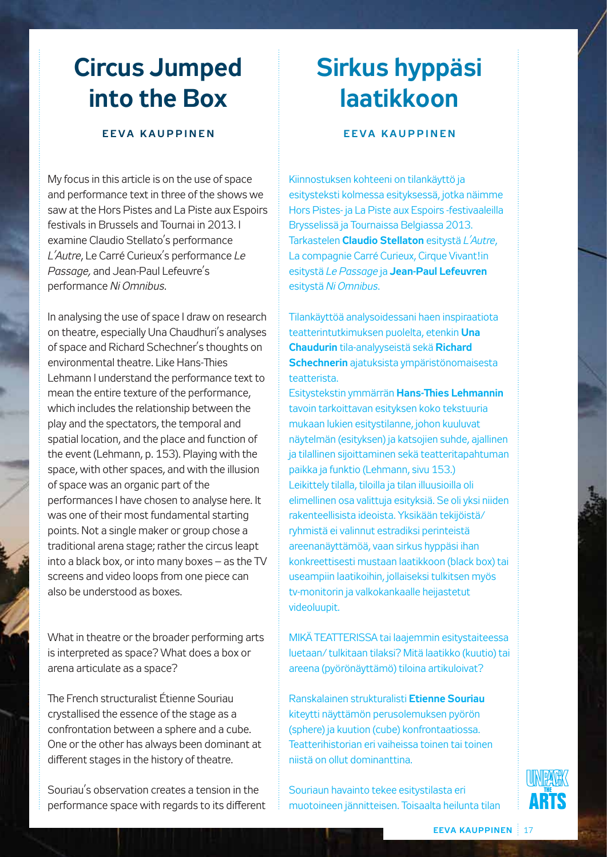## **Circus Jumped into the Box**

#### **EEVA KAUPPINEN**

My focus in this article is on the use of space and performance text in three of the shows we saw at the Hors Pistes and La Piste aux Espoirs festivals in Brussels and Tournai in 2013. I examine Claudio Stellato's performance *L'Autre*, Le Carré Curieux's performance *Le Passage,* and Jean-Paul Lefeuvre's performance *Ni Omnibus*.

In analysing the use of space I draw on research on theatre, especially Una Chaudhuri's analyses of space and Richard Schechner's thoughts on environmental theatre. Like Hans-Thies Lehmann I understand the performance text to mean the entire texture of the performance, which includes the relationship between the play and the spectators, the temporal and spatial location, and the place and function of the event (Lehmann, p. 153). Playing with the space, with other spaces, and with the illusion of space was an organic part of the performances I have chosen to analyse here. It was one of their most fundamental starting points. Not a single maker or group chose a traditional arena stage; rather the circus leapt into a black box, or into many boxes – as the TV screens and video loops from one piece can also be understood as boxes.

What in theatre or the broader performing arts is interpreted as space? What does a box or arena articulate as a space?

The French structuralist Étienne Souriau crystallised the essence of the stage as a confrontation between a sphere and a cube. One or the other has always been dominant at different stages in the history of theatre.

Souriau's observation creates a tension in the performance space with regards to its different

## **Sirkus hyppäsi laatikkoon**

#### **EEVA KAUPPINEN**

Kiinnostuksen kohteeni on tilankäyttö ja esitysteksti kolmessa esityksessä, jotka näimme Hors Pistes- ja La Piste aux Espoirs -festivaaleilla Brysselissä ja Tournaissa Belgiassa 2013. Tarkastelen **Claudio Stellaton** esitystä *L'Autre*, La compagnie Carré Curieux, Cirque Vivant!in esitystä *Le Passage* ja **Jean-Paul Lefeuvren** esitystä *Ni Omnibus*.

Tilankäyttöä analysoidessani haen inspiraatiota teatterintutkimuksen puolelta, etenkin **Una Chaudurin** tila-analyyseistä sekä **Richard Schechnerin** ajatuksista ympäristönomaisesta teatterista.

Esitystekstin ymmärrän **Hans-Thies Lehmannin** tavoin tarkoittavan esityksen koko tekstuuria mukaan lukien esitystilanne, johon kuuluvat näytelmän (esityksen) ja katsojien suhde, ajallinen ja tilallinen sijoittaminen sekä teatteritapahtuman paikka ja funktio (Lehmann, sivu 153.) Leikittely tilalla, tiloilla ja tilan illuusioilla oli elimellinen osa valittuja esityksiä. Se oli yksi niiden rakenteellisista ideoista. Yksikään tekijöistä/ ryhmistä ei valinnut estradiksi perinteistä areenanäyttämöä, vaan sirkus hyppäsi ihan konkreettisesti mustaan laatikkoon (black box) tai useampiin laatikoihin, jollaiseksi tulkitsen myös tv-monitorin ja valkokankaalle heijastetut videoluupit.

MIKÄ TEATTERISSA tai laajemmin esitystaiteessa luetaan/ tulkitaan tilaksi? Mitä laatikko (kuutio) tai areena (pyörönäyttämö) tiloina artikuloivat?

Ranskalainen strukturalisti **Etienne Souriau** kiteytti näyttämön perusolemuksen pyörön (sphere) ja kuution (cube) konfrontaatiossa. Teatterihistorian eri vaiheissa toinen tai toinen niistä on ollut dominanttina.

Souriaun havainto tekee esitystilasta eri muotoineen jännitteisen. Toisaalta heilunta tilan

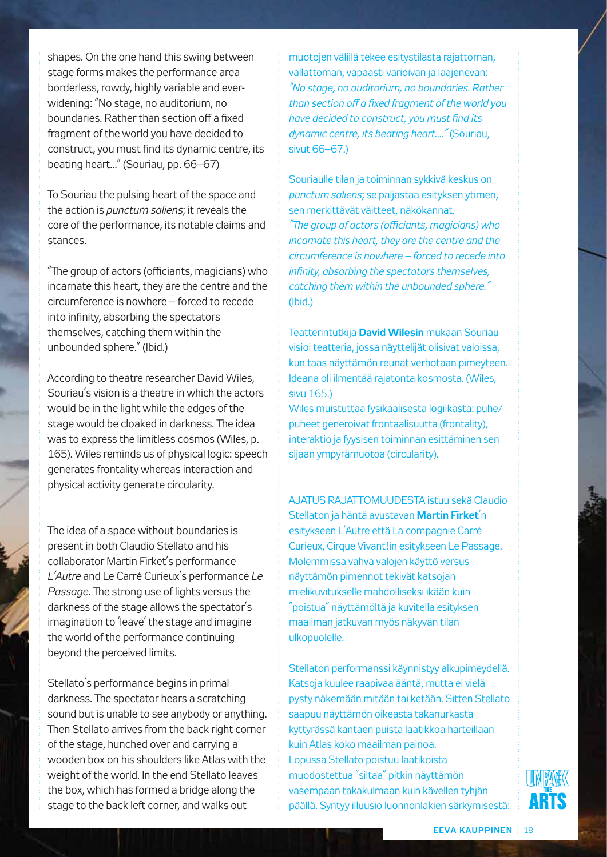shapes. On the one hand this swing between stage forms makes the performance area borderless, rowdy, highly variable and everwidening: "No stage, no auditorium, no boundaries. Rather than section off a fixed fragment of the world you have decided to construct, you must find its dynamic centre, its beating heart..." (Souriau, pp. 66–67)

To Souriau the pulsing heart of the space and the action is *punctum saliens*; it reveals the core of the performance, its notable claims and stances.

"The group of actors (officiants, magicians) who incarnate this heart, they are the centre and the circumference is nowhere – forced to recede into infinity, absorbing the spectators themselves, catching them within the unbounded sphere." (Ibid.)

According to theatre researcher David Wiles, Souriau's vision is a theatre in which the actors would be in the light while the edges of the stage would be cloaked in darkness. The idea was to express the limitless cosmos (Wiles, p. 165). Wiles reminds us of physical logic: speech generates frontality whereas interaction and physical activity generate circularity.

The idea of a space without boundaries is present in both Claudio Stellato and his collaborator Martin Firket's performance *L'Autre* and Le Carré Curieux's performance *Le Passage*. The strong use of lights versus the darkness of the stage allows the spectator's imagination to 'leave' the stage and imagine the world of the performance continuing beyond the perceived limits.

Stellato's performance begins in primal darkness. The spectator hears a scratching sound but is unable to see anybody or anything. Then Stellato arrives from the back right corner of the stage, hunched over and carrying a wooden box on his shoulders like Atlas with the weight of the world. In the end Stellato leaves the box, which has formed a bridge along the stage to the back left corner, and walks out

muotojen välillä tekee esitystilasta rajattoman, vallattoman, vapaasti varioivan ja laajenevan: *"No stage, no auditorium, no boundaries. Rather than section off a fixed fragment of the world you have decided to construct, you must find its dynamic centre, its beating heart...."* (Souriau, sivut 66–67.)

Souriaulle tilan ja toiminnan sykkivä keskus on *punctum saliens*; se paljastaa esityksen ytimen, sen merkittävät väitteet, näkökannat. *"The group of actors (officiants, magicians) who incarnate this heart, they are the centre and the circumference is nowhere – forced to recede into infinity, absorbing the spectators themselves, catching them within the unbounded sphere."*  (Ibid.)

Teatterintutkija **David Wilesin** mukaan Souriau visioi teatteria, jossa näyttelijät olisivat valoissa, kun taas näyttämön reunat verhotaan pimeyteen. Ideana oli ilmentää rajatonta kosmosta. (Wiles, sivu 165.)

Wiles muistuttaa fysikaalisesta logiikasta: puhe/ puheet generoivat frontaalisuutta (frontality), interaktio ja fyysisen toiminnan esittäminen sen sijaan ympyrämuotoa (circularity).

AJATUS RAJATTOMUUDESTA istuu sekä Claudio Stellaton ja häntä avustavan **Martin Firket**'n esitykseen L'Autre että La compagnie Carré Curieux, Cirque Vivant!in esitykseen Le Passage. Molemmissa vahva valojen käyttö versus näyttämön pimennot tekivät katsojan mielikuvitukselle mahdolliseksi ikään kuin "poistua" näyttämöltä ja kuvitella esityksen maailman jatkuvan myös näkyvän tilan ulkopuolelle.

Stellaton performanssi käynnistyy alkupimeydellä. Katsoja kuulee raapivaa ääntä, mutta ei vielä pysty näkemään mitään tai ketään. Sitten Stellato saapuu näyttämön oikeasta takanurkasta kyttyrässä kantaen puista laatikkoa harteillaan kuin Atlas koko maailman painoa. Lopussa Stellato poistuu laatikoista muodostettua "siltaa" pitkin näyttämön vasempaan takakulmaan kuin kävellen tyhjän päällä. Syntyy illuusio luonnonlakien särkymisestä:

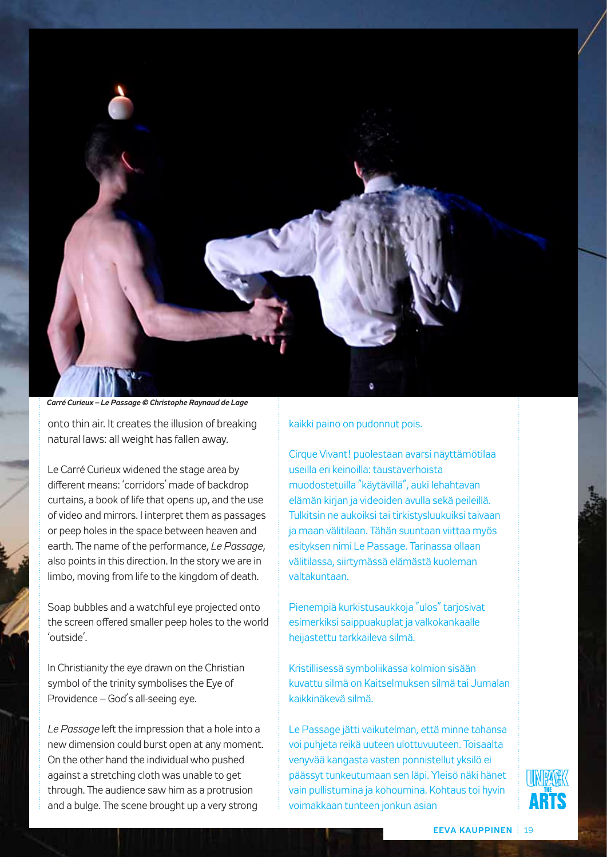

#### *Carré Curieux – Le Passage © Christophe Raynaud de Lage*

onto thin air. It creates the illusion of breaking natural laws: all weight has fallen away.

Le Carré Curieux widened the stage area by different means: 'corridors' made of backdrop curtains, a book of life that opens up, and the use of video and mirrors. I interpret them as passages or peep holes in the space between heaven and earth. The name of the performance, *Le Passage*, also points in this direction. In the story we are in limbo, moving from life to the kingdom of death.

Soap bubbles and a watchful eye projected onto the screen offered smaller peep holes to the world 'outside'.

In Christianity the eye drawn on the Christian symbol of the trinity symbolises the Eye of Providence – God's all-seeing eye.

*Le Passage* left the impression that a hole into a new dimension could burst open at any moment. On the other hand the individual who pushed against a stretching cloth was unable to get through. The audience saw him as a protrusion and a bulge. The scene brought up a very strong

#### kaikki paino on pudonnut pois.

Cirque Vivant! puolestaan avarsi näyttämötilaa useilla eri keinoilla: taustaverhoista muodostetuilla "käytävillä", auki lehahtavan elämän kirjan ja videoiden avulla sekä peileillä. Tulkitsin ne aukoiksi tai tirkistysluukuiksi taivaan ja maan välitilaan. Tähän suuntaan viittaa myös esityksen nimi Le Passage. Tarinassa ollaan välitilassa, siirtymässä elämästä kuoleman valtakuntaan.

Pienempiä kurkistusaukkoja "ulos" tarjosivat esimerkiksi saippuakuplat ja valkokankaalle heijastettu tarkkaileva silmä.

Kristillisessä symboliikassa kolmion sisään kuvattu silmä on Kaitselmuksen silmä tai Jumalan kaikkinäkevä silmä.

Le Passage jätti vaikutelman, että minne tahansa voi puhjeta reikä uuteen ulottuvuuteen. Toisaalta venyvää kangasta vasten ponnistellut yksilö ei päässyt tunkeutumaan sen läpi. Yleisö näki hänet vain pullistumina ja kohoumina. Kohtaus toi hyvin voimakkaan tunteen jonkun asian

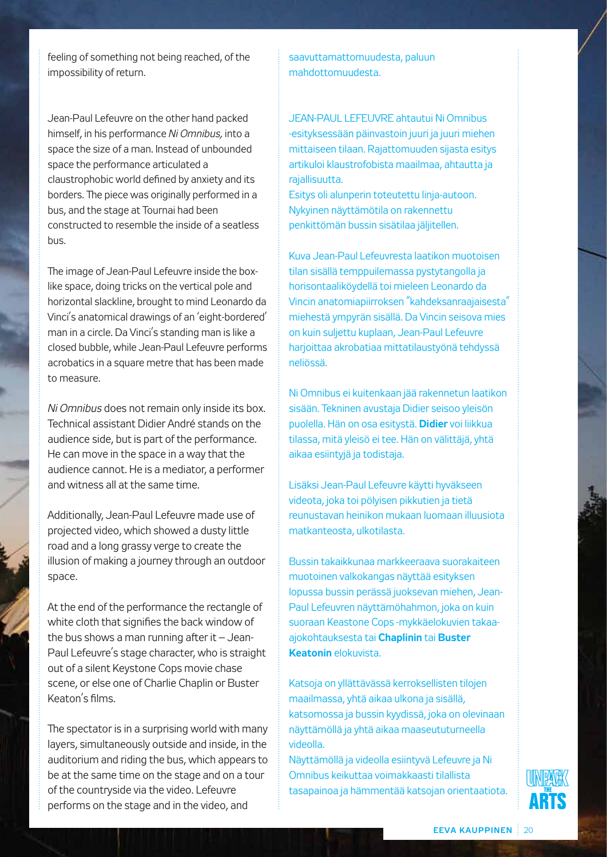feeling of something not being reached, of the impossibility of return.

Jean-Paul Lefeuvre on the other hand packed himself, in his performance *Ni Omnibus,* into a space the size of a man. Instead of unbounded space the performance articulated a claustrophobic world defined by anxiety and its borders. The piece was originally performed in a bus, and the stage at Tournai had been constructed to resemble the inside of a seatless bus.

The image of Jean-Paul Lefeuvre inside the boxlike space, doing tricks on the vertical pole and horizontal slackline, brought to mind Leonardo da Vinci's anatomical drawings of an 'eight-bordered' man in a circle. Da Vinci's standing man is like a closed bubble, while Jean-Paul Lefeuvre performs acrobatics in a square metre that has been made to measure.

*Ni Omnibus* does not remain only inside its box. Technical assistant Didier André stands on the audience side, but is part of the performance. He can move in the space in a way that the audience cannot. He is a mediator, a performer and witness all at the same time.

Additionally, Jean-Paul Lefeuvre made use of projected video, which showed a dusty little road and a long grassy verge to create the illusion of making a journey through an outdoor space.

At the end of the performance the rectangle of white cloth that signifies the back window of the bus shows a man running after it  $-$  Jean-Paul Lefeuvre's stage character, who is straight out of a silent Keystone Cops movie chase scene, or else one of Charlie Chaplin or Buster Keaton's films.

The spectator is in a surprising world with many layers, simultaneously outside and inside, in the auditorium and riding the bus, which appears to be at the same time on the stage and on a tour of the countryside via the video. Lefeuvre performs on the stage and in the video, and

saavuttamattomuudesta, paluun mahdottomuudesta.

JEAN-PAUL LEFEUVRE ahtautui Ni Omnibus -esityksessään päinvastoin juuri ja juuri miehen mittaiseen tilaan. Rajattomuuden sijasta esitys artikuloi klaustrofobista maailmaa, ahtautta ja rajallisuutta.

Esitys oli alunperin toteutettu linja-autoon. Nykyinen näyttämötila on rakennettu penkittömän bussin sisätilaa jäljitellen.

Kuva Jean-Paul Lefeuvresta laatikon muotoisen tilan sisällä temppuilemassa pystytangolla ja horisontaaliköydellä toi mieleen Leonardo da Vincin anatomiapiirroksen "kahdeksanraajaisesta" miehestä ympyrän sisällä. Da Vincin seisova mies on kuin suljettu kuplaan, Jean-Paul Lefeuvre harjoittaa akrobatiaa mittatilaustyönä tehdyssä neliössä.

Ni Omnibus ei kuitenkaan jää rakennetun laatikon sisään. Tekninen avustaja Didier seisoo yleisön puolella. Hän on osa esitystä. **Didier** voi liikkua tilassa, mitä yleisö ei tee. Hän on välittäjä, yhtä aikaa esiintyjä ja todistaja.

Lisäksi Jean-Paul Lefeuvre käytti hyväkseen videota, joka toi pölyisen pikkutien ja tietä reunustavan heinikon mukaan luomaan illuusiota matkanteosta, ulkotilasta.

Bussin takaikkunaa markkeeraava suorakaiteen muotoinen valkokangas näyttää esityksen lopussa bussin perässä juoksevan miehen, Jean-Paul Lefeuvren näyttämöhahmon, joka on kuin suoraan Keastone Cops -mykkäelokuvien takaaajokohtauksesta tai **Chaplinin** tai **Buster Keatonin** elokuvista.

Katsoja on yllättävässä kerroksellisten tilojen maailmassa, yhtä aikaa ulkona ja sisällä, katsomossa ja bussin kyydissä, joka on olevinaan näyttämöllä ja yhtä aikaa maaseututurneella videolla.

Näyttämöllä ja videolla esiintyvä Lefeuvre ja Ni Omnibus keikuttaa voimakkaasti tilallista tasapainoa ja hämmentää katsojan orientaatiota.

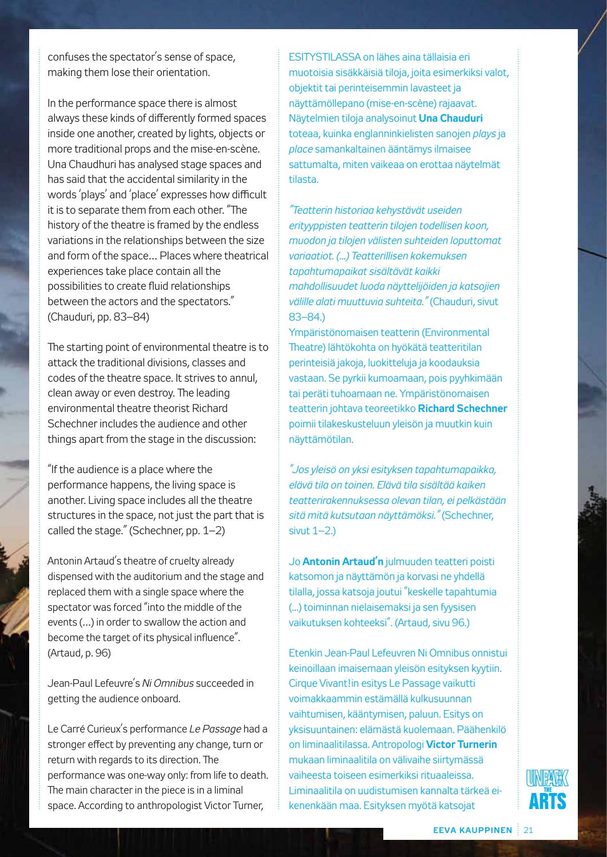confuses the spectator's sense of space, making them lose their orientation.

In the performance space there is almost always these kinds of differently formed spaces inside one another, created by lights, objects or more traditional props and the mise-en-scène. Una Chaudhuri has analysed stage spaces and has said that the accidental similarity in the words 'plays' and 'place' expresses how difficult it is to separate them from each other. "The history of the theatre is framed by the endless variations in the relationships between the size and form of the space… Places where theatrical experiences take place contain all the possibilities to create fluid relationships between the actors and the spectators." (Chauduri, pp. 83–84)

The starting point of environmental theatre is to attack the traditional divisions, classes and codes of the theatre space. It strives to annul, clean away or even destroy. The leading environmental theatre theorist Richard Schechner includes the audience and other things apart from the stage in the discussion:

"If the audience is a place where the performance happens, the living space is another. Living space includes all the theatre structures in the space, not just the part that is called the stage." (Schechner, pp. 1–2)

Antonin Artaud's theatre of cruelty already dispensed with the auditorium and the stage and replaced them with a single space where the spectator was forced "into the middle of the events (…) in order to swallow the action and become the target of its physical influence". (Artaud, p. 96)

Jean-Paul Lefeuvre's *Ni Omnibus* succeeded in getting the audience onboard.

Le Carré Curieux's performance *Le Passage* had a stronger effect by preventing any change, turn or return with regards to its direction. The performance was one-way only: from life to death. The main character in the piece is in a liminal space. According to anthropologist Victor Turner,

ESITYSTILASSA on lähes aina tällaisia eri muotoisia sisäkkäisiä tiloja, joita esimerkiksi valot, objektit tai perinteisemmin lavasteet ja näyttämöllepano (mise-en-scène) rajaavat. Näytelmien tiloja analysoinut **Una Chauduri** toteaa, kuinka englanninkielisten sanojen *plays* ja *place* samankaltainen ääntämys ilmaisee sattumalta, miten vaikeaa on erottaa näytelmät tilasta.

*"Teatterin historiaa kehystävät useiden erityyppisten teatterin tilojen todellisen koon, muodon ja tilojen välisten suhteiden loputtomat variaatiot. (...) Teatterillisen kokemuksen tapahtumapaikat sisältävät kaikki mahdollisuudet luoda näyttelijöiden ja katsojien välille alati muuttuvia suhteita."* (Chauduri, sivut 83–84.)

Ympäristönomaisen teatterin (Environmental Theatre) lähtökohta on hyökätä teatteritilan perinteisiä jakoja, luokitteluja ja koodauksia vastaan. Se pyrkii kumoamaan, pois pyyhkimään tai peräti tuhoamaan ne. Ympäristönomaisen teatterin johtava teoreetikko **Richard Schechner** poimii tilakeskusteluun yleisön ja muutkin kuin näyttämötilan.

*"Jos yleisö on yksi esityksen tapahtumapaikka, elävä tila on toinen. Elävä tila sisältää kaiken teatterirakennuksessa olevan tilan, ei pelkästään sitä mitä kutsutaan näyttämöksi."* (Schechner, sivut  $1-2.$ )

Jo **Antonin Artaud'n** julmuuden teatteri poisti katsomon ja näyttämön ja korvasi ne yhdellä tilalla, jossa katsoja joutui "keskelle tapahtumia (...) toiminnan nielaisemaksi ja sen fyysisen vaikutuksen kohteeksi". (Artaud, sivu 96.)

Etenkin Jean-Paul Lefeuvren Ni Omnibus onnistui keinoillaan imaisemaan yleisön esityksen kyytiin. Cirque Vivant!in esitys Le Passage vaikutti voimakkaammin estämällä kulkusuunnan vaihtumisen, kääntymisen, paluun. Esitys on yksisuuntainen: elämästä kuolemaan. Päähenkilö on liminaalitilassa. Antropologi **Victor Turnerin** mukaan liminaalitila on välivaihe siirtymässä vaiheesta toiseen esimerkiksi rituaaleissa. Liminaalitila on uudistumisen kannalta tärkeä eikenenkään maa. Esityksen myötä katsojat

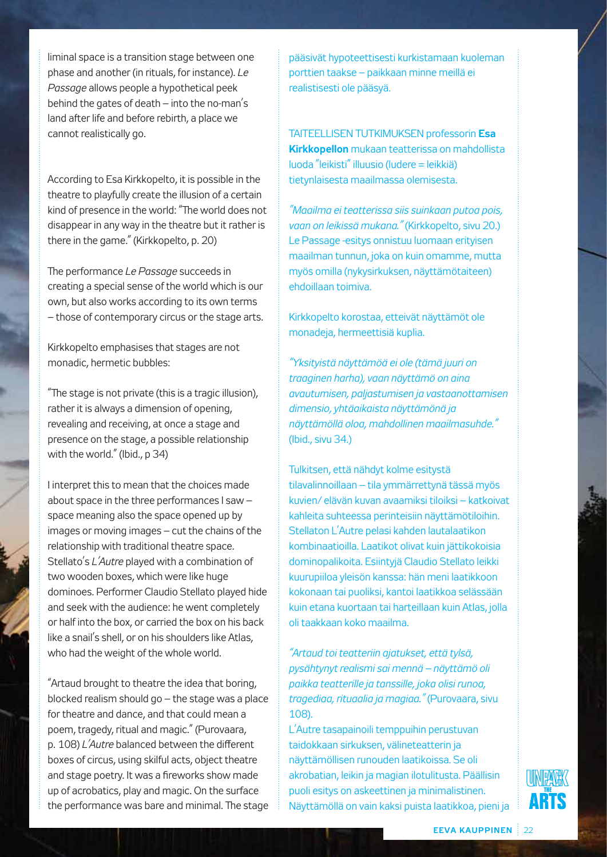liminal space is a transition stage between one phase and another (in rituals, for instance). *Le Passage* allows people a hypothetical peek behind the gates of death – into the no-man's land after life and before rebirth, a place we cannot realistically go.

According to Esa Kirkkopelto, it is possible in the theatre to playfully create the illusion of a certain kind of presence in the world: "The world does not disappear in any way in the theatre but it rather is there in the game." (Kirkkopelto, p. 20)

The performance *Le Passage* succeeds in creating a special sense of the world which is our own, but also works according to its own terms – those of contemporary circus or the stage arts.

Kirkkopelto emphasises that stages are not monadic, hermetic bubbles:

"The stage is not private (this is a tragic illusion), rather it is always a dimension of opening, revealing and receiving, at once a stage and presence on the stage, a possible relationship with the world." (Ibid., p 34)

I interpret this to mean that the choices made about space in the three performances I saw – space meaning also the space opened up by images or moving images – cut the chains of the relationship with traditional theatre space. Stellato's *L'Autre* played with a combination of two wooden boxes, which were like huge dominoes. Performer Claudio Stellato played hide and seek with the audience: he went completely or half into the box, or carried the box on his back like a snail's shell, or on his shoulders like Atlas, who had the weight of the whole world.

"Artaud brought to theatre the idea that boring, blocked realism should go – the stage was a place for theatre and dance, and that could mean a poem, tragedy, ritual and magic." (Purovaara, p. 108) *L'Autre* balanced between the different boxes of circus, using skilful acts, object theatre and stage poetry. It was a fireworks show made up of acrobatics, play and magic. On the surface the performance was bare and minimal. The stage pääsivät hypoteettisesti kurkistamaan kuoleman porttien taakse – paikkaan minne meillä ei realistisesti ole pääsyä.

TAITEELLISEN TUTKIMUKSEN professorin **Esa Kirkkopellon** mukaan teatterissa on mahdollista luoda "leikisti" illuusio (ludere = leikkiä) tietynlaisesta maailmassa olemisesta.

*"Maailma ei teatterissa siis suinkaan putoa pois, vaan on leikissä mukana."* (Kirkkopelto, sivu 20.) Le Passage -esitys onnistuu luomaan erityisen maailman tunnun, joka on kuin omamme, mutta myös omilla (nykysirkuksen, näyttämötaiteen) ehdoillaan toimiva.

Kirkkopelto korostaa, etteivät näyttämöt ole monadeja, hermeettisiä kuplia.

*"Yksityistä näyttämöä ei ole (tämä juuri on traaginen harha), vaan näyttämö on aina avautumisen, paljastumisen ja vastaanottamisen dimensio, yhtäaikaista näyttämönä ja näyttämöllä oloa, mahdollinen maailmasuhde."* (Ibid., sivu 34.)

Tulkitsen, että nähdyt kolme esitystä tilavalinnoillaan – tila ymmärrettynä tässä myös kuvien/ elävän kuvan avaamiksi tiloiksi – katkoivat kahleita suhteessa perinteisiin näyttämötiloihin. Stellaton L'Autre pelasi kahden lautalaatikon kombinaatioilla. Laatikot olivat kuin jättikokoisia dominopalikoita. Esiintyjä Claudio Stellato leikki kuurupiiloa yleisön kanssa: hän meni laatikkoon kokonaan tai puoliksi, kantoi laatikkoa selässään kuin etana kuortaan tai harteillaan kuin Atlas, jolla oli taakkaan koko maailma.

*"Artaud toi teatteriin ajatukset, että tylsä, pysähtynyt realismi sai mennä – näyttämö oli paikka teatterille ja tanssille, joka olisi runoa, tragediaa, rituaalia ja magiaa."* (Purovaara, sivu 108).

L'Autre tasapainoili temppuihin perustuvan taidokkaan sirkuksen, välineteatterin ja näyttämöllisen runouden laatikoissa. Se oli akrobatian, leikin ja magian ilotulitusta. Päällisin puoli esitys on askeettinen ja minimalistinen. Näyttämöllä on vain kaksi puista laatikkoa, pieni ja

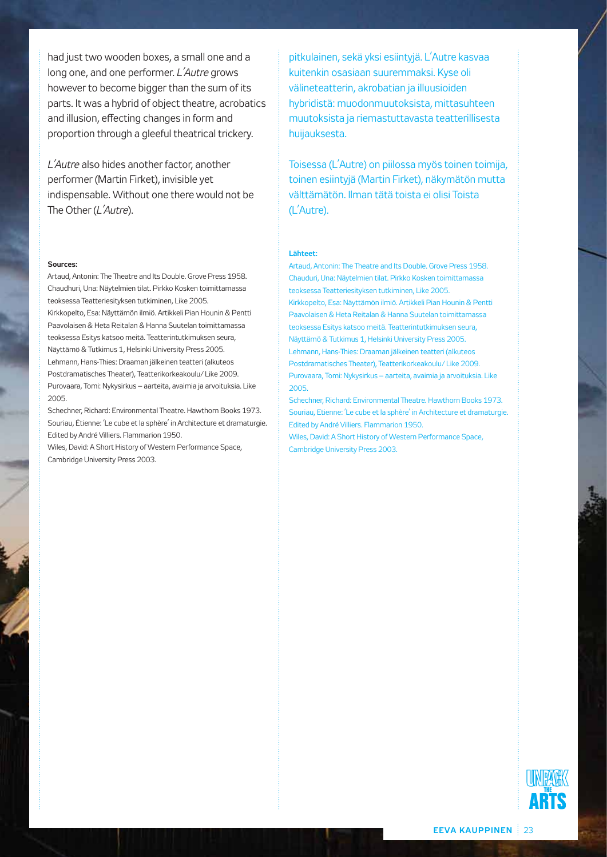had just two wooden boxes, a small one and a long one, and one performer. *L'Autre* grows however to become bigger than the sum of its parts. It was a hybrid of object theatre, acrobatics and illusion, effecting changes in form and proportion through a gleeful theatrical trickery.

*L'Autre* also hides another factor, another performer (Martin Firket), invisible yet indispensable. Without one there would not be The Other (*L'Autre*).

#### **Sources:**

Artaud, Antonin: The Theatre and Its Double. Grove Press 1958. Chaudhuri, Una: Näytelmien tilat. Pirkko Kosken toimittamassa teoksessa Teatteriesityksen tutkiminen, Like 2005. Kirkkopelto, Esa: Näyttämön ilmiö. Artikkeli Pian Hounin & Pentti Paavolaisen & Heta Reitalan & Hanna Suutelan toimittamassa teoksessa Esitys katsoo meitä. Teatterintutkimuksen seura, Näyttämö & Tutkimus 1, Helsinki University Press 2005. Lehmann, Hans-Thies: Draaman jälkeinen teatteri (alkuteos Postdramatisches Theater), Teatterikorkeakoulu/ Like 2009. Purovaara, Tomi: Nykysirkus – aarteita, avaimia ja arvoituksia. Like 2005.

Schechner, Richard: Environmental Theatre. Hawthorn Books 1973. Souriau, Étienne: 'Le cube et la sphère' in Architecture et dramaturgie. Edited by André Villiers. Flammarion 1950.

Wiles, David: A Short History of Western Performance Space, Cambridge University Press 2003.

pitkulainen, sekä yksi esiintyjä. L'Autre kasvaa kuitenkin osasiaan suuremmaksi. Kyse oli välineteatterin, akrobatian ja illuusioiden hybridistä: muodonmuutoksista, mittasuhteen muutoksista ja riemastuttavasta teatterillisesta huijauksesta.

Toisessa (L'Autre) on piilossa myös toinen toimija, toinen esiintyjä (Martin Firket), näkymätön mutta välttämätön. Ilman tätä toista ei olisi Toista (L'Autre).

#### **Lähteet:**

Artaud, Antonin: The Theatre and Its Double. Grove Press 1958. Chauduri, Una: Näytelmien tilat. Pirkko Kosken toimittamassa teoksessa Teatteriesityksen tutkiminen, Like 2005. Kirkkopelto, Esa: Näyttämön ilmiö. Artikkeli Pian Hounin & Pentti Paavolaisen & Heta Reitalan & Hanna Suutelan toimittamassa teoksessa Esitys katsoo meitä. Teatterintutkimuksen seura, Näyttämö & Tutkimus 1, Helsinki University Press 2005. Lehmann, Hans-Thies: Draaman jälkeinen teatteri (alkuteos Postdramatisches Theater), Teatterikorkeakoulu/ Like 2009. Purovaara, Tomi: Nykysirkus – aarteita, avaimia ja arvoituksia. Like 2005.

Schechner, Richard: Environmental Theatre. Hawthorn Books 1973. Souriau, Etienne: 'Le cube et la sphère' in Architecture et dramaturgie. Edited by André Villiers. Flammarion 1950. Wiles, David: A Short History of Western Performance Space,

Cambridge University Press 2003.

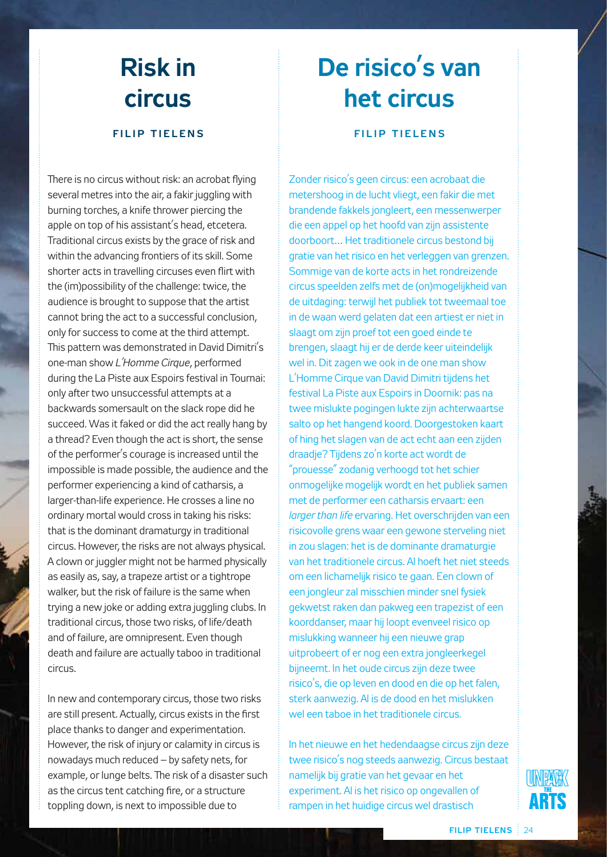## **Risk in circus**

### **FILIP TIELENS**

There is no circus without risk: an acrobat flying several metres into the air, a fakir juggling with burning torches, a knife thrower piercing the apple on top of his assistant's head, etcetera. Traditional circus exists by the grace of risk and within the advancing frontiers of its skill. Some shorter acts in travelling circuses even flirt with the (im)possibility of the challenge: twice, the audience is brought to suppose that the artist cannot bring the act to a successful conclusion, only for success to come at the third attempt. This pattern was demonstrated in David Dimitri's one-man show *L'Homme Cirque*, performed during the La Piste aux Espoirs festival in Tournai: only after two unsuccessful attempts at a backwards somersault on the slack rope did he succeed. Was it faked or did the act really hang by a thread? Even though the act is short, the sense of the performer's courage is increased until the impossible is made possible, the audience and the performer experiencing a kind of catharsis, a larger-than-life experience. He crosses a line no ordinary mortal would cross in taking his risks: that is the dominant dramaturgy in traditional circus. However, the risks are not always physical. A clown or juggler might not be harmed physically as easily as, say, a trapeze artist or a tightrope walker, but the risk of failure is the same when trying a new joke or adding extra juggling clubs. In traditional circus, those two risks, of life/death and of failure, are omnipresent. Even though death and failure are actually taboo in traditional circus.

In new and contemporary circus, those two risks are still present. Actually, circus exists in the first place thanks to danger and experimentation. However, the risk of injury or calamity in circus is nowadays much reduced – by safety nets, for example, or lunge belts. The risk of a disaster such as the circus tent catching fire, or a structure toppling down, is next to impossible due to

# **De risico's van het circus**

#### **FILIP TIELENS**

Zonder risico's geen circus: een acrobaat die metershoog in de lucht vliegt, een fakir die met brandende fakkels jongleert, een messenwerper die een appel op het hoofd van zijn assistente doorboort… Het traditionele circus bestond bij gratie van het risico en het verleggen van grenzen. Sommige van de korte acts in het rondreizende circus speelden zelfs met de (on)mogelijkheid van de uitdaging: terwijl het publiek tot tweemaal toe in de waan werd gelaten dat een artiest er niet in slaagt om zijn proef tot een goed einde te brengen, slaagt hij er de derde keer uiteindelijk wel in. Dit zagen we ook in de one man show L'Homme Cirque van David Dimitri tijdens het festival La Piste aux Espoirs in Doornik: pas na twee mislukte pogingen lukte zijn achterwaartse salto op het hangend koord. Doorgestoken kaart of hing het slagen van de act echt aan een zijden draadje? Tijdens zo'n korte act wordt de "prouesse" zodanig verhoogd tot het schier onmogelijke mogelijk wordt en het publiek samen met de performer een catharsis ervaart: een *larger than life* ervaring. Het overschrijden van een risicovolle grens waar een gewone sterveling niet in zou slagen: het is de dominante dramaturgie van het traditionele circus. Al hoeft het niet steeds om een lichamelijk risico te gaan. Een clown of een jongleur zal misschien minder snel fysiek gekwetst raken dan pakweg een trapezist of een koorddanser, maar hij loopt evenveel risico op mislukking wanneer hij een nieuwe grap uitprobeert of er nog een extra jongleerkegel bijneemt. In het oude circus zijn deze twee risico's, die op leven en dood en die op het falen, sterk aanwezig. Al is de dood en het mislukken wel een taboe in het traditionele circus.

In het nieuwe en het hedendaagse circus zijn deze twee risico's nog steeds aanwezig. Circus bestaat namelijk bij gratie van het gevaar en het experiment. Al is het risico op ongevallen of rampen in het huidige circus wel drastisch

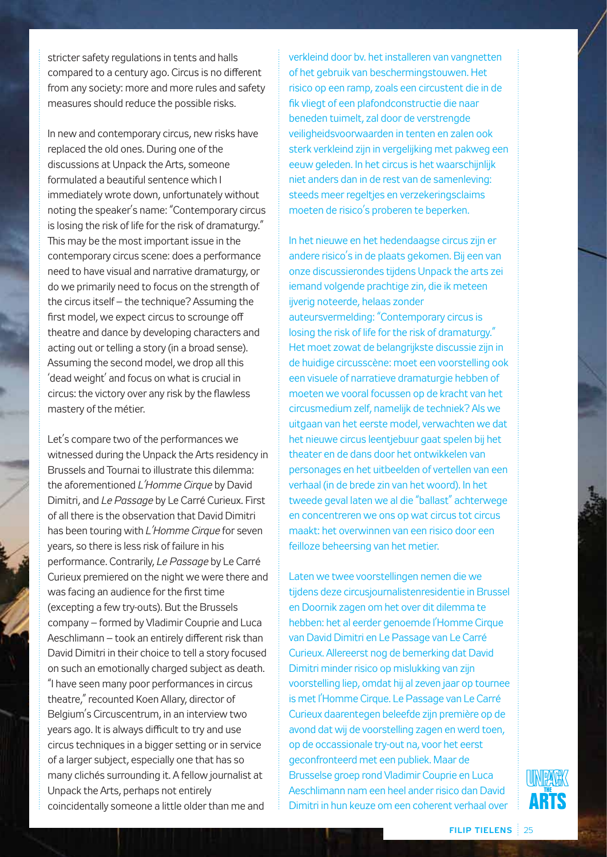stricter safety regulations in tents and halls compared to a century ago. Circus is no different from any society: more and more rules and safety measures should reduce the possible risks.

In new and contemporary circus, new risks have replaced the old ones. During one of the discussions at Unpack the Arts, someone formulated a beautiful sentence which I immediately wrote down, unfortunately without noting the speaker's name: "Contemporary circus is losing the risk of life for the risk of dramaturgy." This may be the most important issue in the contemporary circus scene: does a performance need to have visual and narrative dramaturgy, or do we primarily need to focus on the strength of the circus itself – the technique? Assuming the first model, we expect circus to scrounge off theatre and dance by developing characters and acting out or telling a story (in a broad sense). Assuming the second model, we drop all this 'dead weight' and focus on what is crucial in circus: the victory over any risk by the flawless mastery of the métier.

Let's compare two of the performances we witnessed during the Unpack the Arts residency in Brussels and Tournai to illustrate this dilemma: the aforementioned *L'Homme Cirque* by David Dimitri, and *Le Passage* by Le Carré Curieux. First of all there is the observation that David Dimitri has been touring with *L'Homme Cirque* for seven years, so there is less risk of failure in his performance. Contrarily, *Le Passage* by Le Carré Curieux premiered on the night we were there and was facing an audience for the first time (excepting a few try-outs). But the Brussels company – formed by Vladimir Couprie and Luca Aeschlimann – took an entirely different risk than David Dimitri in their choice to tell a story focused on such an emotionally charged subject as death. "I have seen many poor performances in circus theatre," recounted Koen Allary, director of Belgium's Circuscentrum, in an interview two years ago. It is always difficult to try and use circus techniques in a bigger setting or in service of a larger subject, especially one that has so many clichés surrounding it. A fellow journalist at Unpack the Arts, perhaps not entirely coincidentally someone a little older than me and

verkleind door bv. het installeren van vangnetten of het gebruik van beschermingstouwen. Het risico op een ramp, zoals een circustent die in de fik vliegt of een plafondconstructie die naar beneden tuimelt, zal door de verstrengde veiligheidsvoorwaarden in tenten en zalen ook sterk verkleind zijn in vergelijking met pakweg een eeuw geleden. In het circus is het waarschijnlijk niet anders dan in de rest van de samenleving: steeds meer regeltjes en verzekeringsclaims moeten de risico's proberen te beperken.

In het nieuwe en het hedendaagse circus zijn er andere risico's in de plaats gekomen. Bij een van onze discussierondes tijdens Unpack the arts zei iemand volgende prachtige zin, die ik meteen ijverig noteerde, helaas zonder auteursvermelding: "Contemporary circus is losing the risk of life for the risk of dramaturgy." Het moet zowat de belangrijkste discussie zijn in de huidige circusscène: moet een voorstelling ook een visuele of narratieve dramaturgie hebben of moeten we vooral focussen op de kracht van het circusmedium zelf, namelijk de techniek? Als we uitgaan van het eerste model, verwachten we dat het nieuwe circus leentjebuur gaat spelen bij het theater en de dans door het ontwikkelen van personages en het uitbeelden of vertellen van een verhaal (in de brede zin van het woord). In het tweede geval laten we al die "ballast" achterwege en concentreren we ons op wat circus tot circus maakt: het overwinnen van een risico door een feilloze beheersing van het metier.

Laten we twee voorstellingen nemen die we tijdens deze circusjournalistenresidentie in Brussel en Doornik zagen om het over dit dilemma te hebben: het al eerder genoemde l'Homme Cirque van David Dimitri en Le Passage van Le Carré Curieux. Allereerst nog de bemerking dat David Dimitri minder risico op mislukking van zijn voorstelling liep, omdat hij al zeven jaar op tournee is met l'Homme Cirque. Le Passage van Le Carré Curieux daarentegen beleefde zijn première op de avond dat wij de voorstelling zagen en werd toen, op de occassionale try-out na, voor het eerst geconfronteerd met een publiek. Maar de Brusselse groep rond Vladimir Couprie en Luca Aeschlimann nam een heel ander risico dan David Dimitri in hun keuze om een coherent verhaal over

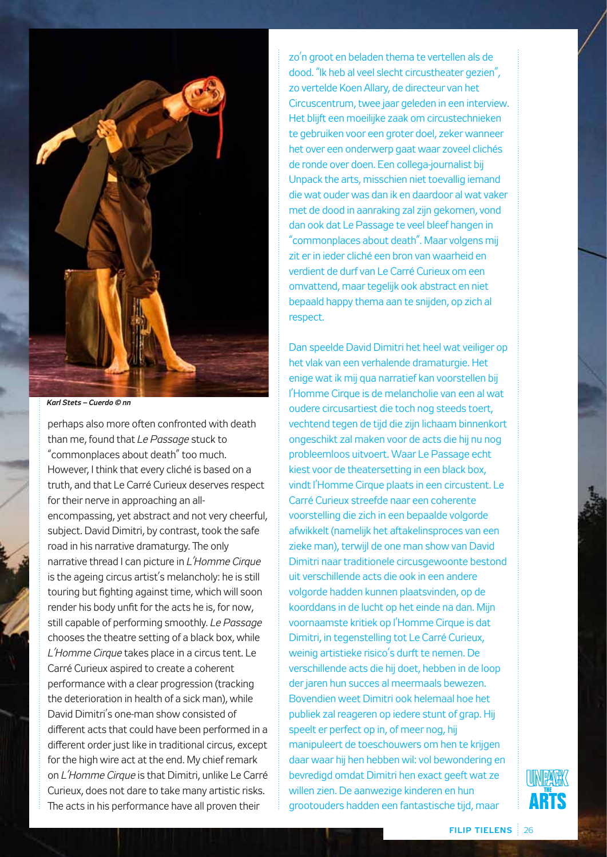

*Karl Stets – Cuerdo © nn*

perhaps also more often confronted with death than me, found that *Le Passage* stuck to "commonplaces about death" too much. However, I think that every cliché is based on a truth, and that Le Carré Curieux deserves respect for their nerve in approaching an allencompassing, yet abstract and not very cheerful, subject. David Dimitri, by contrast, took the safe road in his narrative dramaturgy. The only narrative thread I can picture in *L'Homme Cirque* is the ageing circus artist's melancholy: he is still touring but fighting against time, which will soon render his body unfit for the acts he is, for now, still capable of performing smoothly. *Le Passage* chooses the theatre setting of a black box, while *L'Homme Cirque* takes place in a circus tent. Le Carré Curieux aspired to create a coherent performance with a clear progression (tracking the deterioration in health of a sick man), while David Dimitri's one-man show consisted of different acts that could have been performed in a different order just like in traditional circus, except for the high wire act at the end. My chief remark on *L'Homme Cirque* is that Dimitri, unlike Le Carré Curieux, does not dare to take many artistic risks. The acts in his performance have all proven their

zo'n groot en beladen thema te vertellen als de dood. "Ik heb al veel slecht circustheater gezien", zo vertelde Koen Allary, de directeur van het Circuscentrum, twee jaar geleden in een interview. Het blijft een moeilijke zaak om circustechnieken te gebruiken voor een groter doel, zeker wanneer het over een onderwerp gaat waar zoveel clichés de ronde over doen. Een collega-journalist bij Unpack the arts, misschien niet toevallig iemand die wat ouder was dan ik en daardoor al wat vaker met de dood in aanraking zal zijn gekomen, vond dan ook dat Le Passage te veel bleef hangen in "commonplaces about death". Maar volgens mij zit er in ieder cliché een bron van waarheid en verdient de durf van Le Carré Curieux om een omvattend, maar tegelijk ook abstract en niet bepaald happy thema aan te snijden, op zich al respect.

Dan speelde David Dimitri het heel wat veiliger op het vlak van een verhalende dramaturgie. Het enige wat ik mij qua narratief kan voorstellen bij l'Homme Cirque is de melancholie van een al wat oudere circusartiest die toch nog steeds toert, vechtend tegen de tijd die zijn lichaam binnenkort ongeschikt zal maken voor de acts die hij nu nog probleemloos uitvoert. Waar Le Passage echt kiest voor de theatersetting in een black box, vindt l'Homme Cirque plaats in een circustent. Le Carré Curieux streefde naar een coherente voorstelling die zich in een bepaalde volgorde afwikkelt (namelijk het aftakelinsproces van een zieke man), terwijl de one man show van David Dimitri naar traditionele circusgewoonte bestond uit verschillende acts die ook in een andere volgorde hadden kunnen plaatsvinden, op de koorddans in de lucht op het einde na dan. Mijn voornaamste kritiek op l'Homme Cirque is dat Dimitri, in tegenstelling tot Le Carré Curieux, weinig artistieke risico's durft te nemen. De verschillende acts die hij doet, hebben in de loop der jaren hun succes al meermaals bewezen. Bovendien weet Dimitri ook helemaal hoe het publiek zal reageren op iedere stunt of grap. Hij speelt er perfect op in, of meer nog, hij manipuleert de toeschouwers om hen te krijgen daar waar hij hen hebben wil: vol bewondering en bevredigd omdat Dimitri hen exact geeft wat ze willen zien. De aanwezige kinderen en hun grootouders hadden een fantastische tijd, maar

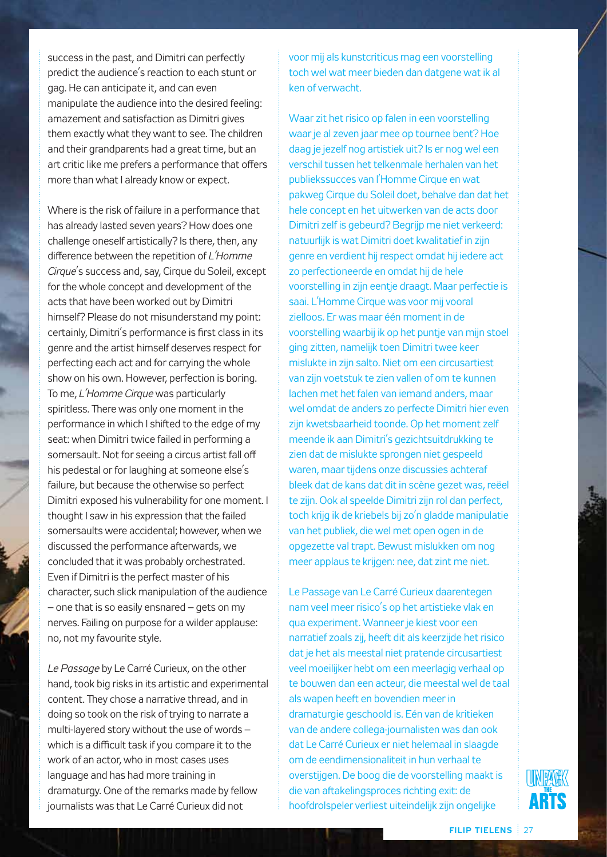success in the past, and Dimitri can perfectly predict the audience's reaction to each stunt or gag. He can anticipate it, and can even manipulate the audience into the desired feeling: amazement and satisfaction as Dimitri gives them exactly what they want to see. The children and their grandparents had a great time, but an art critic like me prefers a performance that offers more than what I already know or expect.

Where is the risk of failure in a performance that has already lasted seven years? How does one challenge oneself artistically? Is there, then, any difference between the repetition of *L'Homme Cirque*'s success and, say, Cirque du Soleil, except for the whole concept and development of the acts that have been worked out by Dimitri himself? Please do not misunderstand my point: certainly, Dimitri's performance is first class in its genre and the artist himself deserves respect for perfecting each act and for carrying the whole show on his own. However, perfection is boring. To me, *L'Homme Cirque* was particularly spiritless. There was only one moment in the performance in which I shifted to the edge of my seat: when Dimitri twice failed in performing a somersault. Not for seeing a circus artist fall off his pedestal or for laughing at someone else's failure, but because the otherwise so perfect Dimitri exposed his vulnerability for one moment. I thought I saw in his expression that the failed somersaults were accidental; however, when we discussed the performance afterwards, we concluded that it was probably orchestrated. Even if Dimitri is the perfect master of his character, such slick manipulation of the audience – one that is so easily ensnared – gets on my nerves. Failing on purpose for a wilder applause: no, not my favourite style.

*Le Passage* by Le Carré Curieux, on the other hand, took big risks in its artistic and experimental content. They chose a narrative thread, and in doing so took on the risk of trying to narrate a multi-layered story without the use of words – which is a difficult task if you compare it to the work of an actor, who in most cases uses language and has had more training in dramaturgy. One of the remarks made by fellow journalists was that Le Carré Curieux did not

voor mij als kunstcriticus mag een voorstelling toch wel wat meer bieden dan datgene wat ik al ken of verwacht.

Waar zit het risico op falen in een voorstelling waar je al zeven jaar mee op tournee bent? Hoe daag je jezelf nog artistiek uit? Is er nog wel een verschil tussen het telkenmale herhalen van het publiekssucces van l'Homme Cirque en wat pakweg Cirque du Soleil doet, behalve dan dat het hele concept en het uitwerken van de acts door Dimitri zelf is gebeurd? Begrijp me niet verkeerd: natuurlijk is wat Dimitri doet kwalitatief in zijn genre en verdient hij respect omdat hij iedere act zo perfectioneerde en omdat hij de hele voorstelling in zijn eentje draagt. Maar perfectie is saai. L'Homme Cirque was voor mij vooral zielloos. Er was maar één moment in de voorstelling waarbij ik op het puntje van mijn stoel ging zitten, namelijk toen Dimitri twee keer mislukte in zijn salto. Niet om een circusartiest van zijn voetstuk te zien vallen of om te kunnen lachen met het falen van iemand anders, maar wel omdat de anders zo perfecte Dimitri hier even zijn kwetsbaarheid toonde. Op het moment zelf meende ik aan Dimitri's gezichtsuitdrukking te zien dat de mislukte sprongen niet gespeeld waren, maar tijdens onze discussies achteraf bleek dat de kans dat dit in scène gezet was, reëel te zijn. Ook al speelde Dimitri zijn rol dan perfect, toch krijg ik de kriebels bij zo'n gladde manipulatie van het publiek, die wel met open ogen in de opgezette val trapt. Bewust mislukken om nog meer applaus te krijgen: nee, dat zint me niet.

Le Passage van Le Carré Curieux daarentegen nam veel meer risico's op het artistieke vlak en qua experiment. Wanneer je kiest voor een narratief zoals zij, heeft dit als keerzijde het risico dat je het als meestal niet pratende circusartiest veel moeilijker hebt om een meerlagig verhaal op te bouwen dan een acteur, die meestal wel de taal als wapen heeft en bovendien meer in dramaturgie geschoold is. Eén van de kritieken van de andere collega-journalisten was dan ook dat Le Carré Curieux er niet helemaal in slaagde om de eendimensionaliteit in hun verhaal te overstijgen. De boog die de voorstelling maakt is die van aftakelingsproces richting exit: de hoofdrolspeler verliest uiteindelijk zijn ongelijke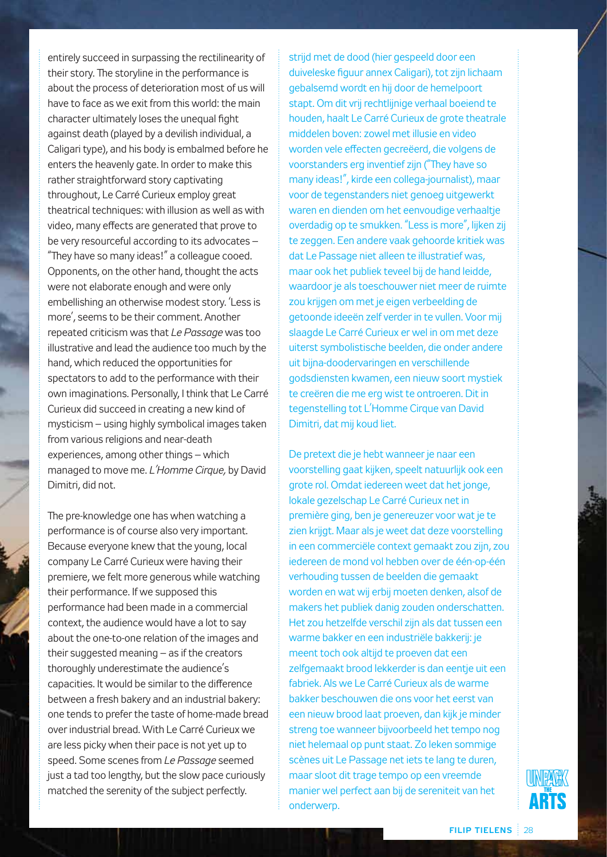entirely succeed in surpassing the rectilinearity of their story. The storyline in the performance is about the process of deterioration most of us will have to face as we exit from this world: the main character ultimately loses the unequal fight against death (played by a devilish individual, a Caligari type), and his body is embalmed before he enters the heavenly gate. In order to make this rather straightforward story captivating throughout, Le Carré Curieux employ great theatrical techniques: with illusion as well as with video, many effects are generated that prove to be very resourceful according to its advocates – "They have so many ideas!" a colleague cooed. Opponents, on the other hand, thought the acts were not elaborate enough and were only embellishing an otherwise modest story. 'Less is more', seems to be their comment. Another repeated criticism was that *Le Passage* was too illustrative and lead the audience too much by the hand, which reduced the opportunities for spectators to add to the performance with their own imaginations. Personally, I think that Le Carré Curieux did succeed in creating a new kind of mysticism – using highly symbolical images taken from various religions and near-death experiences, among other things – which managed to move me. *L'Homme Cirque,* by David Dimitri, did not.

The pre-knowledge one has when watching a performance is of course also very important. Because everyone knew that the young, local company Le Carré Curieux were having their premiere, we felt more generous while watching their performance. If we supposed this performance had been made in a commercial context, the audience would have a lot to say about the one-to-one relation of the images and their suggested meaning – as if the creators thoroughly underestimate the audience's capacities. It would be similar to the difference between a fresh bakery and an industrial bakery: one tends to prefer the taste of home-made bread over industrial bread. With Le Carré Curieux we are less picky when their pace is not yet up to speed. Some scenes from *Le Passage* seemed just a tad too lengthy, but the slow pace curiously matched the serenity of the subject perfectly.

strijd met de dood (hier gespeeld door een duiveleske figuur annex Caligari), tot zijn lichaam gebalsemd wordt en hij door de hemelpoort stapt. Om dit vrij rechtlijnige verhaal boeiend te houden, haalt Le Carré Curieux de grote theatrale middelen boven: zowel met illusie en video worden vele effecten gecreëerd, die volgens de voorstanders erg inventief zijn ("They have so many ideas!", kirde een collega-journalist), maar voor de tegenstanders niet genoeg uitgewerkt waren en dienden om het eenvoudige verhaaltje overdadig op te smukken. "Less is more", lijken zij te zeggen. Een andere vaak gehoorde kritiek was dat Le Passage niet alleen te illustratief was, maar ook het publiek teveel bij de hand leidde, waardoor je als toeschouwer niet meer de ruimte zou krijgen om met je eigen verbeelding de getoonde ideeën zelf verder in te vullen. Voor mij slaagde Le Carré Curieux er wel in om met deze uiterst symbolistische beelden, die onder andere uit bijna-doodervaringen en verschillende godsdiensten kwamen, een nieuw soort mystiek te creëren die me erg wist te ontroeren. Dit in tegenstelling tot L'Homme Cirque van David Dimitri, dat mij koud liet.

De pretext die je hebt wanneer je naar een voorstelling gaat kijken, speelt natuurlijk ook een grote rol. Omdat iedereen weet dat het jonge, lokale gezelschap Le Carré Curieux net in première ging, ben je genereuzer voor wat je te zien krijgt. Maar als je weet dat deze voorstelling in een commerciële context gemaakt zou zijn, zou iedereen de mond vol hebben over de één-op-één verhouding tussen de beelden die gemaakt worden en wat wij erbij moeten denken, alsof de makers het publiek danig zouden onderschatten. Het zou hetzelfde verschil zijn als dat tussen een warme bakker en een industriële bakkerij: je meent toch ook altijd te proeven dat een zelfgemaakt brood lekkerder is dan eentje uit een fabriek. Als we Le Carré Curieux als de warme bakker beschouwen die ons voor het eerst van een nieuw brood laat proeven, dan kijk je minder streng toe wanneer bijvoorbeeld het tempo nog niet helemaal op punt staat. Zo leken sommige scènes uit Le Passage net iets te lang te duren, maar sloot dit trage tempo op een vreemde manier wel perfect aan bij de sereniteit van het onderwerp.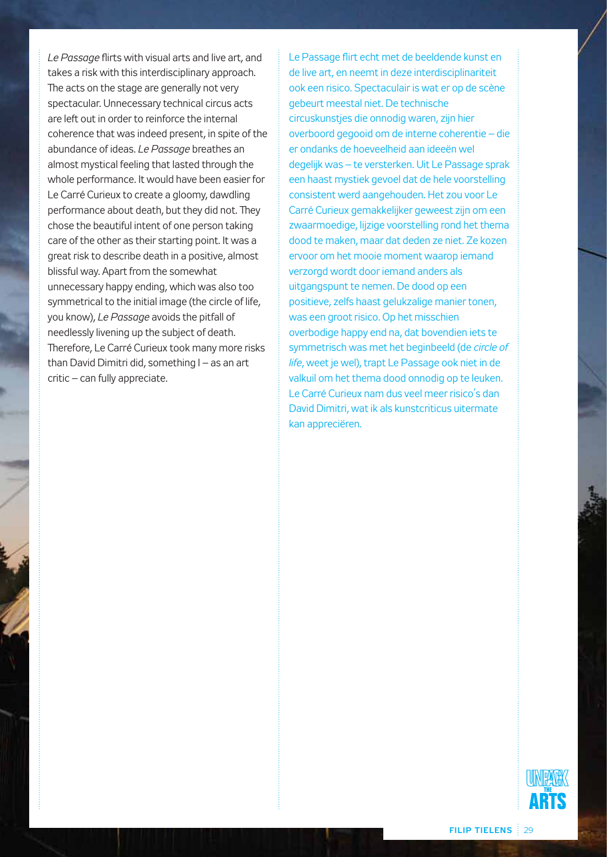*Le Passage* flirts with visual arts and live art, and takes a risk with this interdisciplinary approach. The acts on the stage are generally not very spectacular. Unnecessary technical circus acts are left out in order to reinforce the internal coherence that was indeed present, in spite of the abundance of ideas. *Le Passage* breathes an almost mystical feeling that lasted through the whole performance. It would have been easier for Le Carré Curieux to create a gloomy, dawdling performance about death, but they did not. They chose the beautiful intent of one person taking care of the other as their starting point. It was a great risk to describe death in a positive, almost blissful way. Apart from the somewhat unnecessary happy ending, which was also too symmetrical to the initial image (the circle of life, you know), *Le Passage* avoids the pitfall of needlessly livening up the subject of death. Therefore, Le Carré Curieux took many more risks than David Dimitri did, something I – as an art critic – can fully appreciate.

Le Passage flirt echt met de beeldende kunst en de live art, en neemt in deze interdisciplinariteit ook een risico. Spectaculair is wat er op de scène gebeurt meestal niet. De technische circuskunstjes die onnodig waren, zijn hier overboord gegooid om de interne coherentie – die er ondanks de hoeveelheid aan ideeën wel degelijk was – te versterken. Uit Le Passage sprak een haast mystiek gevoel dat de hele voorstelling consistent werd aangehouden. Het zou voor Le Carré Curieux gemakkelijker geweest zijn om een zwaarmoedige, lijzige voorstelling rond het thema dood te maken, maar dat deden ze niet. Ze kozen ervoor om het mooie moment waarop iemand verzorgd wordt door iemand anders als uitgangspunt te nemen. De dood op een positieve, zelfs haast gelukzalige manier tonen, was een groot risico. Op het misschien overbodige happy end na, dat bovendien iets te symmetrisch was met het beginbeeld (de *circle of life*, weet je wel), trapt Le Passage ook niet in de valkuil om het thema dood onnodig op te leuken. Le Carré Curieux nam dus veel meer risico's dan David Dimitri, wat ik als kunstcriticus uitermate kan appreciëren.

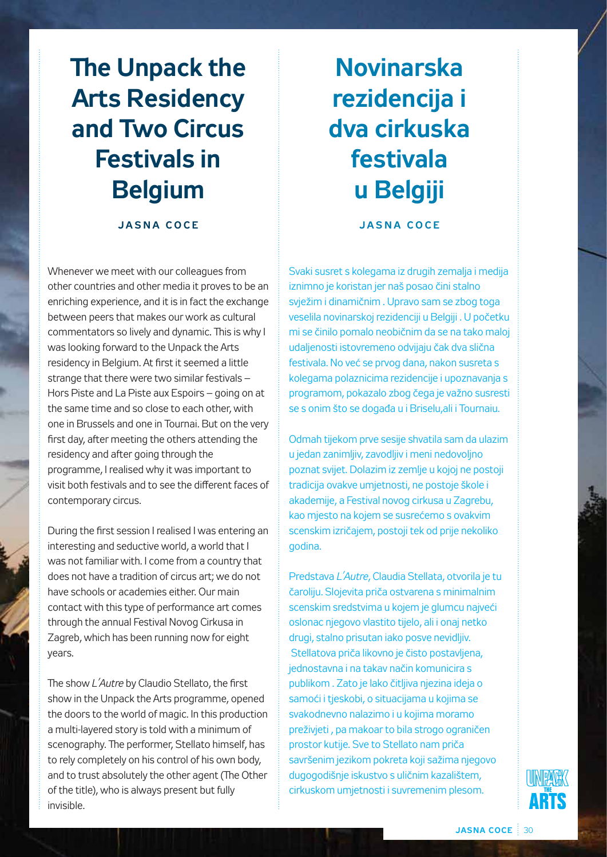# **The Unpack the Arts Residency and Two Circus Festivals in Belgium**

#### **ja s n a c o c e**

Whenever we meet with our colleagues from other countries and other media it proves to be an enriching experience, and it is in fact the exchange between peers that makes our work as cultural commentators so lively and dynamic. This is why I was looking forward to the Unpack the Arts residency in Belgium. At first it seemed a little strange that there were two similar festivals – Hors Piste and La Piste aux Espoirs – going on at the same time and so close to each other, with one in Brussels and one in Tournai. But on the very first day, after meeting the others attending the residency and after going through the programme, I realised why it was important to visit both festivals and to see the different faces of contemporary circus.

During the first session I realised I was entering an interesting and seductive world, a world that I was not familiar with. I come from a country that does not have a tradition of circus art; we do not have schools or academies either. Our main contact with this type of performance art comes through the annual Festival Novog Cirkusa in Zagreb, which has been running now for eight years.

The show *L'Autre* by Claudio Stellato, the first show in the Unpack the Arts programme, opened the doors to the world of magic. In this production a multi-layered story is told with a minimum of scenography. The performer, Stellato himself, has to rely completely on his control of his own body, and to trust absolutely the other agent (The Other of the title), who is always present but fully invisible.

# **Novinarska rezidencija i dva cirkuska festivala u Belgiji**

**ja s n a c o c e**

Svaki susret s kolegama iz drugih zemalja i medija iznimno je koristan jer naš posao čini stalno svježim i dinamičnim . Upravo sam se zbog toga veselila novinarskoj rezidenciji u Belgiji . U početku mi se činilo pomalo neobičnim da se na tako maloj udaljenosti istovremeno odvijaju čak dva slična festivala. No već se prvog dana, nakon susreta s kolegama polaznicima rezidencije i upoznavanja s programom, pokazalo zbog čega je važno susresti se s onim što se događa u i Briselu,ali i Tournaiu.

Odmah tijekom prve sesije shvatila sam da ulazim u jedan zanimljiv, zavodljiv i meni nedovoljno poznat svijet. Dolazim iz zemlje u kojoj ne postoji tradicija ovakve umjetnosti, ne postoje škole i akademije, a Festival novog cirkusa u Zagrebu, kao mjesto na kojem se susrećemo s ovakvim scenskim izričajem, postoji tek od prije nekoliko godina.

Predstava *L'Autre*, Claudia Stellata, otvorila je tu čaroliju. Slojevita priča ostvarena s minimalnim scenskim sredstvima u kojem je glumcu najveći oslonac njegovo vlastito tijelo, ali i onaj netko drugi, stalno prisutan iako posve nevidljiv. Stellatova priča likovno je čisto postavljena, jednostavna i na takav način komunicira s publikom . Zato je lako čitljiva njezina ideja o samoći i tjeskobi, o situacijama u kojima se svakodnevno nalazimo i u kojima moramo preživjeti , pa makoar to bila strogo ograničen prostor kutije. Sve to Stellato nam priča savršenim jezikom pokreta koji sažima njegovo dugogodišnje iskustvo s uličnim kazalištem, cirkuskom umjetnosti i suvremenim plesom.

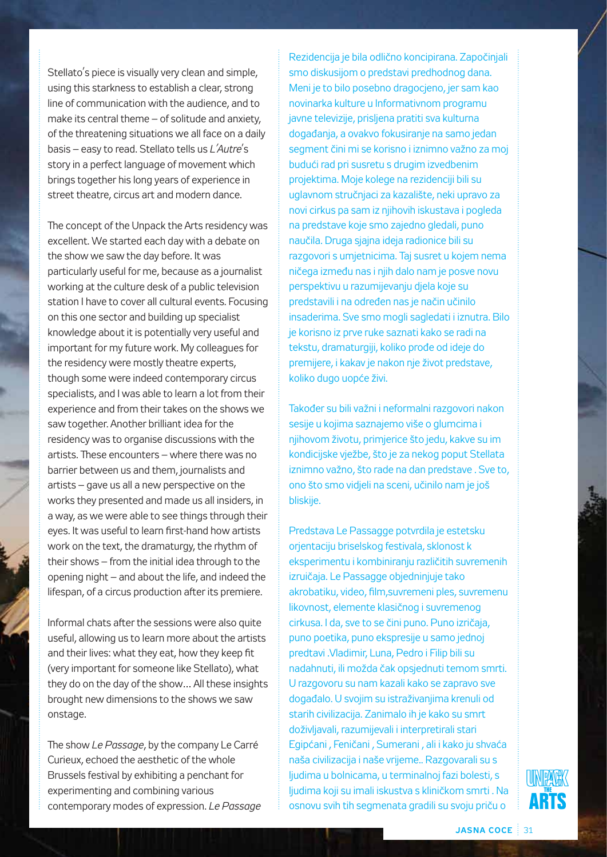Stellato's piece is visually very clean and simple, using this starkness to establish a clear, strong line of communication with the audience, and to make its central theme – of solitude and anxiety, of the threatening situations we all face on a daily basis – easy to read. Stellato tells us *L'Autre*'s story in a perfect language of movement which brings together his long years of experience in street theatre, circus art and modern dance.

The concept of the Unpack the Arts residency was excellent. We started each day with a debate on the show we saw the day before. It was particularly useful for me, because as a journalist working at the culture desk of a public television station I have to cover all cultural events. Focusing on this one sector and building up specialist knowledge about it is potentially very useful and important for my future work. My colleagues for the residency were mostly theatre experts, though some were indeed contemporary circus specialists, and I was able to learn a lot from their experience and from their takes on the shows we saw together. Another brilliant idea for the residency was to organise discussions with the artists. These encounters – where there was no barrier between us and them, journalists and artists – gave us all a new perspective on the works they presented and made us all insiders, in a way, as we were able to see things through their eyes. It was useful to learn first-hand how artists work on the text, the dramaturgy, the rhythm of their shows – from the initial idea through to the opening night – and about the life, and indeed the lifespan, of a circus production after its premiere.

Informal chats after the sessions were also quite useful, allowing us to learn more about the artists and their lives: what they eat, how they keep fit (very important for someone like Stellato), what they do on the day of the show… All these insights brought new dimensions to the shows we saw onstage.

The show *Le Passage*, by the company Le Carré Curieux, echoed the aesthetic of the whole Brussels festival by exhibiting a penchant for experimenting and combining various contemporary modes of expression. *Le Passage*

Rezidencija je bila odlično koncipirana. Započinjali smo diskusijom o predstavi predhodnog dana. Meni je to bilo posebno dragocjeno, jer sam kao novinarka kulture u Informativnom programu javne televizije, prisljena pratiti sva kulturna događanja, a ovakvo fokusiranje na samo jedan segment čini mi se korisno i iznimno važno za moj budući rad pri susretu s drugim izvedbenim projektima. Moje kolege na rezidenciji bili su uglavnom stručnjaci za kazalište, neki upravo za novi cirkus pa sam iz njihovih iskustava i pogleda na predstave koje smo zajedno gledali, puno naučila. Druga sjajna ideja radionice bili su razgovori s umjetnicima. Taj susret u kojem nema ničega između nas i njih dalo nam je posve novu perspektivu u razumijevanju djela koje su predstavili i na određen nas je način učinilo insaderima. Sve smo mogli sagledati i iznutra. Bilo je korisno iz prve ruke saznati kako se radi na tekstu, dramaturgiji, koliko prođe od ideje do premijere, i kakav je nakon nje život predstave, koliko dugo uopće živi.

Također su bili važni i neformalni razgovori nakon sesije u kojima saznajemo više o glumcima i njihovom životu, primjerice što jedu, kakve su im kondicijske vježbe, što je za nekog poput Stellata iznimno važno, što rade na dan predstave . Sve to, ono što smo vidjeli na sceni, učinilo nam je još bliskije.

Predstava Le Passagge potvrdila je estetsku orjentaciju briselskog festivala, sklonost k eksperimentu i kombiniranju različitih suvremenih izruičaja. Le Passagge objedninjuje tako akrobatiku, video, film,suvremeni ples, suvremenu likovnost, elemente klasičnog i suvremenog cirkusa. I da, sve to se čini puno. Puno izričaja, puno poetika, puno ekspresije u samo jednoj predtavi .Vladimir, Luna, Pedro i Filip bili su nadahnuti, ili možda čak opsjednuti temom smrti. U razgovoru su nam kazali kako se zapravo sve događalo. U svojim su istraživanjima krenuli od starih civilizacija. Zanimalo ih je kako su smrt doživljavali, razumijevali i interpretirali stari Egipćani , Feničani , Sumerani , ali i kako ju shvaća naša civilizacija i naše vrijeme.. Razgovarali su s ljudima u bolnicama, u terminalnoj fazi bolesti, s ljudima koji su imali iskustva s kliničkom smrti . Na osnovu svih tih segmenata gradili su svoju priču o

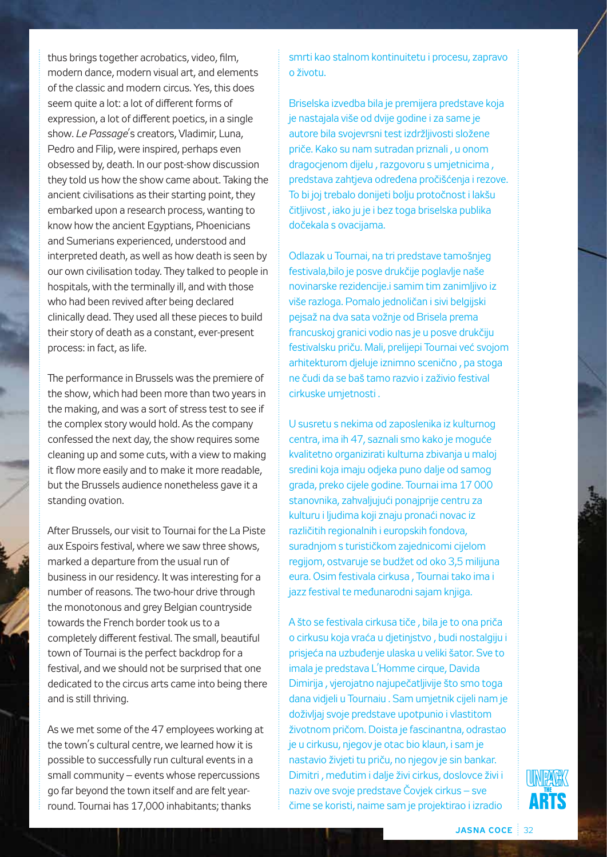thus brings together acrobatics, video, film, modern dance, modern visual art, and elements of the classic and modern circus. Yes, this does seem quite a lot: a lot of different forms of expression, a lot of different poetics, in a single show. *Le Passage*'s creators, Vladimir, Luna, Pedro and Filip, were inspired, perhaps even obsessed by, death. In our post-show discussion they told us how the show came about. Taking the ancient civilisations as their starting point, they embarked upon a research process, wanting to know how the ancient Egyptians, Phoenicians and Sumerians experienced, understood and interpreted death, as well as how death is seen by our own civilisation today. They talked to people in hospitals, with the terminally ill, and with those who had been revived after being declared clinically dead. They used all these pieces to build their story of death as a constant, ever-present process: in fact, as life.

The performance in Brussels was the premiere of the show, which had been more than two years in the making, and was a sort of stress test to see if the complex story would hold. As the company confessed the next day, the show requires some cleaning up and some cuts, with a view to making it flow more easily and to make it more readable, but the Brussels audience nonetheless gave it a standing ovation.

After Brussels, our visit to Tournai for the La Piste aux Espoirs festival, where we saw three shows, marked a departure from the usual run of business in our residency. It was interesting for a number of reasons. The two-hour drive through the monotonous and grey Belgian countryside towards the French border took us to a completely different festival. The small, beautiful town of Tournai is the perfect backdrop for a festival, and we should not be surprised that one dedicated to the circus arts came into being there and is still thriving.

As we met some of the 47 employees working at the town's cultural centre, we learned how it is possible to successfully run cultural events in a small community – events whose repercussions go far beyond the town itself and are felt yearround. Tournai has 17,000 inhabitants; thanks

smrti kao stalnom kontinuitetu i procesu, zapravo o životu.

Briselska izvedba bila je premijera predstave koja je nastajala više od dvije godine i za same je autore bila svojevrsni test izdržljivosti složene priče. Kako su nam sutradan priznali , u onom dragocjenom dijelu , razgovoru s umjetnicima , predstava zahtjeva određena pročišćenja i rezove. To bi joj trebalo donijeti bolju protočnost i lakšu čitljivost , iako ju je i bez toga briselska publika dočekala s ovacijama.

Odlazak u Tournai, na tri predstave tamošnjeg festivala,bilo je posve drukčije poglavlje naše novinarske rezidencije.i samim tim zanimljivo iz više razloga. Pomalo jednoličan i sivi belgijski pejsaž na dva sata vožnje od Brisela prema francuskoj granici vodio nas je u posve drukčiju festivalsku priču. Mali, prelijepi Tournai već svojom arhitekturom djeluje iznimno scenično , pa stoga ne čudi da se baš tamo razvio i zaživio festival cirkuske umjetnosti .

U susretu s nekima od zaposlenika iz kulturnog centra, ima ih 47, saznali smo kako je moguće kvalitetno organizirati kulturna zbivanja u maloj sredini koja imaju odjeka puno dalje od samog grada, preko cijele godine. Tournai ima 17 000 stanovnika, zahvaljujući ponajprije centru za kulturu i ljudima koji znaju pronaći novac iz različitih regionalnih i europskih fondova, suradnjom s turističkom zajednicomi cijelom regijom, ostvaruje se budžet od oko 3,5 milijuna eura. Osim festivala cirkusa , Tournai tako ima i jazz festival te međunarodni sajam knjiga.

A što se festivala cirkusa tiče , bila je to ona priča o cirkusu koja vraća u djetinjstvo , budi nostalgiju i prisjeća na uzbuđenje ulaska u veliki šator. Sve to imala je predstava L'Homme cirque, Davida Dimirija , vjerojatno najupečatljivije što smo toga dana vidjeli u Tournaiu . Sam umjetnik cijeli nam je doživljaj svoje predstave upotpunio i vlastitom životnom pričom. Doista je fascinantna, odrastao je u cirkusu, njegov je otac bio klaun, i sam je nastavio živjeti tu priču, no njegov je sin bankar. Dimitri , međutim i dalje živi cirkus, doslovce živi i naziv ove svoje predstave Čovjek cirkus – sve čime se koristi, naime sam je projektirao i izradio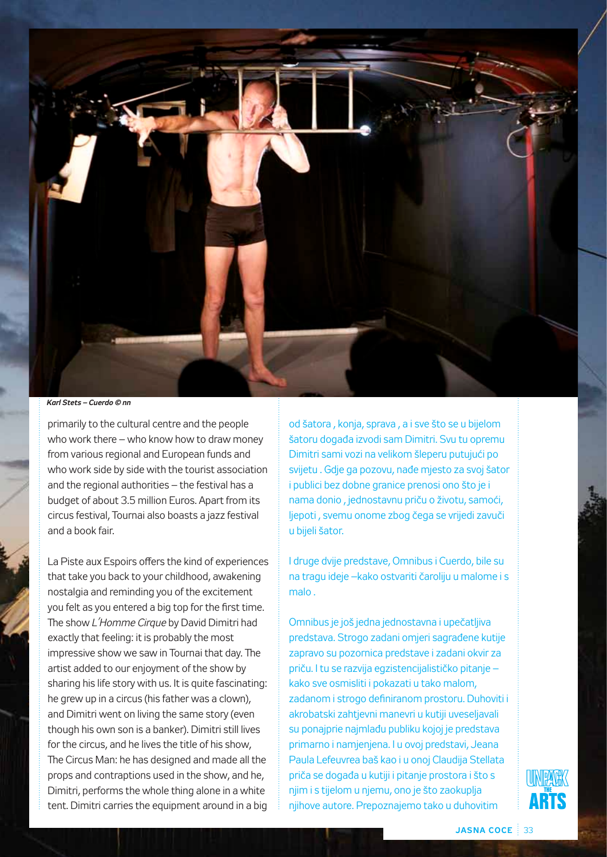

*Karl Stets – Cuerdo © nn*

primarily to the cultural centre and the people who work there – who know how to draw money from various regional and European funds and who work side by side with the tourist association and the regional authorities – the festival has a budget of about 3.5 million Euros. Apart from its circus festival, Tournai also boasts a jazz festival and a book fair.

La Piste aux Espoirs offers the kind of experiences that take you back to your childhood, awakening nostalgia and reminding you of the excitement you felt as you entered a big top for the first time. The show *L'Homme Cirque* by David Dimitri had exactly that feeling: it is probably the most impressive show we saw in Tournai that day. The artist added to our enjoyment of the show by sharing his life story with us. It is quite fascinating: he grew up in a circus (his father was a clown), and Dimitri went on living the same story (even though his own son is a banker). Dimitri still lives for the circus, and he lives the title of his show, The Circus Man: he has designed and made all the props and contraptions used in the show, and he, Dimitri, performs the whole thing alone in a white tent. Dimitri carries the equipment around in a big

od šatora , konja, sprava , a i sve što se u bijelom šatoru događa izvodi sam Dimitri. Svu tu opremu Dimitri sami vozi na velikom šleperu putujući po svijetu . Gdje ga pozovu, nađe mjesto za svoj šator i publici bez dobne granice prenosi ono što je i nama donio , jednostavnu priču o životu, samoći, ljepoti , svemu onome zbog čega se vrijedi zavuči u bijeli šator.

I druge dvije predstave, Omnibus i Cuerdo, bile su na tragu ideje –kako ostvariti čaroliju u malome i s malo .

Omnibus je još jedna jednostavna i upečatljiva predstava. Strogo zadani omjeri sagrađene kutije zapravo su pozornica predstave i zadani okvir za priču. I tu se razvija egzistencijalističko pitanje – kako sve osmisliti i pokazati u tako malom, zadanom i strogo definiranom prostoru. Duhoviti i akrobatski zahtjevni manevri u kutiji uveseljavali su ponajprie najmlađu publiku kojoj je predstava primarno i namjenjena. I u ovoj predstavi, Jeana Paula Lefeuvrea baš kao i u onoj Claudija Stellata priča se događa u kutiji i pitanje prostora i što s njim i s tijelom u njemu, ono je što zaokuplja njihove autore. Prepoznajemo tako u duhovitim

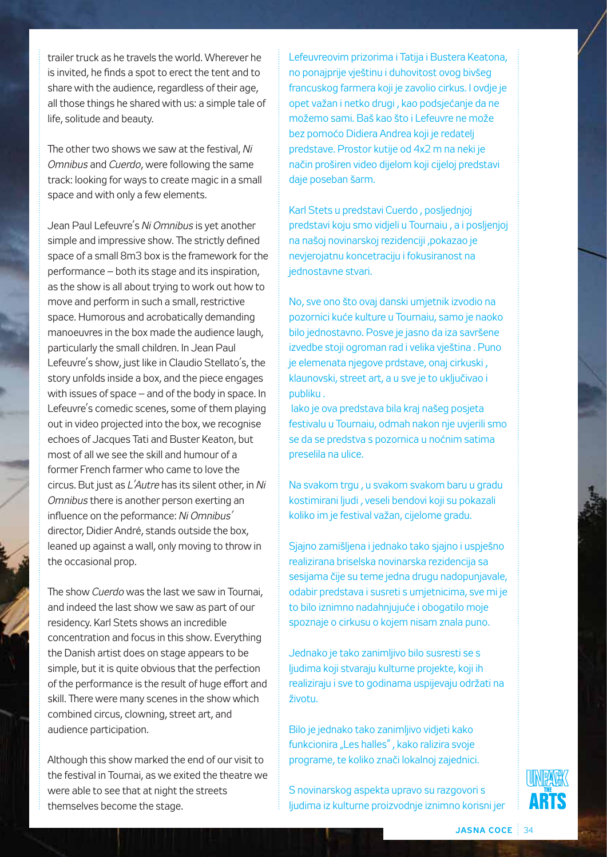trailer truck as he travels the world. Wherever he is invited, he finds a spot to erect the tent and to share with the audience, regardless of their age, all those things he shared with us: a simple tale of life, solitude and beauty.

The other two shows we saw at the festival, *Ni Omnibus* and *Cuerdo*, were following the same track: looking for ways to create magic in a small space and with only a few elements.

Jean Paul Lefeuvre's *Ni Omnibus* is yet another simple and impressive show. The strictly defined space of a small 8m3 box is the framework for the performance – both its stage and its inspiration, as the show is all about trying to work out how to move and perform in such a small, restrictive space. Humorous and acrobatically demanding manoeuvres in the box made the audience laugh, particularly the small children. In Jean Paul Lefeuvre's show, just like in Claudio Stellato's, the story unfolds inside a box, and the piece engages with issues of space – and of the body in space. In Lefeuvre's comedic scenes, some of them playing out in video projected into the box, we recognise echoes of Jacques Tati and Buster Keaton, but most of all we see the skill and humour of a former French farmer who came to love the circus. But just as *L'Autre* has its silent other, in *Ni Omnibus* there is another person exerting an influence on the peformance: *Ni Omnibus'* director, Didier André, stands outside the box, leaned up against a wall, only moving to throw in the occasional prop.

The show *Cuerdo* was the last we saw in Tournai, and indeed the last show we saw as part of our residency. Karl Stets shows an incredible concentration and focus in this show. Everything the Danish artist does on stage appears to be simple, but it is quite obvious that the perfection of the performance is the result of huge effort and skill. There were many scenes in the show which combined circus, clowning, street art, and audience participation.

Although this show marked the end of our visit to the festival in Tournai, as we exited the theatre we were able to see that at night the streets themselves become the stage.

Lefeuvreovim prizorima i Tatija i Bustera Keatona, no ponajprije vještinu i duhovitost ovog bivšeg francuskog farmera koji je zavolio cirkus. I ovdje je opet važan i netko drugi , kao podsjećanje da ne možemo sami. Baš kao što i Lefeuvre ne može bez pomoćo Didiera Andrea koji je redatelj predstave. Prostor kutije od 4x2 m na neki je način proširen video dijelom koji cijeloj predstavi daje poseban šarm.

Karl Stets u predstavi Cuerdo , posljednjoj predstavi koju smo vidjeli u Tournaiu , a i posljenjoj na našoj novinarskoj rezidenciji ,pokazao je nevjerojatnu koncetraciju i fokusiranost na jednostavne stvari.

No, sve ono što ovaj danski umjetnik izvodio na pozornici kuće kulture u Tournaiu, samo je naoko bilo jednostavno. Posve je jasno da iza savršene izvedbe stoji ogroman rad i velika vještina . Puno je elemenata njegove prdstave, onaj cirkuski , klaunovski, street art, a u sve je to uključivao i publiku .

 Iako je ova predstava bila kraj našeg posjeta festivalu u Tournaiu, odmah nakon nje uvjerili smo se da se predstva s pozornica u noćnim satima preselila na ulice.

Na svakom trgu , u svakom svakom baru u gradu kostimirani ljudi , veseli bendovi koji su pokazali koliko im je festival važan, cijelome gradu.

Sjajno zamišljena i jednako tako sjajno i uspješno realizirana briselska novinarska rezidencija sa sesijama čije su teme jedna drugu nadopunjavale, odabir predstava i susreti s umjetnicima, sve mi je to bilo iznimno nadahnjujuće i obogatilo moje spoznaje o cirkusu o kojem nisam znala puno.

Jednako je tako zanimljivo bilo susresti se s ljudima koji stvaraju kulturne projekte, koji ih realiziraju i sve to godinama uspijevaju održati na životu.

Bilo je jednako tako zanimljivo vidjeti kako funkcionira "Les halles", kako ralizira svoje programe, te koliko znači lokalnoj zajednici.

S novinarskog aspekta upravo su razgovori s ljudima iz kulturne proizvodnje iznimno korisni jer

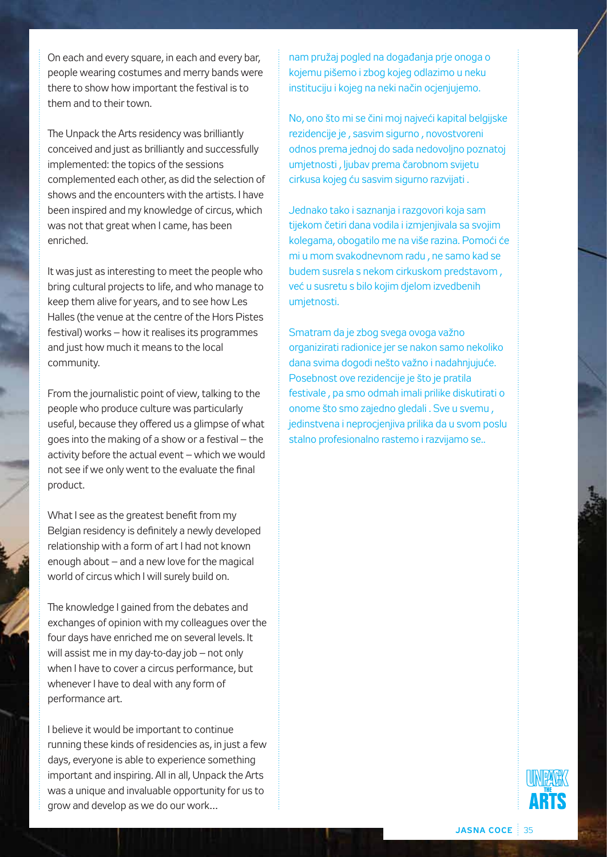On each and every square, in each and every bar, people wearing costumes and merry bands were there to show how important the festival is to them and to their town.

The Unpack the Arts residency was brilliantly conceived and just as brilliantly and successfully implemented: the topics of the sessions complemented each other, as did the selection of shows and the encounters with the artists. I have been inspired and my knowledge of circus, which was not that great when I came, has been enriched.

It was just as interesting to meet the people who bring cultural projects to life, and who manage to keep them alive for years, and to see how Les Halles (the venue at the centre of the Hors Pistes festival) works – how it realises its programmes and just how much it means to the local community.

From the journalistic point of view, talking to the people who produce culture was particularly useful, because they offered us a glimpse of what goes into the making of a show or a festival – the activity before the actual event – which we would not see if we only went to the evaluate the final product.

What I see as the greatest benefit from my Belgian residency is definitely a newly developed relationship with a form of art I had not known enough about – and a new love for the magical world of circus which I will surely build on.

The knowledge I gained from the debates and exchanges of opinion with my colleagues over the four days have enriched me on several levels. It will assist me in my day-to-day job – not only when I have to cover a circus performance, but whenever I have to deal with any form of performance art.

I believe it would be important to continue running these kinds of residencies as, in just a few days, everyone is able to experience something important and inspiring. All in all, Unpack the Arts was a unique and invaluable opportunity for us to grow and develop as we do our work…

nam pružaj pogled na događanja prje onoga o kojemu pišemo i zbog kojeg odlazimo u neku instituciju i kojeg na neki način ocjenjujemo.

No, ono što mi se čini moj najveći kapital belgijske rezidencije je , sasvim sigurno , novostvoreni odnos prema jednoj do sada nedovoljno poznatoj umjetnosti , ljubav prema čarobnom svijetu cirkusa kojeg ću sasvim sigurno razvijati .

Jednako tako i saznanja i razgovori koja sam tijekom četiri dana vodila i izmjenjivala sa svojim kolegama, obogatilo me na više razina. Pomoći će mi u mom svakodnevnom radu , ne samo kad se budem susrela s nekom cirkuskom predstavom , već u susretu s bilo kojim djelom izvedbenih umjetnosti.

Smatram da je zbog svega ovoga važno organizirati radionice jer se nakon samo nekoliko dana svima dogodi nešto važno i nadahnjujuće. Posebnost ove rezidencije je što je pratila festivale , pa smo odmah imali prilike diskutirati o onome što smo zajedno gledali . Sve u svemu , jedinstvena i neprocjenjiva prilika da u svom poslu stalno profesionalno rastemo i razvijamo se..

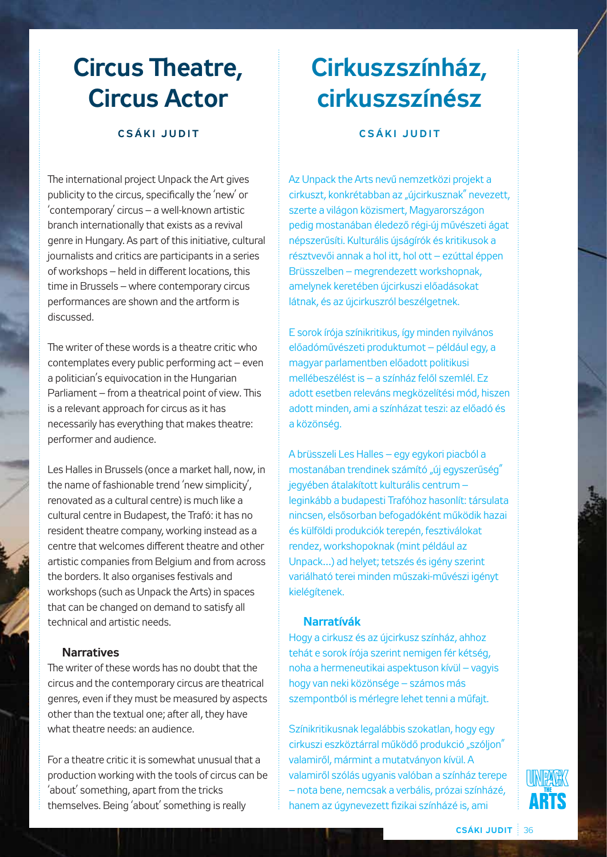## **Circus Theatre, Circus Actor**

### **C s á k i J u d i t**

The international project Unpack the Art gives publicity to the circus, specifically the 'new' or 'contemporary' circus – a well-known artistic branch internationally that exists as a revival genre in Hungary. As part of this initiative, cultural journalists and critics are participants in a series of workshops – held in different locations, this time in Brussels – where contemporary circus performances are shown and the artform is discussed.

The writer of these words is a theatre critic who contemplates every public performing act – even a politician's equivocation in the Hungarian Parliament – from a theatrical point of view. This is a relevant approach for circus as it has necessarily has everything that makes theatre: performer and audience.

Les Halles in Brussels (once a market hall, now, in the name of fashionable trend 'new simplicity', renovated as a cultural centre) is much like a cultural centre in Budapest, the Trafó: it has no resident theatre company, working instead as a centre that welcomes different theatre and other artistic companies from Belgium and from across the borders. It also organises festivals and workshops (such as Unpack the Arts) in spaces that can be changed on demand to satisfy all technical and artistic needs.

#### **Narratives**

The writer of these words has no doubt that the circus and the contemporary circus are theatrical genres, even if they must be measured by aspects other than the textual one; after all, they have what theatre needs: an audience.

For a theatre critic it is somewhat unusual that a production working with the tools of circus can be 'about' something, apart from the tricks themselves. Being 'about' something is really

## **Cirkuszszínház, cirkuszszínész**

**C s á k i J u d i t**

Az Unpack the Arts nevű nemzetközi projekt a cirkuszt, konkrétabban az "újcirkusznak" nevezett, szerte a világon közismert, Magyarországon pedig mostanában éledező régi-új művészeti ágat népszerűsíti. Kulturális újságírók és kritikusok a résztvevői annak a hol itt, hol ott – ezúttal éppen Brüsszelben – megrendezett workshopnak, amelynek keretében újcirkuszi előadásokat látnak, és az újcirkuszról beszélgetnek.

E sorok írója színikritikus, így minden nyilvános előadóművészeti produktumot – például egy, a magyar parlamentben előadott politikusi mellébeszélést is – a színház felől szemlél. Ez adott esetben releváns megközelítési mód, hiszen adott minden, ami a színházat teszi: az előadó és a közönség.

A brüsszeli Les Halles – egy egykori piacból a mostanában trendinek számító "új egyszerűség" jegyében átalakított kulturális centrum – leginkább a budapesti Trafóhoz hasonlít: társulata nincsen, elsősorban befogadóként működik hazai és külföldi produkciók terepén, fesztiválokat rendez, workshopoknak (mint például az Unpack…) ad helyet; tetszés és igény szerint variálható terei minden műszaki-művészi igényt kielégítenek.

#### **Narratívák**

Hogy a cirkusz és az újcirkusz színház, ahhoz tehát e sorok írója szerint nemigen fér kétség, noha a hermeneutikai aspektuson kívül – vagyis hogy van neki közönsége – számos más szempontból is mérlegre lehet tenni a műfajt.

Színikritikusnak legalábbis szokatlan, hogy egy cirkuszi eszköztárral működő produkció "szólion" valamiről, mármint a mutatványon kívül. A valamiről szólás ugyanis valóban a színház terepe – nota bene, nemcsak a verbális, prózai színházé, hanem az úgynevezett fizikai színházé is, ami

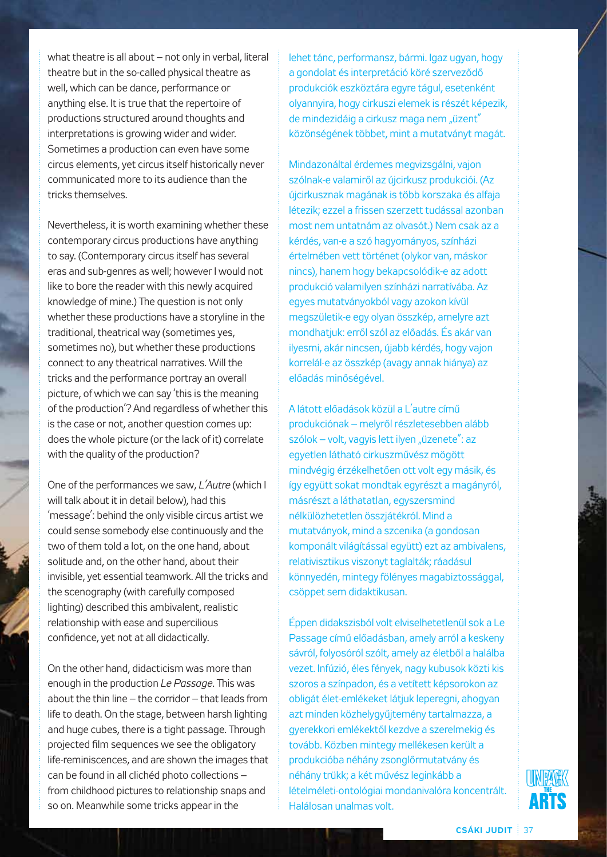what theatre is all about – not only in verbal, literal theatre but in the so-called physical theatre as well, which can be dance, performance or anything else. It is true that the repertoire of productions structured around thoughts and interpretations is growing wider and wider. Sometimes a production can even have some circus elements, yet circus itself historically never communicated more to its audience than the tricks themselves.

Nevertheless, it is worth examining whether these contemporary circus productions have anything to say. (Contemporary circus itself has several eras and sub-genres as well; however I would not like to bore the reader with this newly acquired knowledge of mine.) The question is not only whether these productions have a storyline in the traditional, theatrical way (sometimes yes, sometimes no), but whether these productions connect to any theatrical narratives. Will the tricks and the performance portray an overall picture, of which we can say 'this is the meaning of the production'? And regardless of whether this is the case or not, another question comes up: does the whole picture (or the lack of it) correlate with the quality of the production?

One of the performances we saw, *L'Autre* (which I will talk about it in detail below), had this 'message': behind the only visible circus artist we could sense somebody else continuously and the two of them told a lot, on the one hand, about solitude and, on the other hand, about their invisible, yet essential teamwork. All the tricks and the scenography (with carefully composed lighting) described this ambivalent, realistic relationship with ease and supercilious confidence, yet not at all didactically.

On the other hand, didacticism was more than enough in the production *Le Passage*. This was about the thin line – the corridor – that leads from life to death. On the stage, between harsh lighting and huge cubes, there is a tight passage. Through projected film sequences we see the obligatory life-reminiscences, and are shown the images that can be found in all clichéd photo collections – from childhood pictures to relationship snaps and so on. Meanwhile some tricks appear in the

lehet tánc, performansz, bármi. Igaz ugyan, hogy a gondolat és interpretáció köré szerveződő produkciók eszköztára egyre tágul, esetenként olyannyira, hogy cirkuszi elemek is részét képezik, de mindezidája a cirkusz maga nem "üzent" közönségének többet, mint a mutatványt magát.

Mindazonáltal érdemes megvizsgálni, vajon szólnak-e valamiről az újcirkusz produkciói. (Az újcirkusznak magának is több korszaka és alfaja létezik; ezzel a frissen szerzett tudással azonban most nem untatnám az olvasót.) Nem csak az a kérdés, van-e a szó hagyományos, színházi értelmében vett történet (olykor van, máskor nincs), hanem hogy bekapcsolódik-e az adott produkció valamilyen színházi narratívába. Az egyes mutatványokból vagy azokon kívül megszületik-e egy olyan összkép, amelyre azt mondhatjuk: erről szól az előadás. És akár van ilyesmi, akár nincsen, újabb kérdés, hogy vajon korrelál-e az összkép (avagy annak hiánya) az előadás minőségével.

A látott előadások közül a L'autre című produkciónak – melyről részletesebben alább szólok – volt, vagyis lett ilyen "üzenete": az egyetlen látható cirkuszművész mögött mindvégig érzékelhetően ott volt egy másik, és így együtt sokat mondtak egyrészt a magányról, másrészt a láthatatlan, egyszersmind nélkülözhetetlen összjátékról. Mind a mutatványok, mind a szcenika (a gondosan komponált világítással együtt) ezt az ambivalens, relativisztikus viszonyt taglalták; ráadásul könnyedén, mintegy fölényes magabiztossággal, csöppet sem didaktikusan.

Éppen didakszisból volt elviselhetetlenül sok a Le Passage című előadásban, amely arról a keskeny sávról, folyosóról szólt, amely az életből a halálba vezet. Infúzió, éles fények, nagy kubusok közti kis szoros a színpadon, és a vetített képsorokon az obligát élet-emlékeket látjuk leperegni, ahogyan azt minden közhelygyűjtemény tartalmazza, a gyerekkori emlékektől kezdve a szerelmekig és tovább. Közben mintegy mellékesen került a produkcióba néhány zsonglőrmutatvány és néhány trükk; a két művész leginkább a lételméleti-ontológiai mondanivalóra koncentrált. Halálosan unalmas volt.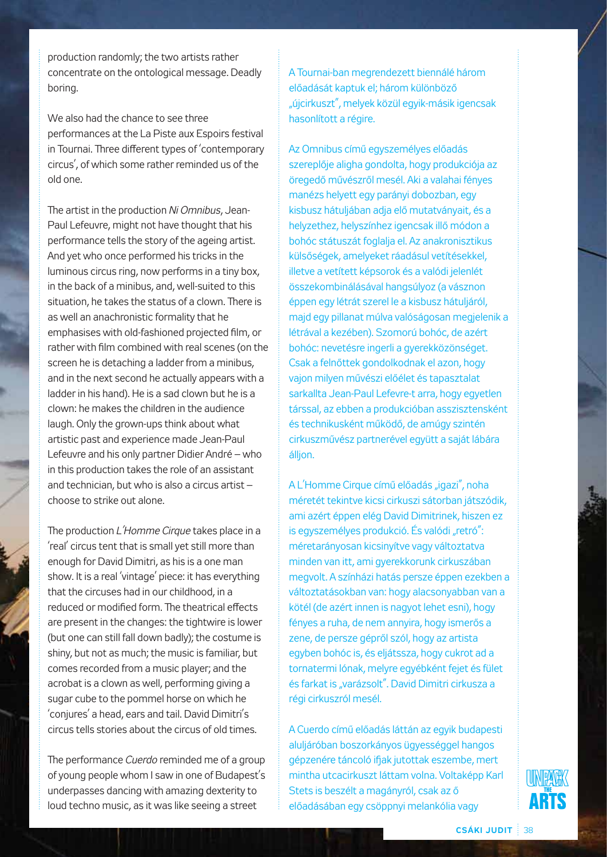production randomly; the two artists rather concentrate on the ontological message. Deadly boring.

We also had the chance to see three performances at the La Piste aux Espoirs festival in Tournai. Three different types of 'contemporary circus', of which some rather reminded us of the old one.

The artist in the production *Ni Omnibus*, Jean-Paul Lefeuvre, might not have thought that his performance tells the story of the ageing artist. And yet who once performed his tricks in the luminous circus ring, now performs in a tiny box, in the back of a minibus, and, well-suited to this situation, he takes the status of a clown. There is as well an anachronistic formality that he emphasises with old-fashioned projected film, or rather with film combined with real scenes (on the screen he is detaching a ladder from a minibus, and in the next second he actually appears with a ladder in his hand). He is a sad clown but he is a clown: he makes the children in the audience laugh. Only the grown-ups think about what artistic past and experience made Jean-Paul Lefeuvre and his only partner Didier André – who in this production takes the role of an assistant and technician, but who is also a circus artist – choose to strike out alone.

The production *L'Homme Cirque* takes place in a 'real' circus tent that is small yet still more than enough for David Dimitri, as his is a one man show. It is a real 'vintage' piece: it has everything that the circuses had in our childhood, in a reduced or modified form. The theatrical effects are present in the changes: the tightwire is lower (but one can still fall down badly); the costume is shiny, but not as much; the music is familiar, but comes recorded from a music player; and the acrobat is a clown as well, performing giving a sugar cube to the pommel horse on which he 'conjures' a head, ears and tail. David Dimitri's circus tells stories about the circus of old times.

The performance *Cuerdo* reminded me of a group of young people whom I saw in one of Budapest's underpasses dancing with amazing dexterity to loud techno music, as it was like seeing a street

A Tournai-ban megrendezett biennálé három előadását kaptuk el; három különböző "újcirkuszt", melyek közül egyik-másik igencsak hasonlított a régire.

Az Omnibus című egyszemélyes előadás szereplője aligha gondolta, hogy produkciója az öregedő művészről mesél. Aki a valahai fényes manézs helyett egy parányi dobozban, egy kisbusz hátuljában adja elő mutatványait, és a helyzethez, helyszínhez igencsak illő módon a bohóc státuszát foglalja el. Az anakronisztikus külsőségek, amelyeket ráadásul vetítésekkel, illetve a vetített képsorok és a valódi jelenlét összekombinálásával hangsúlyoz (a vásznon éppen egy létrát szerel le a kisbusz hátuljáról, majd egy pillanat múlva valóságosan megjelenik a létrával a kezében). Szomorú bohóc, de azért bohóc: nevetésre ingerli a gyerekközönséget. Csak a felnőttek gondolkodnak el azon, hogy vajon milyen művészi előélet és tapasztalat sarkallta Jean-Paul Lefevre-t arra, hogy egyetlen társsal, az ebben a produkcióban asszisztensként és technikusként működő, de amúgy szintén cirkuszművész partnerével együtt a saját lábára álljon.

A L'Homme Cirque című előadás "igazi", noha méretét tekintve kicsi cirkuszi sátorban játszódik, ami azért éppen elég David Dimitrinek, hiszen ez is egyszemélyes produkció. És valódi "retró": méretarányosan kicsinyítve vagy változtatva minden van itt, ami gyerekkorunk cirkuszában megvolt. A színházi hatás persze éppen ezekben a változtatásokban van: hogy alacsonyabban van a kötél (de azért innen is nagyot lehet esni), hogy fényes a ruha, de nem annyira, hogy ismerős a zene, de persze gépről szól, hogy az artista egyben bohóc is, és eljátssza, hogy cukrot ad a tornatermi lónak, melyre egyébként fejet és fület és farkat is "varázsolt". David Dimitri cirkusza a régi cirkuszról mesél.

A Cuerdo című előadás láttán az egyik budapesti aluljáróban boszorkányos ügyességgel hangos gépzenére táncoló ifjak jutottak eszembe, mert mintha utcacirkuszt láttam volna. Voltaképp Karl Stets is beszélt a magányról, csak az ő előadásában egy csöppnyi melankólia vagy

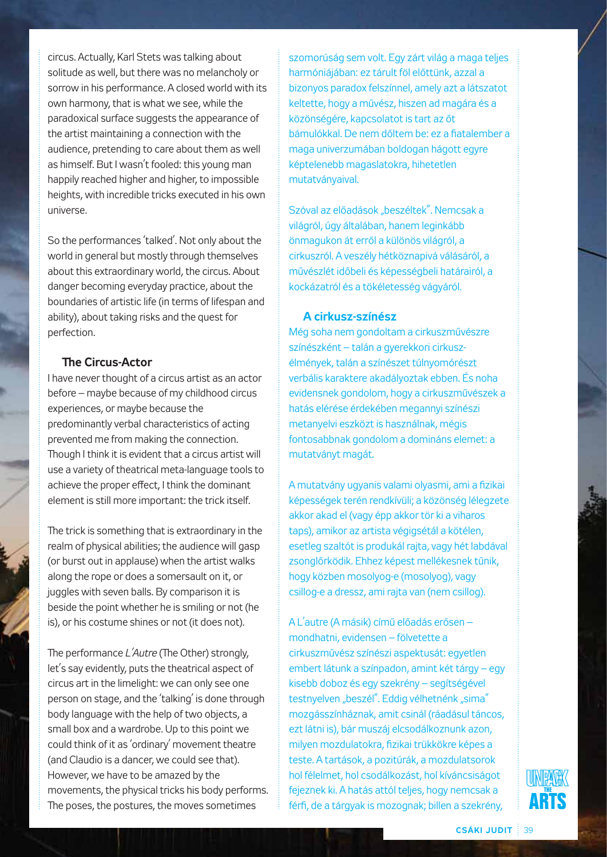circus. Actually, Karl Stets was talking about solitude as well, but there was no melancholy or sorrow in his performance. A closed world with its own harmony, that is what we see, while the paradoxical surface suggests the appearance of the artist maintaining a connection with the audience, pretending to care about them as well as himself. But I wasn't fooled: this young man happily reached higher and higher, to impossible heights, with incredible tricks executed in his own universe.

So the performances 'talked'. Not only about the world in general but mostly through themselves about this extraordinary world, the circus. About danger becoming everyday practice, about the boundaries of artistic life (in terms of lifespan and ability), about taking risks and the quest for perfection.

## **The Circus-Actor**

I have never thought of a circus artist as an actor before – maybe because of my childhood circus experiences, or maybe because the predominantly verbal characteristics of acting prevented me from making the connection. Though I think it is evident that a circus artist will use a variety of theatrical meta-language tools to achieve the proper effect, I think the dominant element is still more important: the trick itself.

The trick is something that is extraordinary in the realm of physical abilities; the audience will gasp (or burst out in applause) when the artist walks along the rope or does a somersault on it, or juggles with seven balls. By comparison it is beside the point whether he is smiling or not (he is), or his costume shines or not (it does not).

The performance *L'Autre* (The Other) strongly, let's say evidently, puts the theatrical aspect of circus art in the limelight: we can only see one person on stage, and the 'talking' is done through body language with the help of two objects, a small box and a wardrobe. Up to this point we could think of it as 'ordinary' movement theatre (and Claudio is a dancer, we could see that). However, we have to be amazed by the movements, the physical tricks his body performs. The poses, the postures, the moves sometimes

szomorúság sem volt. Egy zárt világ a maga teljes harmóniájában: ez tárult föl előttünk, azzal a bizonyos paradox felszínnel, amely azt a látszatot keltette, hogy a művész, hiszen ad magára és a közönségére, kapcsolatot is tart az őt bámulókkal. De nem dőltem be: ez a fiatalember a maga univerzumában boldogan hágott egyre képtelenebb magaslatokra, hihetetlen mutatványaival.

Szóval az előadások "beszéltek". Nemcsak a világról, úgy általában, hanem leginkább önmagukon át erről a különös világról, a cirkuszról. A veszély hétköznapivá válásáról, a művészlét időbeli és képességbeli határairól, a kockázatról és a tökéletesség vágyáról.

#### **A cirkusz-színész**

Még soha nem gondoltam a cirkuszművészre színészként – talán a gyerekkori cirkuszélmények, talán a színészet túlnyomórészt verbális karaktere akadályoztak ebben. És noha evidensnek gondolom, hogy a cirkuszművészek a hatás elérése érdekében megannyi színészi metanyelvi eszközt is használnak, mégis fontosabbnak gondolom a domináns elemet: a mutatványt magát.

A mutatvány ugyanis valami olyasmi, ami a fizikai képességek terén rendkívüli; a közönség lélegzete akkor akad el (vagy épp akkor tör ki a viharos taps), amikor az artista végigsétál a kötélen, esetleg szaltót is produkál rajta, vagy hét labdával zsonglőrködik. Ehhez képest mellékesnek tűnik, hogy közben mosolyog-e (mosolyog), vagy csillog-e a dressz, ami rajta van (nem csillog).

A L'autre (A másik) című előadás erősen – mondhatni, evidensen – fölvetette a cirkuszművész színészi aspektusát: egyetlen embert látunk a színpadon, amint két tárgy – egy kisebb doboz és egy szekrény – segítségével testnyelven "beszél". Eddig vélhetnénk "sima" mozgásszínháznak, amit csinál (ráadásul táncos, ezt látni is), bár muszáj elcsodálkoznunk azon, milyen mozdulatokra, fizikai trükkökre képes a teste. A tartások, a pozitúrák, a mozdulatsorok hol félelmet, hol csodálkozást, hol kíváncsiságot fejeznek ki. A hatás attól teljes, hogy nemcsak a férfi, de a tárgyak is mozognak; billen a szekrény,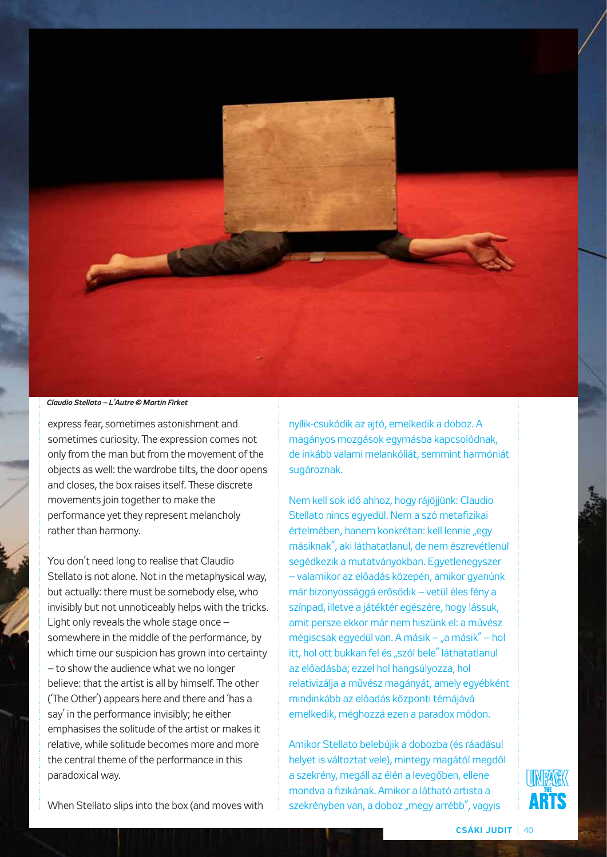

#### *Claudio Stellato – L'Autre © Martin Firket*

express fear, sometimes astonishment and sometimes curiosity. The expression comes not only from the man but from the movement of the objects as well: the wardrobe tilts, the door opens and closes, the box raises itself. These discrete movements join together to make the performance yet they represent melancholy rather than harmony.

You don't need long to realise that Claudio Stellato is not alone. Not in the metaphysical way, but actually: there must be somebody else, who invisibly but not unnoticeably helps with the tricks. Light only reveals the whole stage once – somewhere in the middle of the performance, by which time our suspicion has grown into certainty – to show the audience what we no longer believe: that the artist is all by himself. The other ('The Other') appears here and there and 'has a say' in the performance invisibly; he either emphasises the solitude of the artist or makes it relative, while solitude becomes more and more the central theme of the performance in this paradoxical way.

nyílik-csukódik az ajtó, emelkedik a doboz. A magányos mozgások egymásba kapcsolódnak, de inkább valami melankóliát, semmint harmóniát sugároznak.

Nem kell sok idő ahhoz, hogy rájöjjünk: Claudio Stellato nincs egyedül. Nem a szó metafizikai értelmében, hanem konkrétan: kell lennie "egy másiknak", aki láthatatlanul, de nem észrevétlenül segédkezik a mutatványokban. Egyetlenegyszer – valamikor az előadás közepén, amikor gyanúnk már bizonyossággá erősödik – vetül éles fény a színpad, illetve a játéktér egészére, hogy lássuk, amit persze ekkor már nem hiszünk el: a művész mégiscsak egyedül van. A másik – "a másik" – hol itt, hol ott bukkan fel és "szól bele" láthatatlanul az előadásba; ezzel hol hangsúlyozza, hol relativizálja a művész magányát, amely egyébként mindinkább az előadás központi témájává emelkedik, méghozzá ezen a paradox módon.

Amikor Stellato belebújik a dobozba (és ráadásul helyet is változtat vele), mintegy magától megdől a szekrény, megáll az élén a levegőben, ellene mondva a fizikának. Amikor a látható artista a szekrényben van, a doboz "megy arrébb", vagyis



When Stellato slips into the box (and moves with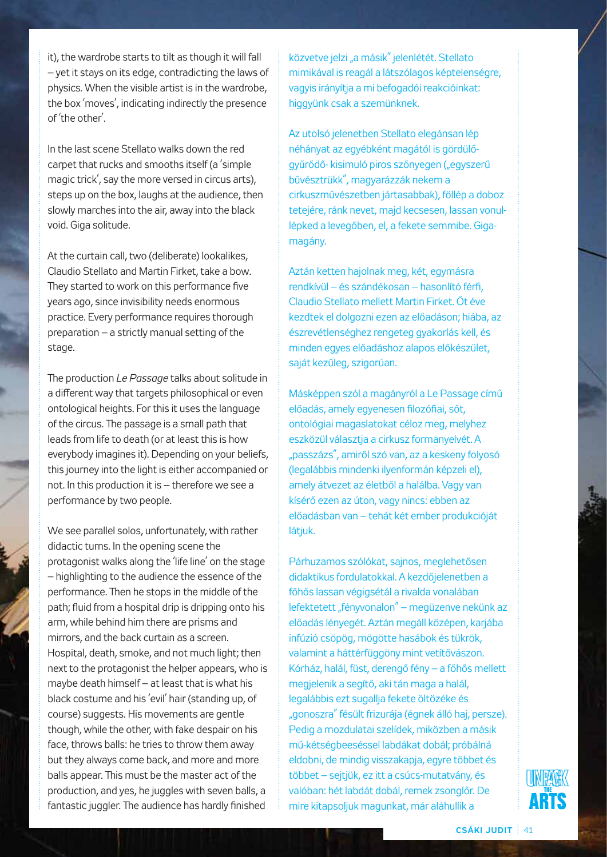it), the wardrobe starts to tilt as though it will fall – yet it stays on its edge, contradicting the laws of physics. When the visible artist is in the wardrobe, the box 'moves', indicating indirectly the presence of 'the other'.

In the last scene Stellato walks down the red carpet that rucks and smooths itself (a 'simple magic trick', say the more versed in circus arts), steps up on the box, laughs at the audience, then slowly marches into the air, away into the black void. Giga solitude.

At the curtain call, two (deliberate) lookalikes, Claudio Stellato and Martin Firket, take a bow. They started to work on this performance five years ago, since invisibility needs enormous practice. Every performance requires thorough preparation – a strictly manual setting of the stage.

The production *Le Passage* talks about solitude in a different way that targets philosophical or even ontological heights. For this it uses the language of the circus. The passage is a small path that leads from life to death (or at least this is how everybody imagines it). Depending on your beliefs, this journey into the light is either accompanied or not. In this production it is – therefore we see a performance by two people.

We see parallel solos, unfortunately, with rather didactic turns. In the opening scene the protagonist walks along the 'life line' on the stage – highlighting to the audience the essence of the performance. Then he stops in the middle of the path; fluid from a hospital drip is dripping onto his arm, while behind him there are prisms and mirrors, and the back curtain as a screen. Hospital, death, smoke, and not much light; then next to the protagonist the helper appears, who is maybe death himself – at least that is what his black costume and his 'evil' hair (standing up, of course) suggests. His movements are gentle though, while the other, with fake despair on his face, throws balls: he tries to throw them away but they always come back, and more and more balls appear. This must be the master act of the production, and yes, he juggles with seven balls, a fantastic juggler. The audience has hardly finished

közvetve jelzi "a másik" jelenlétét. Stellato mimikával is reagál a látszólagos képtelenségre, vagyis irányítja a mi befogadói reakcióinkat: higgyünk csak a szemünknek.

Az utolsó jelenetben Stellato elegánsan lép néhányat az egyébként magától is gördülőgyűrődő- kisimuló piros szőnyegen ("egyszerű bűvésztrükk", magyarázzák nekem a cirkuszművészetben jártasabbak), föllép a doboz tetejére, ránk nevet, majd kecsesen, lassan vonullépked a levegőben, el, a fekete semmibe. Gigamagány.

Aztán ketten hajolnak meg, két, egymásra rendkívül – és szándékosan – hasonlító férfi, Claudio Stellato mellett Martin Firket. Öt éve kezdtek el dolgozni ezen az előadáson; hiába, az észrevétlenséghez rengeteg gyakorlás kell, és minden egyes előadáshoz alapos előkészület, saját kezűleg, szigorúan.

Másképpen szól a magányról a Le Passage című előadás, amely egyenesen filozófiai, sőt, ontológiai magaslatokat céloz meg, melyhez eszközül választja a cirkusz formanyelvét. A "passzázs", amiről szó van, az a keskeny folyosó (legalábbis mindenki ilyenformán képzeli el), amely átvezet az életből a halálba. Vagy van kísérő ezen az úton, vagy nincs: ebben az előadásban van – tehát két ember produkcióját látjuk.

Párhuzamos szólókat, sajnos, meglehetősen didaktikus fordulatokkal. A kezdőjelenetben a főhős lassan végigsétál a rivalda vonalában lefektetett "fényvonalon" – megüzenve nekünk az előadás lényegét. Aztán megáll középen, karjába infúzió csöpög, mögötte hasábok és tükrök, valamint a háttérfüggöny mint vetítővászon. Kórház, halál, füst, derengő fény – a főhős mellett megjelenik a segítő, aki tán maga a halál, legalábbis ezt sugallja fekete öltözéke és "gonoszra" fésült frizurája (égnek álló haj, persze). Pedig a mozdulatai szelídek, miközben a másik mű-kétségbeeséssel labdákat dobál; próbálná eldobni, de mindig visszakapja, egyre többet és többet – sejtjük, ez itt a csúcs-mutatvány, és valóban: hét labdát dobál, remek zsonglőr. De mire kitapsoljuk magunkat, már aláhullik a

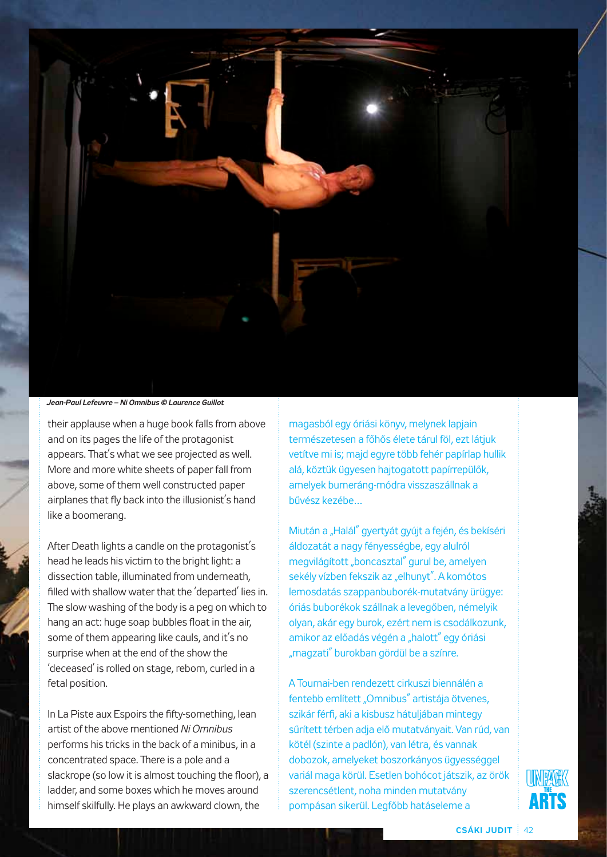

*Jean-Paul Lefeuvre – Ni Omnibus © Laurence Guillot*

their applause when a huge book falls from above and on its pages the life of the protagonist appears. That's what we see projected as well. More and more white sheets of paper fall from above, some of them well constructed paper airplanes that fly back into the illusionist's hand like a boomerang.

After Death lights a candle on the protagonist's head he leads his victim to the bright light: a dissection table, illuminated from underneath, filled with shallow water that the 'departed' lies in. The slow washing of the body is a peg on which to hang an act: huge soap bubbles float in the air, some of them appearing like cauls, and it's no surprise when at the end of the show the 'deceased' is rolled on stage, reborn, curled in a fetal position.

In La Piste aux Espoirs the fifty-something, lean artist of the above mentioned *Ni Omnibus* performs his tricks in the back of a minibus, in a concentrated space. There is a pole and a slackrope (so low it is almost touching the floor), a ladder, and some boxes which he moves around himself skilfully. He plays an awkward clown, the

magasból egy óriási könyv, melynek lapjain természetesen a főhős élete tárul föl, ezt látjuk vetítve mi is; majd egyre több fehér papírlap hullik alá, köztük ügyesen hajtogatott papírrepülők, amelyek bumeráng-módra visszaszállnak a bűvész kezébe…

Miután a "Halál" gyertyát gyújt a fején, és bekíséri áldozatát a nagy fényességbe, egy alulról megvilágított "boncasztal" gurul be, amelyen sekély vízben fekszik az "elhunyt". A komótos lemosdatás szappanbuborék-mutatvány ürügye: óriás buborékok szállnak a levegőben, némelyik olyan, akár egy burok, ezért nem is csodálkozunk, amikor az előadás végén a "halott" egy óriási "magzati" burokban gördül be a színre.

A Tournai-ben rendezett cirkuszi biennálén a fentebb említett "Omnibus" artistája ötvenes, szikár férfi, aki a kisbusz hátuljában mintegy sűrített térben adja elő mutatványait. Van rúd, van kötél (szinte a padlón), van létra, és vannak dobozok, amelyeket boszorkányos ügyességgel variál maga körül. Esetlen bohócot játszik, az örök szerencsétlent, noha minden mutatvány pompásan sikerül. Legfőbb hatáseleme a

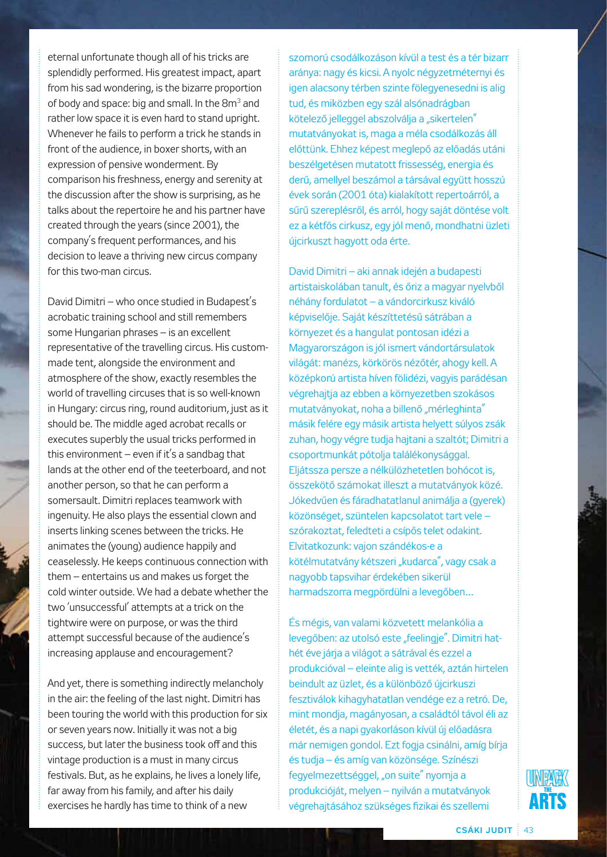eternal unfortunate though all of his tricks are splendidly performed. His greatest impact, apart from his sad wondering, is the bizarre proportion of body and space: big and small. In the 8m<sup>3</sup> and rather low space it is even hard to stand upright. Whenever he fails to perform a trick he stands in front of the audience, in boxer shorts, with an expression of pensive wonderment. By comparison his freshness, energy and serenity at the discussion after the show is surprising, as he talks about the repertoire he and his partner have created through the years (since 2001), the company's frequent performances, and his decision to leave a thriving new circus company for this two-man circus.

David Dimitri – who once studied in Budapest's acrobatic training school and still remembers some Hungarian phrases – is an excellent representative of the travelling circus. His custommade tent, alongside the environment and atmosphere of the show, exactly resembles the world of travelling circuses that is so well-known in Hungary: circus ring, round auditorium, just as it should be. The middle aged acrobat recalls or executes superbly the usual tricks performed in this environment – even if it's a sandbag that lands at the other end of the teeterboard, and not another person, so that he can perform a somersault. Dimitri replaces teamwork with ingenuity. He also plays the essential clown and inserts linking scenes between the tricks. He animates the (young) audience happily and ceaselessly. He keeps continuous connection with them – entertains us and makes us forget the cold winter outside. We had a debate whether the two 'unsuccessful' attempts at a trick on the tightwire were on purpose, or was the third attempt successful because of the audience's increasing applause and encouragement?

And yet, there is something indirectly melancholy in the air: the feeling of the last night. Dimitri has been touring the world with this production for six or seven years now. Initially it was not a big success, but later the business took off and this vintage production is a must in many circus festivals. But, as he explains, he lives a lonely life, far away from his family, and after his daily exercises he hardly has time to think of a new

szomorú csodálkozáson kívül a test és a tér bizarr aránya: nagy és kicsi. A nyolc négyzetméternyi és igen alacsony térben szinte fölegyenesedni is alig tud, és miközben egy szál alsónadrágban kötelező jelleggel abszolválja a "sikertelen" mutatványokat is, maga a méla csodálkozás áll előttünk. Ehhez képest meglepő az előadás utáni beszélgetésen mutatott frissesség, energia és derű, amellyel beszámol a társával együtt hosszú évek során (2001 óta) kialakított repertoárról, a sűrű szereplésről, és arról, hogy saját döntése volt ez a kétfős cirkusz, egy jól menő, mondhatni üzleti újcirkuszt hagyott oda érte.

David Dimitri – aki annak idején a budapesti artistaiskolában tanult, és őriz a magyar nyelvből néhány fordulatot – a vándorcirkusz kiváló képviselője. Saját készíttetésű sátrában a környezet és a hangulat pontosan idézi a Magyarországon is jól ismert vándortársulatok világát: manézs, körkörös nézőtér, ahogy kell. A középkorú artista híven fölidézi, vagyis parádésan végrehajtja az ebben a környezetben szokásos mutatványokat, noha a billenő "mérleghinta" másik felére egy másik artista helyett súlyos zsák zuhan, hogy végre tudja hajtani a szaltót; Dimitri a csoportmunkát pótolja találékonysággal. Eljátssza persze a nélkülözhetetlen bohócot is, összekötő számokat illeszt a mutatványok közé. Jókedvűen és fáradhatatlanul animálja a (gyerek) közönséget, szüntelen kapcsolatot tart vele – szórakoztat, feledteti a csípős telet odakint. Elvitatkozunk: vajon szándékos-e a kötélmutatvány kétszeri "kudarca", vagy csak a nagyobb tapsvihar érdekében sikerül harmadszorra megpördülni a levegőben…

És mégis, van valami közvetett melankólia a levegőben: az utolsó este "feelingje". Dimitri hathét éve járja a világot a sátrával és ezzel a produkcióval – eleinte alig is vették, aztán hirtelen beindult az üzlet, és a különböző újcirkuszi fesztiválok kihagyhatatlan vendége ez a retró. De, mint mondja, magányosan, a családtól távol éli az életét, és a napi gyakorláson kívül új előadásra már nemigen gondol. Ezt fogja csinálni, amíg bírja és tudja – és amíg van közönsége. Színészi fegyelmezettséggel, "on suite" nyomja a produkcióját, melyen – nyilván a mutatványok végrehajtásához szükséges fizikai és szellemi

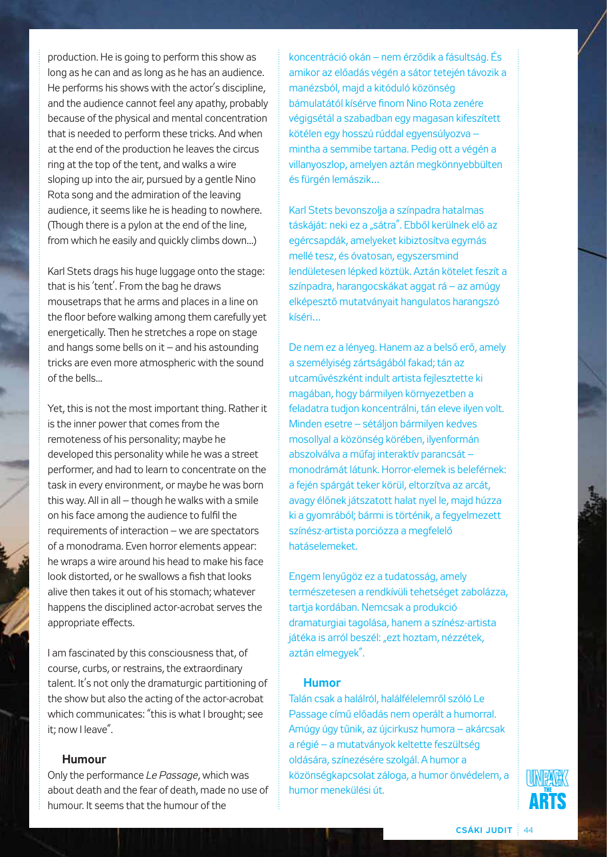production. He is going to perform this show as long as he can and as long as he has an audience. He performs his shows with the actor's discipline, and the audience cannot feel any apathy, probably because of the physical and mental concentration that is needed to perform these tricks. And when at the end of the production he leaves the circus ring at the top of the tent, and walks a wire sloping up into the air, pursued by a gentle Nino Rota song and the admiration of the leaving audience, it seems like he is heading to nowhere. (Though there is a pylon at the end of the line, from which he easily and quickly climbs down...)

Karl Stets drags his huge luggage onto the stage: that is his 'tent'. From the bag he draws mousetraps that he arms and places in a line on the floor before walking among them carefully yet energetically. Then he stretches a rope on stage and hangs some bells on it – and his astounding tricks are even more atmospheric with the sound of the bells...

Yet, this is not the most important thing. Rather it is the inner power that comes from the remoteness of his personality; maybe he developed this personality while he was a street performer, and had to learn to concentrate on the task in every environment, or maybe he was born this way. All in all – though he walks with a smile on his face among the audience to fulfil the requirements of interaction – we are spectators of a monodrama. Even horror elements appear: he wraps a wire around his head to make his face look distorted, or he swallows a fish that looks alive then takes it out of his stomach; whatever happens the disciplined actor-acrobat serves the appropriate effects.

I am fascinated by this consciousness that, of course, curbs, or restrains, the extraordinary talent. It's not only the dramaturgic partitioning of the show but also the acting of the actor-acrobat which communicates: "this is what I brought; see it; now I leave".

### **Humour**

Only the performance *Le Passage*, which was about death and the fear of death, made no use of humour. It seems that the humour of the

koncentráció okán – nem érződik a fásultság. És amikor az előadás végén a sátor tetején távozik a manézsból, majd a kitóduló közönség bámulatától kísérve finom Nino Rota zenére végigsétál a szabadban egy magasan kifeszített kötélen egy hosszú rúddal egyensúlyozva – mintha a semmibe tartana. Pedig ott a végén a villanyoszlop, amelyen aztán megkönnyebbülten és fürgén lemászik…

Karl Stets bevonszolja a színpadra hatalmas táskáját: neki ez a "sátra". Ebből kerülnek elő az egércsapdák, amelyeket kibiztosítva egymás mellé tesz, és óvatosan, egyszersmind lendületesen lépked köztük. Aztán kötelet feszít a színpadra, harangocskákat aggat rá – az amúgy elképesztő mutatványait hangulatos harangszó kíséri…

De nem ez a lényeg. Hanem az a belső erő, amely a személyiség zártságából fakad; tán az utcaművészként indult artista fejlesztette ki magában, hogy bármilyen környezetben a feladatra tudjon koncentrálni, tán eleve ilyen volt. Minden esetre – sétáljon bármilyen kedves mosollyal a közönség körében, ilyenformán abszolválva a műfaj interaktív parancsát – monodrámát látunk. Horror-elemek is beleférnek: a fején spárgát teker körül, eltorzítva az arcát, avagy élőnek játszatott halat nyel le, majd húzza ki a gyomrából; bármi is történik, a fegyelmezett színész-artista porciózza a megfelelő hatáselemeket.

Engem lenyűgöz ez a tudatosság, amely természetesen a rendkívüli tehetséget zabolázza, tartja kordában. Nemcsak a produkció dramaturgiai tagolása, hanem a színész-artista játéka is arról beszél: "ezt hoztam, nézzétek, aztán elmegyek".

#### **Humor**

Talán csak a halálról, halálfélelemről szóló Le Passage című előadás nem operált a humorral. Amúgy úgy tűnik, az újcirkusz humora – akárcsak a régié – a mutatványok keltette feszültség oldására, színezésére szolgál. A humor a közönségkapcsolat záloga, a humor önvédelem, a humor menekülési út.

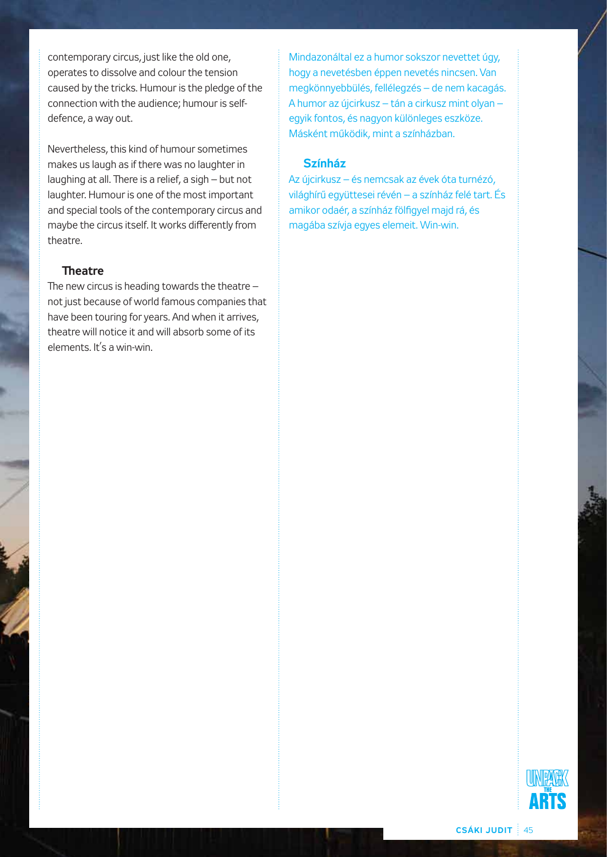contemporary circus, just like the old one, operates to dissolve and colour the tension caused by the tricks. Humour is the pledge of the connection with the audience; humour is selfdefence, a way out.

Nevertheless, this kind of humour sometimes makes us laugh as if there was no laughter in laughing at all. There is a relief, a sigh – but not laughter. Humour is one of the most important and special tools of the contemporary circus and maybe the circus itself. It works differently from theatre.

#### **Theatre**

The new circus is heading towards the theatre – not just because of world famous companies that have been touring for years. And when it arrives, theatre will notice it and will absorb some of its elements. It's a win-win.

Mindazonáltal ez a humor sokszor nevettet úgy, hogy a nevetésben éppen nevetés nincsen. Van megkönnyebbülés, fellélegzés – de nem kacagás. A humor az újcirkusz – tán a cirkusz mint olyan – egyik fontos, és nagyon különleges eszköze. Másként működik, mint a színházban.

# **Színház**

Az újcirkusz – és nemcsak az évek óta turnézó, világhírű együttesei révén – a színház felé tart. És amikor odaér, a színház fölfigyel majd rá, és magába szívja egyes elemeit. Win-win.

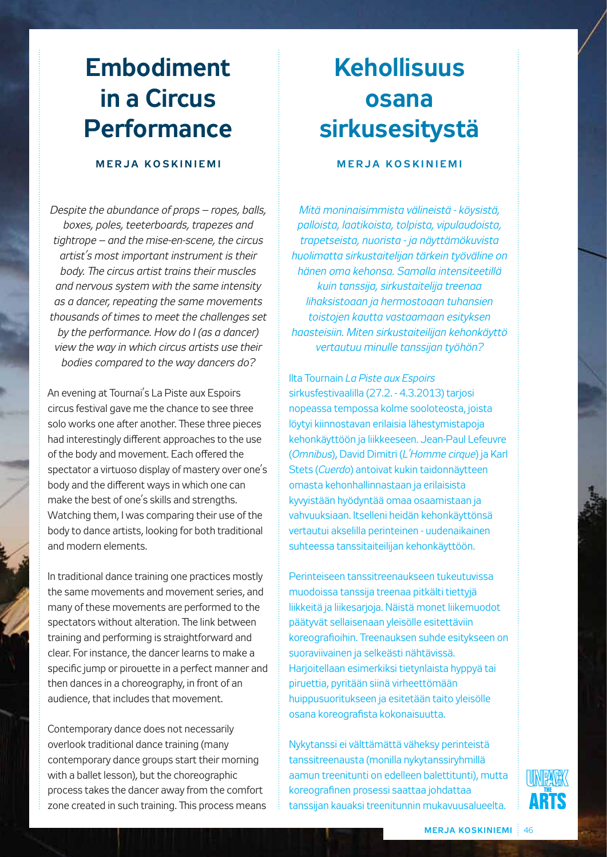# **Embodiment in a Circus Performance**

# **M e rja K o s k i n i e m i**

*Despite the abundance of props – ropes, balls, boxes, poles, teeterboards, trapezes and tightrope – and the mise-en-scene, the circus artist's most important instrument is their body. The circus artist trains their muscles and nervous system with the same intensity as a dancer, repeating the same movements thousands of times to meet the challenges set by the performance. How do I (as a dancer) view the way in which circus artists use their bodies compared to the way dancers do?*

An evening at Tournai's La Piste aux Espoirs circus festival gave me the chance to see three solo works one after another. These three pieces had interestingly different approaches to the use of the body and movement. Each offered the spectator a virtuoso display of mastery over one's body and the different ways in which one can make the best of one's skills and strengths. Watching them, I was comparing their use of the body to dance artists, looking for both traditional and modern elements.

In traditional dance training one practices mostly the same movements and movement series, and many of these movements are performed to the spectators without alteration. The link between training and performing is straightforward and clear. For instance, the dancer learns to make a specific jump or pirouette in a perfect manner and then dances in a choreography, in front of an audience, that includes that movement.

Contemporary dance does not necessarily overlook traditional dance training (many contemporary dance groups start their morning with a ballet lesson), but the choreographic process takes the dancer away from the comfort zone created in such training. This process means

# **Kehollisuus osana sirkusesitystä**

# **M e rja K o s k i n i e m i**

*Mitä moninaisimmista välineistä - köysistä, palloista, laatikoista, tolpista, vipulaudoista, trapetseista, nuorista - ja näyttämökuvista huolimatta sirkustaitelijan tärkein työväline on hänen oma kehonsa. Samalla intensiteetillä kuin tanssija, sirkustaitelija treenaa lihaksistoaan ja hermostoaan tuhansien toistojen kautta vastaamaan esityksen haasteisiin. Miten sirkustaiteilijan kehonkäyttö vertautuu minulle tanssijan työhön?* 

Ilta Tournain *La Piste aux Espoirs* sirkusfestivaalilla (27.2. - 4.3.2013) tarjosi nopeassa tempossa kolme sooloteosta, joista löytyi kiinnostavan erilaisia lähestymistapoja kehonkäyttöön ja liikkeeseen. Jean-Paul Lefeuvre (*Omnibus*), David Dimitri (*L'Homme cirque*) ja Karl Stets (*Cuerdo*) antoivat kukin taidonnäytteen omasta kehonhallinnastaan ja erilaisista kyvyistään hyödyntää omaa osaamistaan ja vahvuuksiaan. Itselleni heidän kehonkäyttönsä vertautui akselilla perinteinen - uudenaikainen suhteessa tanssitaiteilijan kehonkäyttöön.

Perinteiseen tanssitreenaukseen tukeutuvissa muodoissa tanssija treenaa pitkälti tiettyjä liikkeitä ja liikesarjoja. Näistä monet liikemuodot päätyvät sellaisenaan yleisölle esitettäviin koreografioihin. Treenauksen suhde esitykseen on suoraviivainen ja selkeästi nähtävissä. Harjoitellaan esimerkiksi tietynlaista hyppyä tai piruettia, pyritään siinä virheettömään huippusuoritukseen ja esitetään taito yleisölle osana koreografista kokonaisuutta.

Nykytanssi ei välttämättä väheksy perinteistä tanssitreenausta (monilla nykytanssiryhmillä aamun treenitunti on edelleen balettitunti), mutta koreografinen prosessi saattaa johdattaa tanssijan kauaksi treenitunnin mukavuusalueelta.

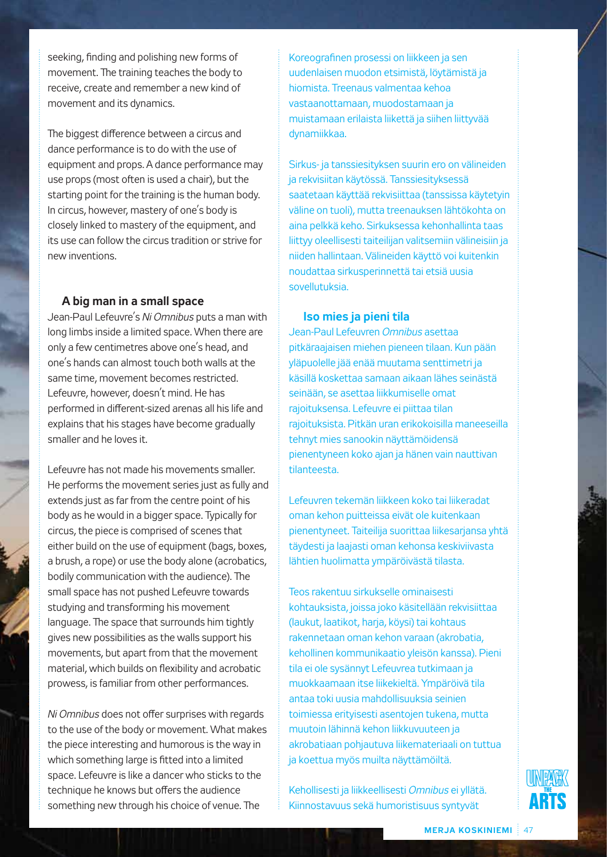seeking, finding and polishing new forms of movement. The training teaches the body to receive, create and remember a new kind of movement and its dynamics.

The biggest difference between a circus and dance performance is to do with the use of equipment and props. A dance performance may use props (most often is used a chair), but the starting point for the training is the human body. In circus, however, mastery of one's body is closely linked to mastery of the equipment, and its use can follow the circus tradition or strive for new inventions.

### **A big man in a small space**

Jean-Paul Lefeuvre's *Ni Omnibus* puts a man with long limbs inside a limited space. When there are only a few centimetres above one's head, and one's hands can almost touch both walls at the same time, movement becomes restricted. Lefeuvre, however, doesn't mind. He has performed in different-sized arenas all his life and explains that his stages have become gradually smaller and he loves it.

Lefeuvre has not made his movements smaller. He performs the movement series just as fully and extends just as far from the centre point of his body as he would in a bigger space. Typically for circus, the piece is comprised of scenes that either build on the use of equipment (bags, boxes, a brush, a rope) or use the body alone (acrobatics, bodily communication with the audience). The small space has not pushed Lefeuvre towards studying and transforming his movement language. The space that surrounds him tightly gives new possibilities as the walls support his movements, but apart from that the movement material, which builds on flexibility and acrobatic prowess, is familiar from other performances.

*Ni Omnibus* does not offer surprises with regards to the use of the body or movement. What makes the piece interesting and humorous is the way in which something large is fitted into a limited space. Lefeuvre is like a dancer who sticks to the technique he knows but offers the audience something new through his choice of venue. The

Koreografinen prosessi on liikkeen ja sen uudenlaisen muodon etsimistä, löytämistä ja hiomista. Treenaus valmentaa kehoa vastaanottamaan, muodostamaan ja muistamaan erilaista liikettä ja siihen liittyvää dynamiikkaa.

Sirkus- ja tanssiesityksen suurin ero on välineiden ja rekvisiitan käytössä. Tanssiesityksessä saatetaan käyttää rekvisiittaa (tanssissa käytetyin väline on tuoli), mutta treenauksen lähtökohta on aina pelkkä keho. Sirkuksessa kehonhallinta taas liittyy oleellisesti taiteilijan valitsemiin välineisiin ja niiden hallintaan. Välineiden käyttö voi kuitenkin noudattaa sirkusperinnettä tai etsiä uusia sovellutuksia.

#### **Iso mies ja pieni tila**

Jean-Paul Lefeuvren *Omnibus* asettaa pitkäraajaisen miehen pieneen tilaan. Kun pään yläpuolelle jää enää muutama senttimetri ja käsillä koskettaa samaan aikaan lähes seinästä seinään, se asettaa liikkumiselle omat rajoituksensa. Lefeuvre ei piittaa tilan rajoituksista. Pitkän uran erikokoisilla maneeseilla tehnyt mies sanookin näyttämöidensä pienentyneen koko ajan ja hänen vain nauttivan tilanteesta.

Lefeuvren tekemän liikkeen koko tai liikeradat oman kehon puitteissa eivät ole kuitenkaan pienentyneet. Taiteilija suorittaa liikesarjansa yhtä täydesti ja laajasti oman kehonsa keskiviivasta lähtien huolimatta ympäröivästä tilasta.

Teos rakentuu sirkukselle ominaisesti kohtauksista, joissa joko käsitellään rekvisiittaa (laukut, laatikot, harja, köysi) tai kohtaus rakennetaan oman kehon varaan (akrobatia, kehollinen kommunikaatio yleisön kanssa). Pieni tila ei ole sysännyt Lefeuvrea tutkimaan ja muokkaamaan itse liikekieltä. Ympäröivä tila antaa toki uusia mahdollisuuksia seinien toimiessa erityisesti asentojen tukena, mutta muutoin lähinnä kehon liikkuvuuteen ja akrobatiaan pohjautuva liikemateriaali on tuttua ja koettua myös muilta näyttämöiltä.

Kehollisesti ja liikkeellisesti *Omnibus* ei yllätä. Kiinnostavuus sekä humoristisuus syntyvät

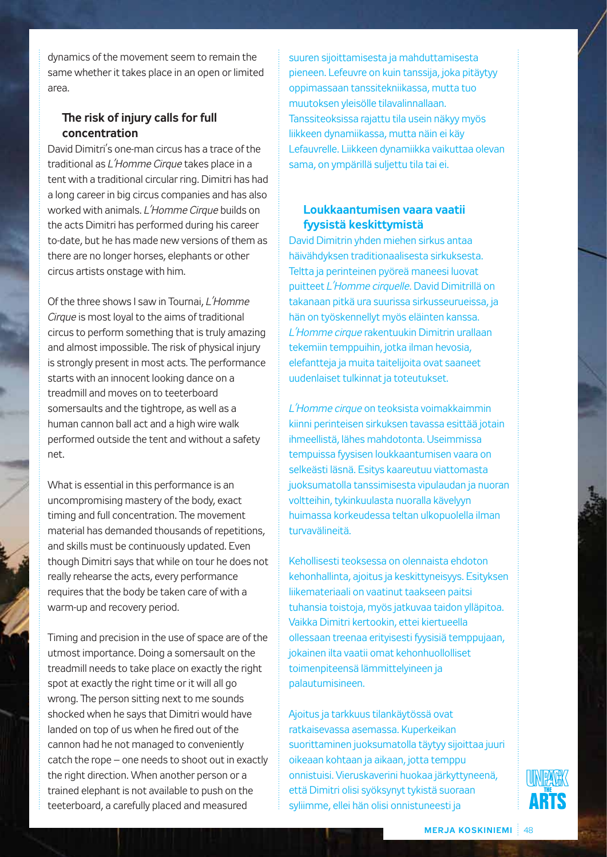dynamics of the movement seem to remain the same whether it takes place in an open or limited area.

# **The risk of injury calls for full concentration**

David Dimitri's one-man circus has a trace of the traditional as *L'Homme Cirque* takes place in a tent with a traditional circular ring. Dimitri has had a long career in big circus companies and has also worked with animals. *L'Homme Cirque* builds on the acts Dimitri has performed during his career to-date, but he has made new versions of them as there are no longer horses, elephants or other circus artists onstage with him.

Of the three shows I saw in Tournai, *L'Homme Cirque* is most loyal to the aims of traditional circus to perform something that is truly amazing and almost impossible. The risk of physical injury is strongly present in most acts. The performance starts with an innocent looking dance on a treadmill and moves on to teeterboard somersaults and the tightrope, as well as a human cannon ball act and a high wire walk performed outside the tent and without a safety net.

What is essential in this performance is an uncompromising mastery of the body, exact timing and full concentration. The movement material has demanded thousands of repetitions, and skills must be continuously updated. Even though Dimitri says that while on tour he does not really rehearse the acts, every performance requires that the body be taken care of with a warm-up and recovery period.

Timing and precision in the use of space are of the utmost importance. Doing a somersault on the treadmill needs to take place on exactly the right spot at exactly the right time or it will all go wrong. The person sitting next to me sounds shocked when he says that Dimitri would have landed on top of us when he fired out of the cannon had he not managed to conveniently catch the rope – one needs to shoot out in exactly the right direction. When another person or a trained elephant is not available to push on the teeterboard, a carefully placed and measured

suuren sijoittamisesta ja mahduttamisesta pieneen. Lefeuvre on kuin tanssija, joka pitäytyy oppimassaan tanssitekniikassa, mutta tuo muutoksen yleisölle tilavalinnallaan. Tanssiteoksissa rajattu tila usein näkyy myös liikkeen dynamiikassa, mutta näin ei käy Lefauvrelle. Liikkeen dynamiikka vaikuttaa olevan sama, on ympärillä suljettu tila tai ei.

# **Loukkaantumisen vaara vaatii fyysistä keskittymistä**

David Dimitrin yhden miehen sirkus antaa häivähdyksen traditionaalisesta sirkuksesta. Teltta ja perinteinen pyöreä maneesi luovat puitteet *L'Homme cirquelle*. David Dimitrillä on takanaan pitkä ura suurissa sirkusseurueissa, ja hän on työskennellyt myös eläinten kanssa. *L'Homme cirque* rakentuukin Dimitrin urallaan tekemiin temppuihin, jotka ilman hevosia, elefantteja ja muita taitelijoita ovat saaneet uudenlaiset tulkinnat ja toteutukset.

*L'Homme cirque* on teoksista voimakkaimmin kiinni perinteisen sirkuksen tavassa esittää jotain ihmeellistä, lähes mahdotonta. Useimmissa tempuissa fyysisen loukkaantumisen vaara on selkeästi läsnä. Esitys kaareutuu viattomasta juoksumatolla tanssimisesta vipulaudan ja nuoran voltteihin, tykinkuulasta nuoralla kävelyyn huimassa korkeudessa teltan ulkopuolella ilman turvavälineitä.

Kehollisesti teoksessa on olennaista ehdoton kehonhallinta, ajoitus ja keskittyneisyys. Esityksen liikemateriaali on vaatinut taakseen paitsi tuhansia toistoja, myös jatkuvaa taidon ylläpitoa. Vaikka Dimitri kertookin, ettei kiertueella ollessaan treenaa erityisesti fyysisiä temppujaan, jokainen ilta vaatii omat kehonhuollolliset toimenpiteensä lämmittelyineen ja palautumisineen.

Ajoitus ja tarkkuus tilankäytössä ovat ratkaisevassa asemassa. Kuperkeikan suorittaminen juoksumatolla täytyy sijoittaa juuri oikeaan kohtaan ja aikaan, jotta temppu onnistuisi. Vieruskaverini huokaa järkyttyneenä, että Dimitri olisi syöksynyt tykistä suoraan syliimme, ellei hän olisi onnistuneesti ja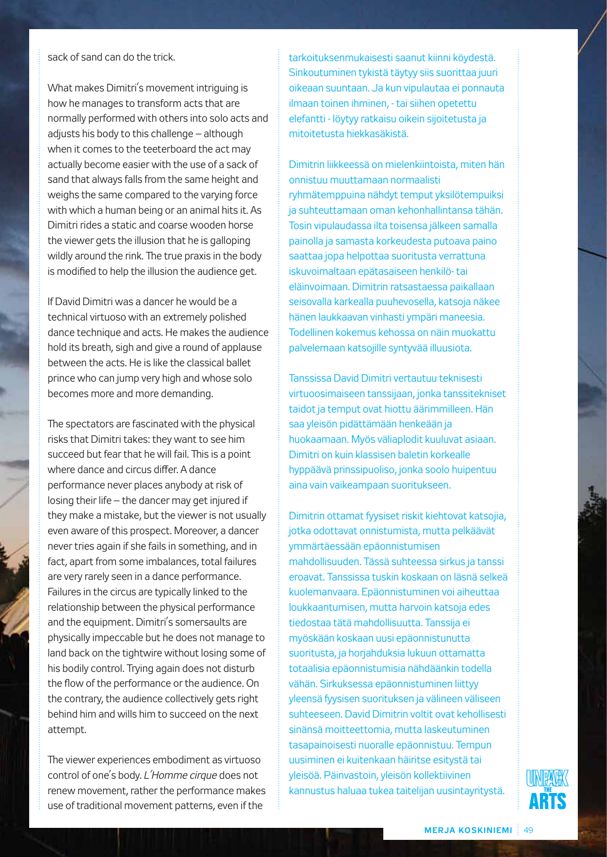sack of sand can do the trick.

What makes Dimitri's movement intriguing is how he manages to transform acts that are normally performed with others into solo acts and adjusts his body to this challenge – although when it comes to the teeterboard the act may actually become easier with the use of a sack of sand that always falls from the same height and weighs the same compared to the varying force with which a human being or an animal hits it. As Dimitri rides a static and coarse wooden horse the viewer gets the illusion that he is galloping wildly around the rink. The true praxis in the body is modified to help the illusion the audience get.

If David Dimitri was a dancer he would be a technical virtuoso with an extremely polished dance technique and acts. He makes the audience hold its breath, sigh and give a round of applause between the acts. He is like the classical ballet prince who can jump very high and whose solo becomes more and more demanding.

The spectators are fascinated with the physical risks that Dimitri takes: they want to see him succeed but fear that he will fail. This is a point where dance and circus differ. A dance performance never places anybody at risk of losing their life – the dancer may get injured if they make a mistake, but the viewer is not usually even aware of this prospect. Moreover, a dancer never tries again if she fails in something, and in fact, apart from some imbalances, total failures are very rarely seen in a dance performance. Failures in the circus are typically linked to the relationship between the physical performance and the equipment. Dimitri's somersaults are physically impeccable but he does not manage to land back on the tightwire without losing some of his bodily control. Trying again does not disturb the flow of the performance or the audience. On the contrary, the audience collectively gets right behind him and wills him to succeed on the next attempt.

The viewer experiences embodiment as virtuoso control of one's body. *L'Homme cirque* does not renew movement, rather the performance makes use of traditional movement patterns, even if the

tarkoituksenmukaisesti saanut kiinni köydestä. Sinkoutuminen tykistä täytyy siis suorittaa juuri oikeaan suuntaan. Ja kun vipulautaa ei ponnauta ilmaan toinen ihminen, - tai siihen opetettu elefantti - löytyy ratkaisu oikein sijoitetusta ja mitoitetusta hiekkasäkistä.

Dimitrin liikkeessä on mielenkiintoista, miten hän onnistuu muuttamaan normaalisti ryhmätemppuina nähdyt temput yksilötempuiksi ja suhteuttamaan oman kehonhallintansa tähän. Tosin vipulaudassa ilta toisensa jälkeen samalla painolla ja samasta korkeudesta putoava paino saattaa jopa helpottaa suoritusta verrattuna iskuvoimaltaan epätasaiseen henkilö- tai eläinvoimaan. Dimitrin ratsastaessa paikallaan seisovalla karkealla puuhevosella, katsoja näkee hänen laukkaavan vinhasti ympäri maneesia. Todellinen kokemus kehossa on näin muokattu palvelemaan katsojille syntyvää illuusiota.

Tanssissa David Dimitri vertautuu teknisesti virtuoosimaiseen tanssijaan, jonka tanssitekniset taidot ja temput ovat hiottu äärimmilleen. Hän saa yleisön pidättämään henkeään ja huokaamaan. Myös väliaplodit kuuluvat asiaan. Dimitri on kuin klassisen baletin korkealle hyppäävä prinssipuoliso, jonka soolo huipentuu aina vain vaikeampaan suoritukseen.

Dimitrin ottamat fyysiset riskit kiehtovat katsojia, jotka odottavat onnistumista, mutta pelkäävät ymmärtäessään epäonnistumisen mahdollisuuden. Tässä suhteessa sirkus ja tanssi eroavat. Tanssissa tuskin koskaan on läsnä selkeä kuolemanvaara. Epäonnistuminen voi aiheuttaa loukkaantumisen, mutta harvoin katsoja edes tiedostaa tätä mahdollisuutta. Tanssija ei myöskään koskaan uusi epäonnistunutta suoritusta, ja horjahduksia lukuun ottamatta totaalisia epäonnistumisia nähdäänkin todella vähän. Sirkuksessa epäonnistuminen liittyy yleensä fyysisen suorituksen ja välineen väliseen suhteeseen. David Dimitrin voltit ovat kehollisesti sinänsä moitteettomia, mutta laskeutuminen tasapainoisesti nuoralle epäonnistuu. Tempun uusiminen ei kuitenkaan häiritse esitystä tai yleisöä. Päinvastoin, yleisön kollektiivinen kannustus haluaa tukea taitelijan uusintayritystä.

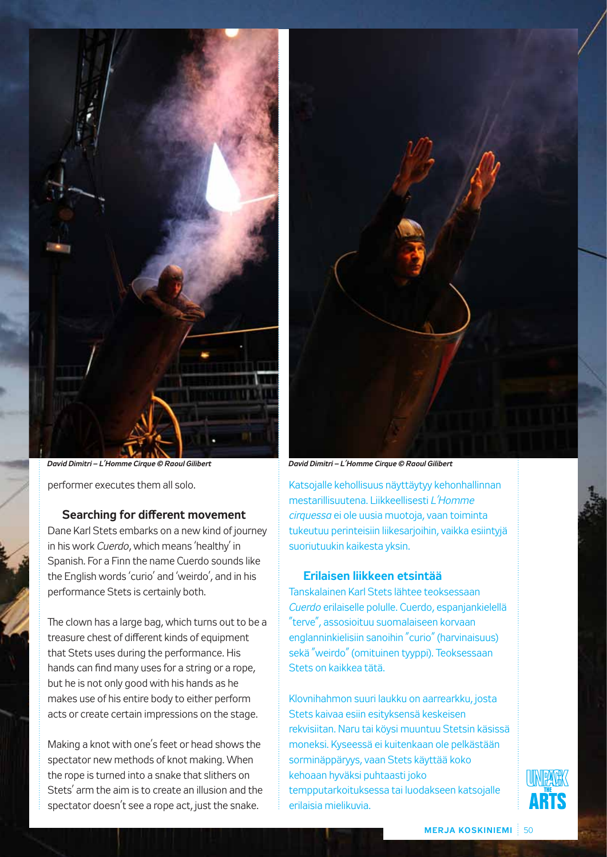

*David Dimitri – L'Homme Cirque © Raoul Gilibert David Dimitri – L'Homme Cirque © Raoul Gilibert*

performer executes them all solo.

### **Searching for different movement**

Dane Karl Stets embarks on a new kind of journey in his work *Cuerdo*, which means 'healthy' in Spanish. For a Finn the name Cuerdo sounds like the English words 'curio' and 'weirdo', and in his performance Stets is certainly both.

The clown has a large bag, which turns out to be a treasure chest of different kinds of equipment that Stets uses during the performance. His hands can find many uses for a string or a rope, but he is not only good with his hands as he makes use of his entire body to either perform acts or create certain impressions on the stage.

Making a knot with one's feet or head shows the spectator new methods of knot making. When the rope is turned into a snake that slithers on Stets' arm the aim is to create an illusion and the spectator doesn't see a rope act, just the snake.



Katsojalle kehollisuus näyttäytyy kehonhallinnan mestarillisuutena. Liikkeellisesti *L'Homme cirquessa* ei ole uusia muotoja, vaan toiminta tukeutuu perinteisiin liikesarjoihin, vaikka esiintyjä suoriutuukin kaikesta yksin.

## **Erilaisen liikkeen etsintää**

Tanskalainen Karl Stets lähtee teoksessaan *Cuerdo* erilaiselle polulle. Cuerdo, espanjankielellä "terve", assosioituu suomalaiseen korvaan englanninkielisiin sanoihin "curio" (harvinaisuus) sekä "weirdo" (omituinen tyyppi). Teoksessaan Stets on kaikkea tätä.

Klovnihahmon suuri laukku on aarrearkku, josta Stets kaivaa esiin esityksensä keskeisen rekvisiitan. Naru tai köysi muuntuu Stetsin käsissä moneksi. Kyseessä ei kuitenkaan ole pelkästään sorminäppäryys, vaan Stets käyttää koko kehoaan hyväksi puhtaasti joko tempputarkoituksessa tai luodakseen katsojalle erilaisia mielikuvia.

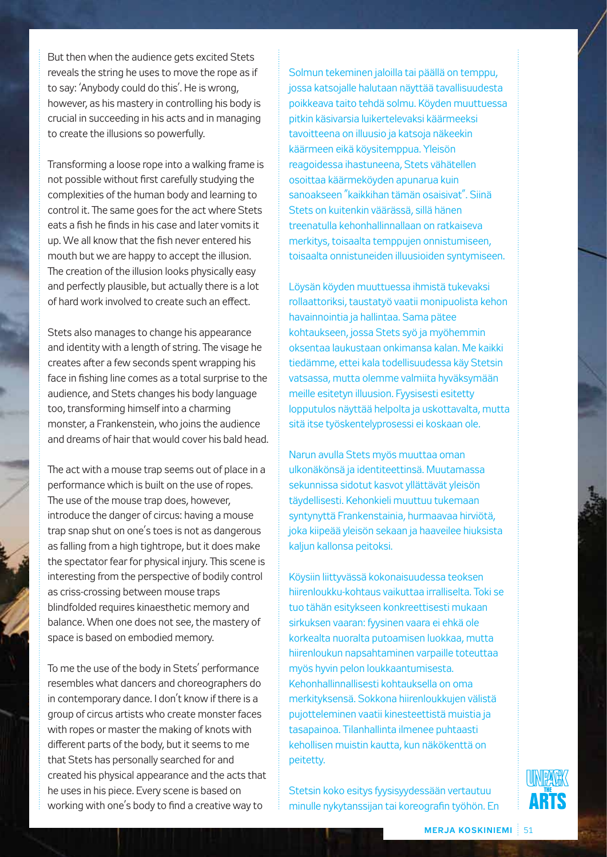But then when the audience gets excited Stets reveals the string he uses to move the rope as if to say: 'Anybody could do this'. He is wrong, however, as his mastery in controlling his body is crucial in succeeding in his acts and in managing to create the illusions so powerfully.

Transforming a loose rope into a walking frame is not possible without first carefully studying the complexities of the human body and learning to control it. The same goes for the act where Stets eats a fish he finds in his case and later vomits it up. We all know that the fish never entered his mouth but we are happy to accept the illusion. The creation of the illusion looks physically easy and perfectly plausible, but actually there is a lot of hard work involved to create such an effect.

Stets also manages to change his appearance and identity with a length of string. The visage he creates after a few seconds spent wrapping his face in fishing line comes as a total surprise to the audience, and Stets changes his body language too, transforming himself into a charming monster, a Frankenstein, who joins the audience and dreams of hair that would cover his bald head.

The act with a mouse trap seems out of place in a performance which is built on the use of ropes. The use of the mouse trap does, however, introduce the danger of circus: having a mouse trap snap shut on one's toes is not as dangerous as falling from a high tightrope, but it does make the spectator fear for physical injury. This scene is interesting from the perspective of bodily control as criss-crossing between mouse traps blindfolded requires kinaesthetic memory and balance. When one does not see, the mastery of space is based on embodied memory.

To me the use of the body in Stets' performance resembles what dancers and choreographers do in contemporary dance. I don't know if there is a group of circus artists who create monster faces with ropes or master the making of knots with different parts of the body, but it seems to me that Stets has personally searched for and created his physical appearance and the acts that he uses in his piece. Every scene is based on working with one's body to find a creative way to

Solmun tekeminen jaloilla tai päällä on temppu, jossa katsojalle halutaan näyttää tavallisuudesta poikkeava taito tehdä solmu. Köyden muuttuessa pitkin käsivarsia luikertelevaksi käärmeeksi tavoitteena on illuusio ja katsoja näkeekin käärmeen eikä köysitemppua. Yleisön reagoidessa ihastuneena, Stets vähätellen osoittaa käärmeköyden apunarua kuin sanoakseen "kaikkihan tämän osaisivat". Siinä Stets on kuitenkin väärässä, sillä hänen treenatulla kehonhallinnallaan on ratkaiseva merkitys, toisaalta temppujen onnistumiseen, toisaalta onnistuneiden illuusioiden syntymiseen.

Löysän köyden muuttuessa ihmistä tukevaksi rollaattoriksi, taustatyö vaatii monipuolista kehon havainnointia ja hallintaa. Sama pätee kohtaukseen, jossa Stets syö ja myöhemmin oksentaa laukustaan onkimansa kalan. Me kaikki tiedämme, ettei kala todellisuudessa käy Stetsin vatsassa, mutta olemme valmiita hyväksymään meille esitetyn illuusion. Fyysisesti esitetty lopputulos näyttää helpolta ja uskottavalta, mutta sitä itse työskentelyprosessi ei koskaan ole.

Narun avulla Stets myös muuttaa oman ulkonäkönsä ja identiteettinsä. Muutamassa sekunnissa sidotut kasvot yllättävät yleisön täydellisesti. Kehonkieli muuttuu tukemaan syntynyttä Frankenstainia, hurmaavaa hirviötä, joka kiipeää yleisön sekaan ja haaveilee hiuksista kaljun kallonsa peitoksi.

Köysiin liittyvässä kokonaisuudessa teoksen hiirenloukku-kohtaus vaikuttaa irralliselta. Toki se tuo tähän esitykseen konkreettisesti mukaan sirkuksen vaaran: fyysinen vaara ei ehkä ole korkealta nuoralta putoamisen luokkaa, mutta hiirenloukun napsahtaminen varpaille toteuttaa myös hyvin pelon loukkaantumisesta. Kehonhallinnallisesti kohtauksella on oma merkityksensä. Sokkona hiirenloukkujen välistä pujotteleminen vaatii kinesteettistä muistia ja tasapainoa. Tilanhallinta ilmenee puhtaasti kehollisen muistin kautta, kun näkökenttä on peitetty.

Stetsin koko esitys fyysisyydessään vertautuu minulle nykytanssijan tai koreografin työhön. En

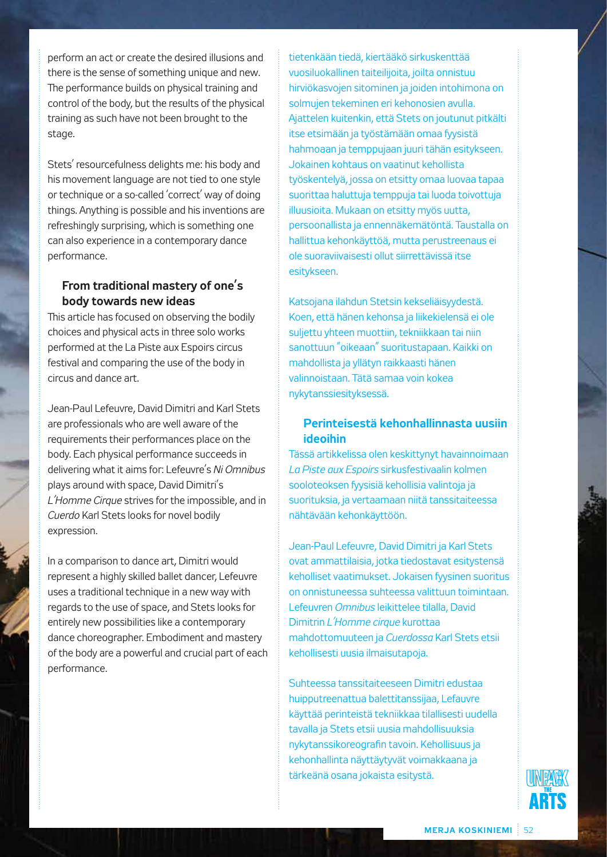perform an act or create the desired illusions and there is the sense of something unique and new. The performance builds on physical training and control of the body, but the results of the physical training as such have not been brought to the stage.

Stets' resourcefulness delights me: his body and his movement language are not tied to one style or technique or a so-called 'correct' way of doing things. Anything is possible and his inventions are refreshingly surprising, which is something one can also experience in a contemporary dance performance.

# **From traditional mastery of one's body towards new ideas**

This article has focused on observing the bodily choices and physical acts in three solo works performed at the La Piste aux Espoirs circus festival and comparing the use of the body in circus and dance art.

Jean-Paul Lefeuvre, David Dimitri and Karl Stets are professionals who are well aware of the requirements their performances place on the body. Each physical performance succeeds in delivering what it aims for: Lefeuvre's *Ni Omnibus* plays around with space, David Dimitri's *L'Homme Cirque* strives for the impossible, and in *Cuerdo* Karl Stets looks for novel bodily expression.

In a comparison to dance art, Dimitri would represent a highly skilled ballet dancer, Lefeuvre uses a traditional technique in a new way with regards to the use of space, and Stets looks for entirely new possibilities like a contemporary dance choreographer. Embodiment and mastery of the body are a powerful and crucial part of each performance.

tietenkään tiedä, kiertääkö sirkuskenttää vuosiluokallinen taiteilijoita, joilta onnistuu hirviökasvojen sitominen ja joiden intohimona on solmujen tekeminen eri kehonosien avulla. Ajattelen kuitenkin, että Stets on joutunut pitkälti itse etsimään ja työstämään omaa fyysistä hahmoaan ja temppujaan juuri tähän esitykseen. Jokainen kohtaus on vaatinut kehollista työskentelyä, jossa on etsitty omaa luovaa tapaa suorittaa haluttuja temppuja tai luoda toivottuja illuusioita. Mukaan on etsitty myös uutta, persoonallista ja ennennäkemätöntä. Taustalla on hallittua kehonkäyttöä, mutta perustreenaus ei ole suoraviivaisesti ollut siirrettävissä itse esitykseen.

Katsojana ilahdun Stetsin kekseliäisyydestä. Koen, että hänen kehonsa ja liikekielensä ei ole suljettu yhteen muottiin, tekniikkaan tai niin sanottuun "oikeaan" suoritustapaan. Kaikki on mahdollista ja yllätyn raikkaasti hänen valinnoistaan. Tätä samaa voin kokea nykytanssiesityksessä.

# **Perinteisestä kehonhallinnasta uusiin ideoihin**

Tässä artikkelissa olen keskittynyt havainnoimaan *La Piste aux Espoirs* sirkusfestivaalin kolmen sooloteoksen fyysisiä kehollisia valintoja ja suorituksia, ja vertaamaan niitä tanssitaiteessa nähtävään kehonkäyttöön.

Jean-Paul Lefeuvre, David Dimitri ja Karl Stets ovat ammattilaisia, jotka tiedostavat esitystensä keholliset vaatimukset. Jokaisen fyysinen suoritus on onnistuneessa suhteessa valittuun toimintaan. Lefeuvren *Omnibus* leikittelee tilalla, David Dimitrin *L'Homme cirque* kurottaa mahdottomuuteen ja *Cuerdossa* Karl Stets etsii kehollisesti uusia ilmaisutapoja.

Suhteessa tanssitaiteeseen Dimitri edustaa huipputreenattua balettitanssijaa, Lefauvre käyttää perinteistä tekniikkaa tilallisesti uudella tavalla ja Stets etsii uusia mahdollisuuksia nykytanssikoreografin tavoin. Kehollisuus ja kehonhallinta näyttäytyvät voimakkaana ja tärkeänä osana jokaista esitystä.

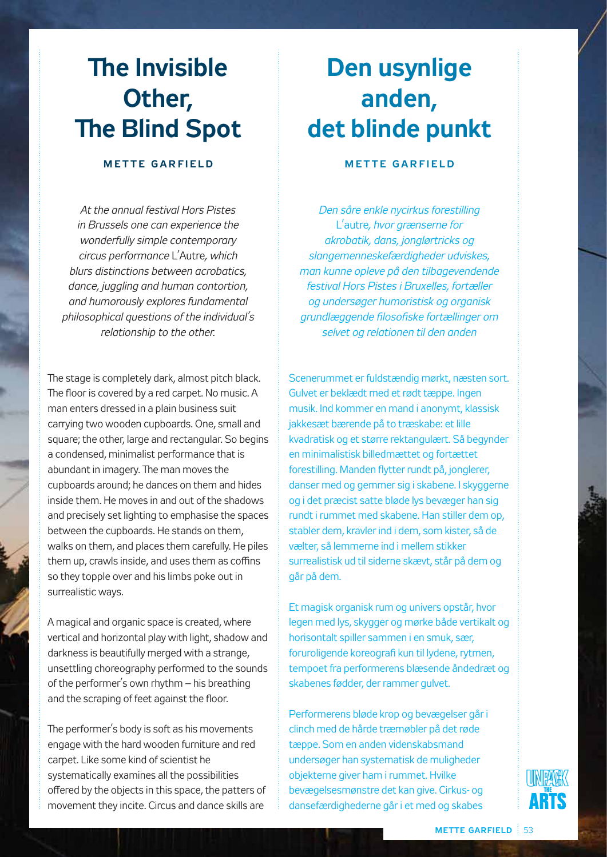# **The Invisible Other, The Blind Spot**

# **M e t t e G arf i e l d**

*At the annual festival Hors Pistes in Brussels one can experience the wonderfully simple contemporary circus performance* L'Autre*, which blurs distinctions between acrobatics, dance, juggling and human contortion, and humorously explores fundamental philosophical questions of the individual's relationship to the other.*

The stage is completely dark, almost pitch black. The floor is covered by a red carpet. No music. A man enters dressed in a plain business suit carrying two wooden cupboards. One, small and square; the other, large and rectangular. So begins a condensed, minimalist performance that is abundant in imagery. The man moves the cupboards around; he dances on them and hides inside them. He moves in and out of the shadows and precisely set lighting to emphasise the spaces between the cupboards. He stands on them, walks on them, and places them carefully. He piles them up, crawls inside, and uses them as coffins so they topple over and his limbs poke out in surrealistic ways.

A magical and organic space is created, where vertical and horizontal play with light, shadow and darkness is beautifully merged with a strange, unsettling choreography performed to the sounds of the performer's own rhythm – his breathing and the scraping of feet against the floor.

The performer's body is soft as his movements engage with the hard wooden furniture and red carpet. Like some kind of scientist he systematically examines all the possibilities offered by the objects in this space, the patters of movement they incite. Circus and dance skills are

# **Den usynlige anden, det blinde punkt**

# **M e t t e G arf i e l d**

*Den såre enkle nycirkus forestilling*  L'autre*, hvor grænserne for akrobatik, dans, jonglørtricks og slangemenneskefærdigheder udviskes, man kunne opleve på den tilbagevendende festival Hors Pistes i Bruxelles, fortæller og undersøger humoristisk og organisk grundlæggende filosofiske fortællinger om selvet og relationen til den anden*

Scenerummet er fuldstændig mørkt, næsten sort. Gulvet er beklædt med et rødt tæppe. Ingen musik. Ind kommer en mand i anonymt, klassisk jakkesæt bærende på to træskabe: et lille kvadratisk og et større rektangulært. Så begynder en minimalistisk billedmættet og fortættet forestilling. Manden flytter rundt på, jonglerer, danser med og gemmer sig i skabene. I skyggerne og i det præcist satte bløde lys bevæger han sig rundt i rummet med skabene. Han stiller dem op, stabler dem, kravler ind i dem, som kister, så de vælter, så lemmerne ind i mellem stikker surrealistisk ud til siderne skævt, står på dem og går på dem.

Et magisk organisk rum og univers opstår, hvor legen med lys, skygger og mørke både vertikalt og horisontalt spiller sammen i en smuk, sær, foruroligende koreografi kun til lydene, rytmen, tempoet fra performerens blæsende åndedræt og skabenes fødder, der rammer gulvet.

Performerens bløde krop og bevægelser går i clinch med de hårde træmøbler på det røde tæppe. Som en anden videnskabsmand undersøger han systematisk de muligheder objekterne giver ham i rummet. Hvilke bevægelsesmønstre det kan give. Cirkus- og dansefærdighederne går i et med og skabes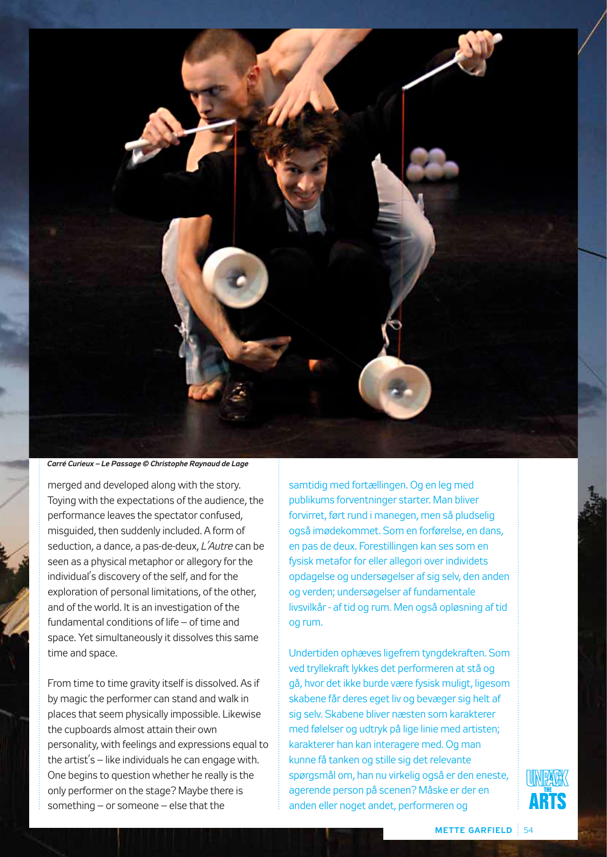

#### *Carré Curieux – Le Passage © Christophe Raynaud de Lage*

merged and developed along with the story. Toying with the expectations of the audience, the performance leaves the spectator confused, misguided, then suddenly included. A form of seduction, a dance, a pas-de-deux, *L'Autre* can be seen as a physical metaphor or allegory for the individual's discovery of the self, and for the exploration of personal limitations, of the other, and of the world. It is an investigation of the fundamental conditions of life – of time and space. Yet simultaneously it dissolves this same time and space.

From time to time gravity itself is dissolved. As if by magic the performer can stand and walk in places that seem physically impossible. Likewise the cupboards almost attain their own personality, with feelings and expressions equal to the artist's – like individuals he can engage with. One begins to question whether he really is the only performer on the stage? Maybe there is something – or someone – else that the

samtidig med fortællingen. Og en leg med publikums forventninger starter. Man bliver forvirret, ført rund i manegen, men så pludselig også imødekommet. Som en forførelse, en dans, en pas de deux. Forestillingen kan ses som en fysisk metafor for eller allegori over individets opdagelse og undersøgelser af sig selv, den anden og verden; undersøgelser af fundamentale livsvilkår - af tid og rum. Men også opløsning af tid og rum.

Undertiden ophæves ligefrem tyngdekraften. Som ved tryllekraft lykkes det performeren at stå og gå, hvor det ikke burde være fysisk muligt, ligesom skabene får deres eget liv og bevæger sig helt af sig selv. Skabene bliver næsten som karakterer med følelser og udtryk på lige linie med artisten; karakterer han kan interagere med. Og man kunne få tanken og stille sig det relevante spørgsmål om, han nu virkelig også er den eneste, agerende person på scenen? Måske er der en anden eller noget andet, performeren og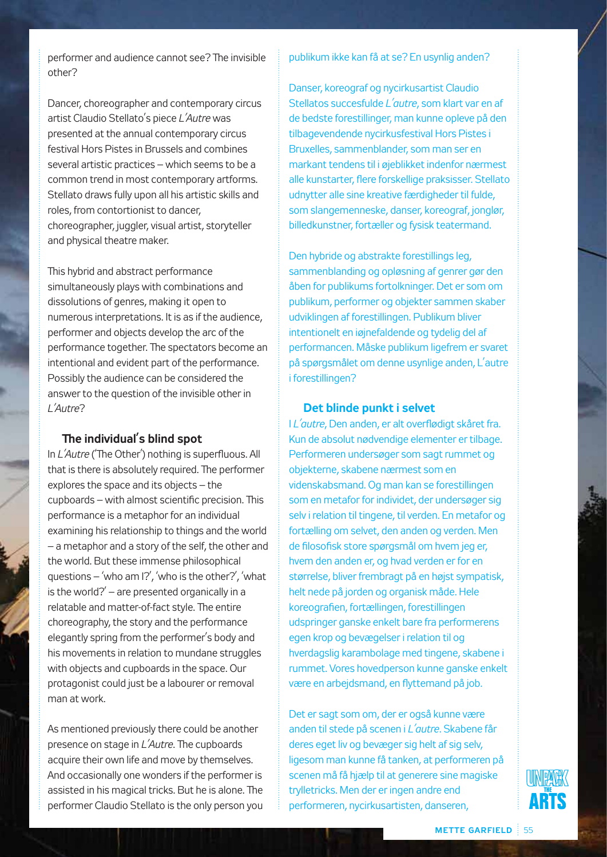performer and audience cannot see? The invisible other?

Dancer, choreographer and contemporary circus artist Claudio Stellato's piece *L'Autre* was presented at the annual contemporary circus festival Hors Pistes in Brussels and combines several artistic practices – which seems to be a common trend in most contemporary artforms. Stellato draws fully upon all his artistic skills and roles, from contortionist to dancer, choreographer, juggler, visual artist, storyteller and physical theatre maker.

This hybrid and abstract performance simultaneously plays with combinations and dissolutions of genres, making it open to numerous interpretations. It is as if the audience, performer and objects develop the arc of the performance together. The spectators become an intentional and evident part of the performance. Possibly the audience can be considered the answer to the question of the invisible other in *L'Autre*?

### **The individual's blind spot**

In *L'Autre* ('The Other') nothing is superfluous. All that is there is absolutely required. The performer explores the space and its objects – the cupboards – with almost scientific precision. This performance is a metaphor for an individual examining his relationship to things and the world – a metaphor and a story of the self, the other and the world. But these immense philosophical questions – 'who am I?', 'who is the other?', 'what is the world? $'$  – are presented organically in a relatable and matter-of-fact style. The entire choreography, the story and the performance elegantly spring from the performer's body and his movements in relation to mundane struggles with objects and cupboards in the space. Our protagonist could just be a labourer or removal man at work.

As mentioned previously there could be another presence on stage in *L'Autre*. The cupboards acquire their own life and move by themselves. And occasionally one wonders if the performer is assisted in his magical tricks. But he is alone. The performer Claudio Stellato is the only person you

#### publikum ikke kan få at se? En usynlig anden?

Danser, koreograf og nycirkusartist Claudio Stellatos succesfulde *L'autre*, som klart var en af de bedste forestillinger, man kunne opleve på den tilbagevendende nycirkusfestival Hors Pistes i Bruxelles, sammenblander, som man ser en markant tendens til i øjeblikket indenfor nærmest alle kunstarter, flere forskellige praksisser. Stellato udnytter alle sine kreative færdigheder til fulde, som slangemenneske, danser, koreograf, jonglør, billedkunstner, fortæller og fysisk teatermand.

Den hybride og abstrakte forestillings leg, sammenblanding og opløsning af genrer gør den åben for publikums fortolkninger. Det er som om publikum, performer og objekter sammen skaber udviklingen af forestillingen. Publikum bliver intentionelt en iøjnefaldende og tydelig del af performancen. Måske publikum ligefrem er svaret på spørgsmålet om denne usynlige anden, L'autre i forestillingen?

#### **Det blinde punkt i selvet**

I *L'autre*, Den anden, er alt overflødigt skåret fra. Kun de absolut nødvendige elementer er tilbage. Performeren undersøger som sagt rummet og objekterne, skabene nærmest som en videnskabsmand. Og man kan se forestillingen som en metafor for individet, der undersøger sig selv i relation til tingene, til verden. En metafor og fortælling om selvet, den anden og verden. Men de filosofisk store spørgsmål om hvem jeg er, hvem den anden er, og hvad verden er for en størrelse, bliver frembragt på en højst sympatisk, helt nede på jorden og organisk måde. Hele koreografien, fortællingen, forestillingen udspringer ganske enkelt bare fra performerens egen krop og bevægelser i relation til og hverdagslig karambolage med tingene, skabene i rummet. Vores hovedperson kunne ganske enkelt være en arbejdsmand, en flyttemand på job.

Det er sagt som om, der er også kunne være anden til stede på scenen i *L'autre*. Skabene får deres eget liv og bevæger sig helt af sig selv, ligesom man kunne få tanken, at performeren på scenen må få hjælp til at generere sine magiske trylletricks. Men der er ingen andre end performeren, nycirkusartisten, danseren,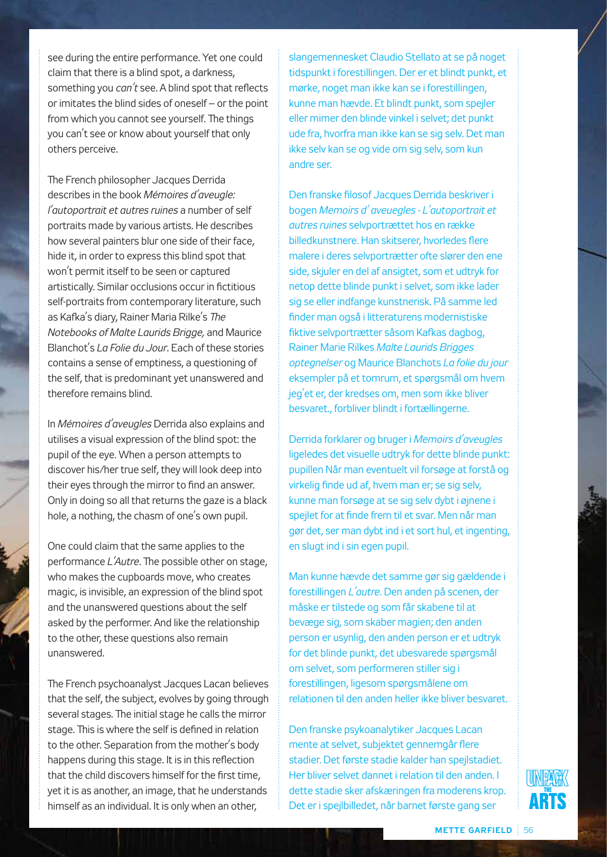see during the entire performance. Yet one could claim that there is a blind spot, a darkness, something you *can't* see. A blind spot that reflects or imitates the blind sides of oneself – or the point from which you cannot see yourself. The things you can't see or know about yourself that only others perceive.

The French philosopher Jacques Derrida describes in the book *Mémoires d'aveugle: l'autoportrait et autres ruines* a number of self portraits made by various artists. He describes how several painters blur one side of their face, hide it, in order to express this blind spot that won't permit itself to be seen or captured artistically. Similar occlusions occur in fictitious self-portraits from contemporary literature, such as Kafka's diary, Rainer Maria Rilke's *The Notebooks of Malte Laurids Brigge,* and Maurice Blanchot's *La Folie du Jour*. Each of these stories contains a sense of emptiness, a questioning of the self, that is predominant yet unanswered and therefore remains blind.

In *Mémoires d'aveugles* Derrida also explains and utilises a visual expression of the blind spot: the pupil of the eye. When a person attempts to discover his/her true self, they will look deep into their eyes through the mirror to find an answer. Only in doing so all that returns the gaze is a black hole, a nothing, the chasm of one's own pupil.

One could claim that the same applies to the performance *L'Autre*. The possible other on stage, who makes the cupboards move, who creates magic, is invisible, an expression of the blind spot and the unanswered questions about the self asked by the performer. And like the relationship to the other, these questions also remain unanswered.

The French psychoanalyst Jacques Lacan believes that the self, the subject, evolves by going through several stages. The initial stage he calls the mirror stage. This is where the self is defined in relation to the other. Separation from the mother's body happens during this stage. It is in this reflection that the child discovers himself for the first time, yet it is as another, an image, that he understands himself as an individual. It is only when an other,

slangemennesket Claudio Stellato at se på noget tidspunkt i forestillingen. Der er et blindt punkt, et mørke, noget man ikke kan se i forestillingen, kunne man hævde. Et blindt punkt, som spejler eller mimer den blinde vinkel i selvet; det punkt ude fra, hvorfra man ikke kan se sig selv. Det man ikke selv kan se og vide om sig selv, som kun andre ser.

Den franske filosof Jacques Derrida beskriver i bogen *Memoirs d' aveuegles - L'autoportrait et autres ruines* selvportrættet hos en række billedkunstnere. Han skitserer, hvorledes flere malere i deres selvportrætter ofte slører den ene side, skjuler en del af ansigtet, som et udtryk for netop dette blinde punkt i selvet, som ikke lader sig se eller indfange kunstnerisk. På samme led finder man også i litteraturens modernistiske fiktive selvportrætter såsom Kafkas dagbog, Rainer Marie Rilkes *Malte Laurids Brigges optegnelser* og Maurice Blanchots *La folie du jour* eksempler på et tomrum, et spørgsmål om hvem jeg'et er, der kredses om, men som ikke bliver besvaret., forbliver blindt i fortællingerne.

Derrida forklarer og bruger i *Memoirs d'aveugles* ligeledes det visuelle udtryk for dette blinde punkt: pupillen Når man eventuelt vil forsøge at forstå og virkelig finde ud af, hvem man er; se sig selv, kunne man forsøge at se sig selv dybt i øjnene i spejlet for at finde frem til et svar. Men når man gør det, ser man dybt ind i et sort hul, et ingenting, en slugt ind i sin egen pupil.

Man kunne hævde det samme gør sig gældende i forestillingen *L'autre*. Den anden på scenen, der måske er tilstede og som får skabene til at bevæge sig, som skaber magien; den anden person er usynlig, den anden person er et udtryk for det blinde punkt, det ubesvarede spørgsmål om selvet, som performeren stiller sig i forestillingen, ligesom spørgsmålene om relationen til den anden heller ikke bliver besvaret.

Den franske psykoanalytiker Jacques Lacan mente at selvet, subjektet gennemgår flere stadier. Det første stadie kalder han spejlstadiet. Her bliver selvet dannet i relation til den anden. I dette stadie sker afskæringen fra moderens krop. Det er i spejlbilledet, når barnet første gang ser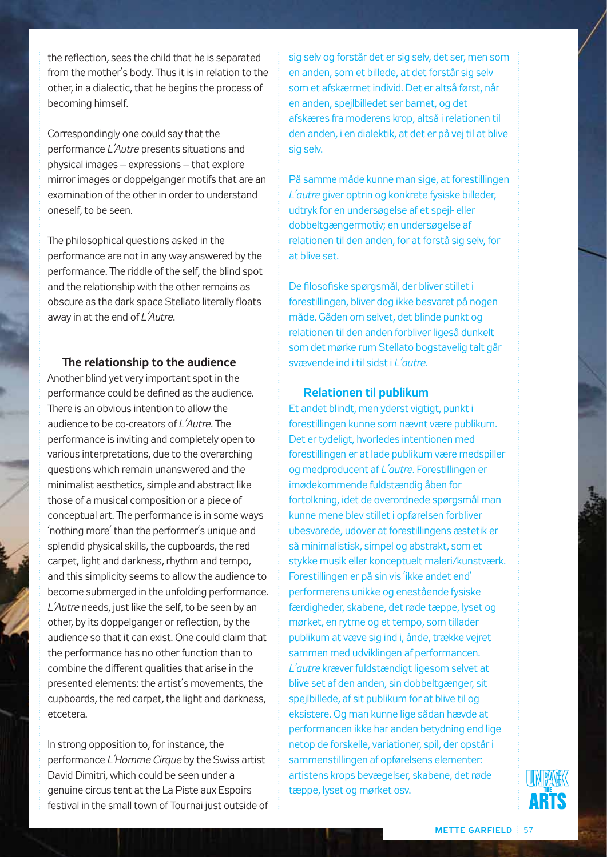the reflection, sees the child that he is separated from the mother's body. Thus it is in relation to the other, in a dialectic, that he begins the process of becoming himself.

Correspondingly one could say that the performance *L'Autre* presents situations and physical images – expressions – that explore mirror images or doppelganger motifs that are an examination of the other in order to understand oneself, to be seen.

The philosophical questions asked in the performance are not in any way answered by the performance. The riddle of the self, the blind spot and the relationship with the other remains as obscure as the dark space Stellato literally floats away in at the end of *L'Autre*.

#### **The relationship to the audience**

Another blind yet very important spot in the performance could be defined as the audience. There is an obvious intention to allow the audience to be co-creators of *L'Autre*. The performance is inviting and completely open to various interpretations, due to the overarching questions which remain unanswered and the minimalist aesthetics, simple and abstract like those of a musical composition or a piece of conceptual art. The performance is in some ways 'nothing more' than the performer's unique and splendid physical skills, the cupboards, the red carpet, light and darkness, rhythm and tempo, and this simplicity seems to allow the audience to become submerged in the unfolding performance. *L'Autre* needs, just like the self, to be seen by an other, by its doppelganger or reflection, by the audience so that it can exist. One could claim that the performance has no other function than to combine the different qualities that arise in the presented elements: the artist's movements, the cupboards, the red carpet, the light and darkness, etcetera.

In strong opposition to, for instance, the performance *L'Homme Cirque* by the Swiss artist David Dimitri, which could be seen under a genuine circus tent at the La Piste aux Espoirs festival in the small town of Tournai just outside of sig selv og forstår det er sig selv, det ser, men som en anden, som et billede, at det forstår sig selv som et afskærmet individ. Det er altså først, når en anden, spejlbilledet ser barnet, og det afskæres fra moderens krop, altså i relationen til den anden, i en dialektik, at det er på vej til at blive sig selv.

På samme måde kunne man sige, at forestillingen *L'autre* giver optrin og konkrete fysiske billeder, udtryk for en undersøgelse af et spejl- eller dobbeltgængermotiv; en undersøgelse af relationen til den anden, for at forstå sig selv, for at blive set.

De filosofiske spørgsmål, der bliver stillet i forestillingen, bliver dog ikke besvaret på nogen måde. Gåden om selvet, det blinde punkt og relationen til den anden forbliver ligeså dunkelt som det mørke rum Stellato bogstavelig talt går svævende ind i til sidst i *L'autre*.

#### **Relationen til publikum**

Et andet blindt, men yderst vigtigt, punkt i forestillingen kunne som nævnt være publikum. Det er tydeligt, hvorledes intentionen med forestillingen er at lade publikum være medspiller og medproducent af *L'autre*. Forestillingen er imødekommende fuldstændig åben for fortolkning, idet de overordnede spørgsmål man kunne mene blev stillet i opførelsen forbliver ubesvarede, udover at forestillingens æstetik er så minimalistisk, simpel og abstrakt, som et stykke musik eller konceptuelt maleri/kunstværk. Forestillingen er på sin vis 'ikke andet end' performerens unikke og enestående fysiske færdigheder, skabene, det røde tæppe, lyset og mørket, en rytme og et tempo, som tillader publikum at væve sig ind i, ånde, trække vejret sammen med udviklingen af performancen. *L'autre* kræver fuldstændigt ligesom selvet at blive set af den anden, sin dobbeltgænger, sit spejlbillede, af sit publikum for at blive til og eksistere. Og man kunne lige sådan hævde at performancen ikke har anden betydning end lige netop de forskelle, variationer, spil, der opstår i sammenstillingen af opførelsens elementer: artistens krops bevægelser, skabene, det røde tæppe, lyset og mørket osv.

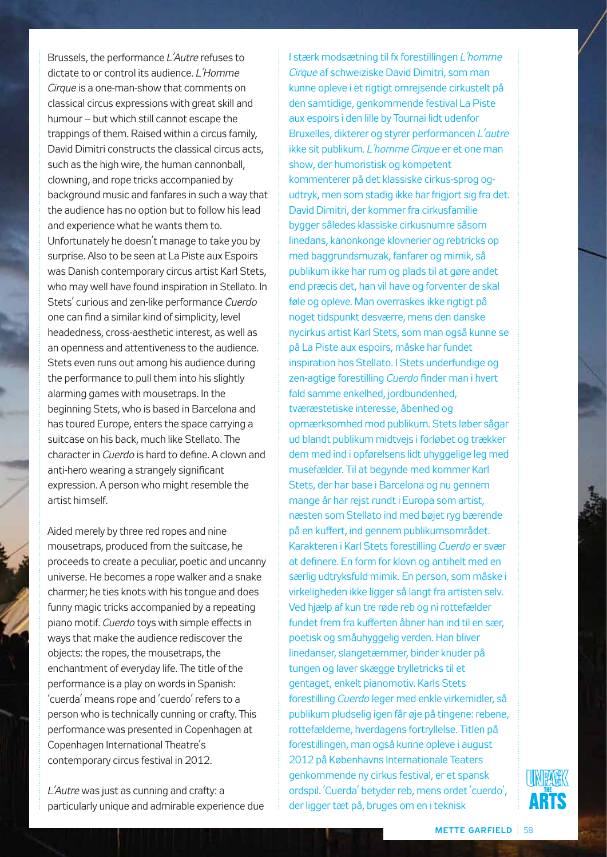Brussels, the performance *L'Autre* refuses to dictate to or control its audience. *L'Homme Cirque* is a one-man-show that comments on classical circus expressions with great skill and humour – but which still cannot escape the trappings of them. Raised within a circus family, David Dimitri constructs the classical circus acts, such as the high wire, the human cannonball, clowning, and rope tricks accompanied by background music and fanfares in such a way that the audience has no option but to follow his lead and experience what he wants them to. Unfortunately he doesn't manage to take you by surprise. Also to be seen at La Piste aux Espoirs was Danish contemporary circus artist Karl Stets, who may well have found inspiration in Stellato. In Stets' curious and zen-like performance *Cuerdo* one can find a similar kind of simplicity, level headedness, cross-aesthetic interest, as well as an openness and attentiveness to the audience. Stets even runs out among his audience during the performance to pull them into his slightly alarming games with mousetraps. In the beginning Stets, who is based in Barcelona and has toured Europe, enters the space carrying a suitcase on his back, much like Stellato. The character in *Cuerdo* is hard to define. A clown and anti-hero wearing a strangely significant expression. A person who might resemble the artist himself.

Aided merely by three red ropes and nine mousetraps, produced from the suitcase, he proceeds to create a peculiar, poetic and uncanny universe. He becomes a rope walker and a snake charmer; he ties knots with his tongue and does funny magic tricks accompanied by a repeating piano motif. *Cuerdo* toys with simple effects in ways that make the audience rediscover the objects: the ropes, the mousetraps, the enchantment of everyday life. The title of the performance is a play on words in Spanish: 'cuerda' means rope and 'cuerdo' refers to a person who is technically cunning or crafty. This performance was presented in Copenhagen at Copenhagen International Theatre's contemporary circus festival in 2012.

*L'Autre* was just as cunning and crafty: a particularly unique and admirable experience due

I stærk modsætning til fx forestillingen *L'homme Cirque* af schweiziske David Dimitri, som man kunne opleve i et rigtigt omrejsende cirkustelt på den samtidige, genkommende festival La Piste aux espoirs i den lille by Tournai lidt udenfor Bruxelles, dikterer og styrer performancen *L'autre*  ikke sit publikum. *L'homme Cirque* er et one man show, der humoristisk og kompetent kommenterer på det klassiske cirkus-sprog ogudtryk, men som stadig ikke har frigjort sig fra det. David Dimitri, der kommer fra cirkusfamilie bygger således klassiske cirkusnumre såsom linedans, kanonkonge klovnerier og rebtricks op med baggrundsmuzak, fanfarer og mimik, så publikum ikke har rum og plads til at gøre andet end præcis det, han vil have og forventer de skal føle og opleve. Man overraskes ikke rigtigt på noget tidspunkt desværre, mens den danske nycirkus artist Karl Stets, som man også kunne se på La Piste aux espoirs, måske har fundet inspiration hos Stellato. I Stets underfundige og zen-agtige forestilling *Cuerdo* finder man i hvert fald samme enkelhed, jordbundenhed, tværæstetiske interesse, åbenhed og opmærksomhed mod publikum. Stets løber sågar ud blandt publikum midtvejs i forløbet og trækker dem med ind i opførelsens lidt uhyggelige leg med musefælder. Til at begynde med kommer Karl Stets, der har base i Barcelona og nu gennem mange år har rejst rundt i Europa som artist, næsten som Stellato ind med bøjet ryg bærende på en kuffert, ind gennem publikumsområdet. Karakteren i Karl Stets forestilling *Cuerdo* er svær at definere. En form for klovn og antihelt med en særlig udtryksfuld mimik. En person, som måske i virkeligheden ikke ligger så langt fra artisten selv. Ved hjælp af kun tre røde reb og ni rottefælder fundet frem fra kufferten åbner han ind til en sær, poetisk og småuhyggelig verden. Han bliver linedanser, slangetæmmer, binder knuder på tungen og laver skægge trylletricks til et gentaget, enkelt pianomotiv. Karls Stets forestilling *Cuerdo* leger med enkle virkemidler, så publikum pludselig igen får øje på tingene: rebene, rottefælderne, hverdagens fortryllelse. Titlen på forestillingen, man også kunne opleve i august 2012 på Københavns Internationale Teaters genkommende ny cirkus festival, er et spansk ordspil. 'Cuerda' betyder reb, mens ordet 'cuerdo', der ligger tæt på, bruges om en i teknisk

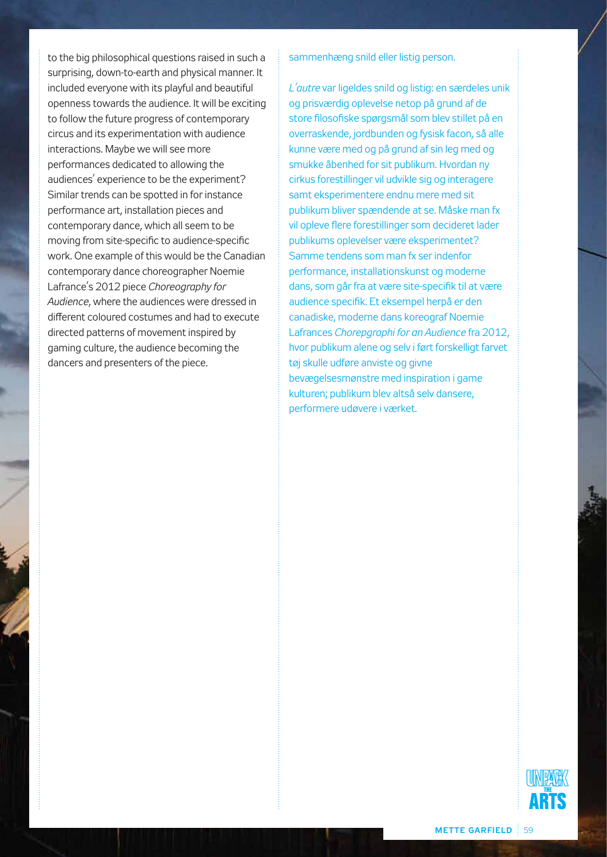to the big philosophical questions raised in such a surprising, down-to-earth and physical manner. It included everyone with its playful and beautiful openness towards the audience. It will be exciting to follow the future progress of contemporary circus and its experimentation with audience interactions. Maybe we will see more performances dedicated to allowing the audiences' experience to be the experiment? Similar trends can be spotted in for instance performance art, installation pieces and contemporary dance, which all seem to be moving from site-specific to audience-specific work. One example of this would be the Canadian contemporary dance choreographer Noemie Lafrance's 2012 piece *Choreography for Audience*, where the audiences were dressed in different coloured costumes and had to execute directed patterns of movement inspired by gaming culture, the audience becoming the dancers and presenters of the piece.

#### sammenhæng snild eller listig person.

*L'autre* var ligeldes snild og listig: en særdeles unik og prisværdig oplevelse netop på grund af de store filosofiske spørgsmål som blev stillet på en overraskende, jordbunden og fysisk facon, så alle kunne være med og på grund af sin leg med og smukke åbenhed for sit publikum. Hvordan ny cirkus forestillinger vil udvikle sig og interagere samt eksperimentere endnu mere med sit publikum bliver spændende at se. Måske man fx vil opleve flere forestillinger som decideret lader publikums oplevelser være eksperimentet? Samme tendens som man fx ser indenfor performance, installationskunst og moderne dans, som går fra at være site-specifik til at være audience specifik. Et eksempel herpå er den canadiske, moderne dans koreograf Noemie Lafrances *Chorepgraphi for an Audience* fra 2012, hvor publikum alene og selv i ført forskelligt farvet tøj skulle udføre anviste og givne bevægelsesmønstre med inspiration i game kulturen; publikum blev altså selv dansere, performere udøvere i værket.

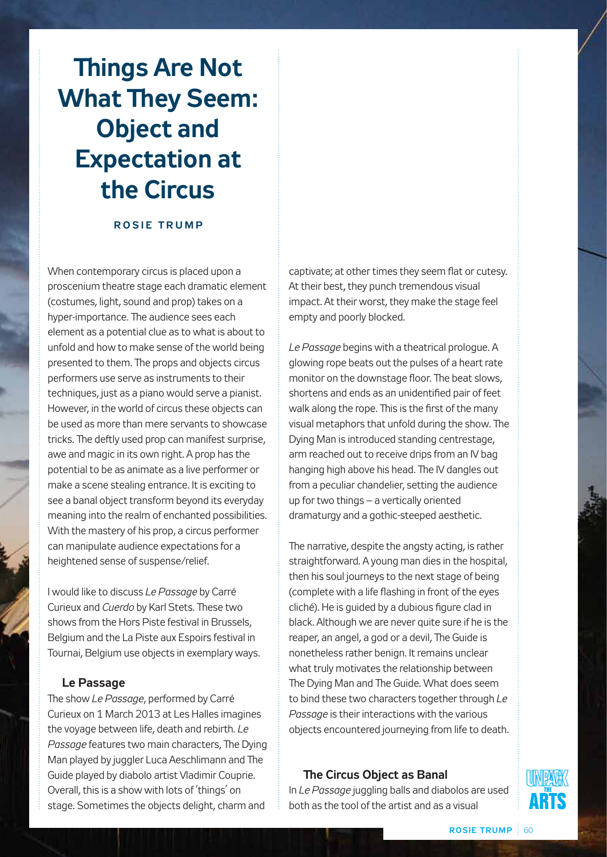# **Things Are Not What They Seem: Object and Expectation at the Circus**

#### **ROSIE TRUMP**

When contemporary circus is placed upon a proscenium theatre stage each dramatic element (costumes, light, sound and prop) takes on a hyper-importance. The audience sees each element as a potential clue as to what is about to unfold and how to make sense of the world being presented to them. The props and objects circus performers use serve as instruments to their techniques, just as a piano would serve a pianist. However, in the world of circus these objects can be used as more than mere servants to showcase tricks. The deftly used prop can manifest surprise, awe and magic in its own right. A prop has the potential to be as animate as a live performer or make a scene stealing entrance. It is exciting to see a banal object transform beyond its everyday meaning into the realm of enchanted possibilities. With the mastery of his prop, a circus performer can manipulate audience expectations for a heightened sense of suspense/relief.

I would like to discuss *Le Passage* by Carré Curieux and *Cuerdo* by Karl Stets. These two shows from the Hors Piste festival in Brussels, Belgium and the La Piste aux Espoirs festival in Tournai, Belgium use objects in exemplary ways.

### **Le Passage**

The show *Le Passage*, performed by Carré Curieux on 1 March 2013 at Les Halles imagines the voyage between life, death and rebirth. *Le Passage* features two main characters, The Dying Man played by juggler Luca Aeschlimann and The Guide played by diabolo artist Vladimir Couprie. Overall, this is a show with lots of 'things' on stage. Sometimes the objects delight, charm and

captivate; at other times they seem flat or cutesy. At their best, they punch tremendous visual impact. At their worst, they make the stage feel empty and poorly blocked.

*Le Passage* begins with a theatrical prologue. A glowing rope beats out the pulses of a heart rate monitor on the downstage floor. The beat slows, shortens and ends as an unidentified pair of feet walk along the rope. This is the first of the many visual metaphors that unfold during the show. The Dying Man is introduced standing centrestage, arm reached out to receive drips from an IV bag hanging high above his head. The IV dangles out from a peculiar chandelier, setting the audience up for two things – a vertically oriented dramaturgy and a gothic-steeped aesthetic.

The narrative, despite the angsty acting, is rather straightforward. A young man dies in the hospital, then his soul journeys to the next stage of being (complete with a life flashing in front of the eyes cliché). He is guided by a dubious figure clad in black. Although we are never quite sure if he is the reaper, an angel, a god or a devil, The Guide is nonetheless rather benign. It remains unclear what truly motivates the relationship between The Dying Man and The Guide. What does seem to bind these two characters together through *Le Passage* is their interactions with the various objects encountered journeying from life to death.

# **The Circus Object as Banal**

In *Le Passage* juggling balls and diabolos are used both as the tool of the artist and as a visual

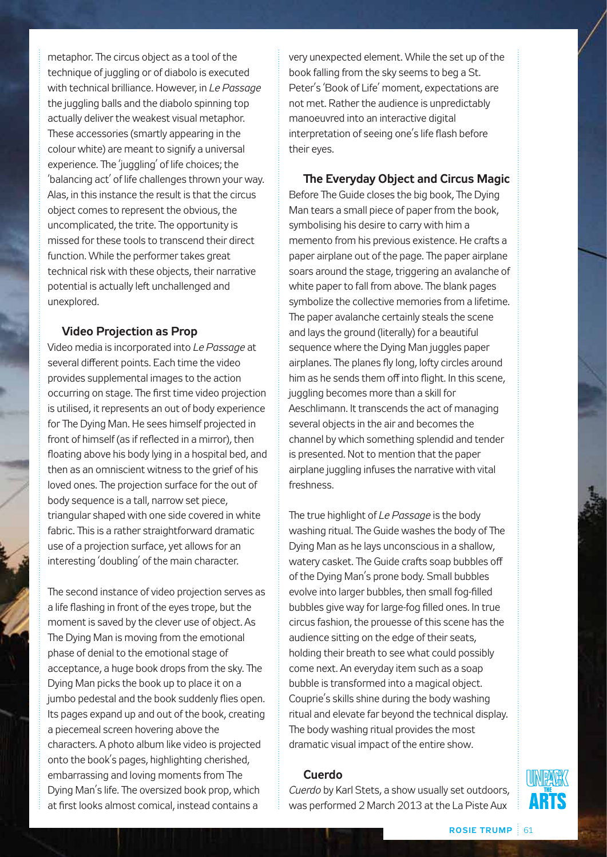metaphor. The circus object as a tool of the technique of juggling or of diabolo is executed with technical brilliance. However, in *Le Passage* the juggling balls and the diabolo spinning top actually deliver the weakest visual metaphor. These accessories (smartly appearing in the colour white) are meant to signify a universal experience. The 'juggling' of life choices; the 'balancing act' of life challenges thrown your way. Alas, in this instance the result is that the circus object comes to represent the obvious, the uncomplicated, the trite. The opportunity is missed for these tools to transcend their direct function. While the performer takes great technical risk with these objects, their narrative potential is actually left unchallenged and unexplored.

### **Video Projection as Prop**

Video media is incorporated into *Le Passage* at several different points. Each time the video provides supplemental images to the action occurring on stage. The first time video projection is utilised, it represents an out of body experience for The Dying Man. He sees himself projected in front of himself (as if reflected in a mirror), then floating above his body lying in a hospital bed, and then as an omniscient witness to the grief of his loved ones. The projection surface for the out of body sequence is a tall, narrow set piece, triangular shaped with one side covered in white fabric. This is a rather straightforward dramatic use of a projection surface, yet allows for an interesting 'doubling' of the main character.

The second instance of video projection serves as a life flashing in front of the eyes trope, but the moment is saved by the clever use of object. As The Dying Man is moving from the emotional phase of denial to the emotional stage of acceptance, a huge book drops from the sky. The Dying Man picks the book up to place it on a jumbo pedestal and the book suddenly flies open. Its pages expand up and out of the book, creating a piecemeal screen hovering above the characters. A photo album like video is projected onto the book's pages, highlighting cherished, embarrassing and loving moments from The Dying Man's life. The oversized book prop, which at first looks almost comical, instead contains a

very unexpected element. While the set up of the book falling from the sky seems to beg a St. Peter's 'Book of Life' moment, expectations are not met. Rather the audience is unpredictably manoeuvred into an interactive digital interpretation of seeing one's life flash before their eyes.

**The Everyday Object and Circus Magic** Before The Guide closes the big book, The Dying Man tears a small piece of paper from the book, symbolising his desire to carry with him a memento from his previous existence. He crafts a paper airplane out of the page. The paper airplane soars around the stage, triggering an avalanche of white paper to fall from above. The blank pages symbolize the collective memories from a lifetime. The paper avalanche certainly steals the scene and lays the ground (literally) for a beautiful sequence where the Dying Man juggles paper airplanes. The planes fly long, lofty circles around him as he sends them off into flight. In this scene, juggling becomes more than a skill for Aeschlimann. It transcends the act of managing several objects in the air and becomes the channel by which something splendid and tender is presented. Not to mention that the paper airplane juggling infuses the narrative with vital freshness.

The true highlight of *Le Passage* is the body washing ritual. The Guide washes the body of The Dying Man as he lays unconscious in a shallow, watery casket. The Guide crafts soap bubbles off of the Dying Man's prone body. Small bubbles evolve into larger bubbles, then small fog-filled bubbles give way for large-fog filled ones. In true circus fashion, the prouesse of this scene has the audience sitting on the edge of their seats, holding their breath to see what could possibly come next. An everyday item such as a soap bubble is transformed into a magical object. Couprie's skills shine during the body washing ritual and elevate far beyond the technical display. The body washing ritual provides the most dramatic visual impact of the entire show.

### **Cuerdo**

*Cuerdo* by Karl Stets, a show usually set outdoors, was performed 2 March 2013 at the La Piste Aux

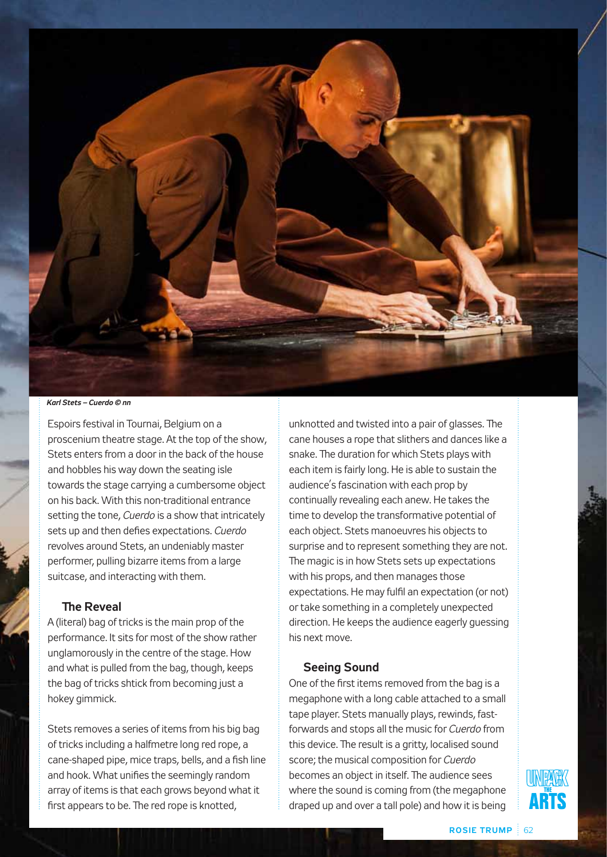

*Karl Stets – Cuerdo © nn*

Espoirs festival in Tournai, Belgium on a proscenium theatre stage. At the top of the show, Stets enters from a door in the back of the house and hobbles his way down the seating isle towards the stage carrying a cumbersome object on his back. With this non-traditional entrance setting the tone, *Cuerdo* is a show that intricately sets up and then defies expectations. *Cuerdo* revolves around Stets, an undeniably master performer, pulling bizarre items from a large suitcase, and interacting with them.

## **The Reveal**

A (literal) bag of tricks is the main prop of the performance. It sits for most of the show rather unglamorously in the centre of the stage. How and what is pulled from the bag, though, keeps the bag of tricks shtick from becoming just a hokey gimmick.

Stets removes a series of items from his big bag of tricks including a halfmetre long red rope, a cane-shaped pipe, mice traps, bells, and a fish line and hook. What unifies the seemingly random array of items is that each grows beyond what it first appears to be. The red rope is knotted,

unknotted and twisted into a pair of glasses. The cane houses a rope that slithers and dances like a snake. The duration for which Stets plays with each item is fairly long. He is able to sustain the audience's fascination with each prop by continually revealing each anew. He takes the time to develop the transformative potential of each object. Stets manoeuvres his objects to surprise and to represent something they are not. The magic is in how Stets sets up expectations with his props, and then manages those expectations. He may fulfil an expectation (or not) or take something in a completely unexpected direction. He keeps the audience eagerly guessing his next move.

### **Seeing Sound**

One of the first items removed from the bag is a megaphone with a long cable attached to a small tape player. Stets manually plays, rewinds, fastforwards and stops all the music for *Cuerdo* from this device. The result is a gritty, localised sound score; the musical composition for *Cuerdo* becomes an object in itself. The audience sees where the sound is coming from (the megaphone draped up and over a tall pole) and how it is being

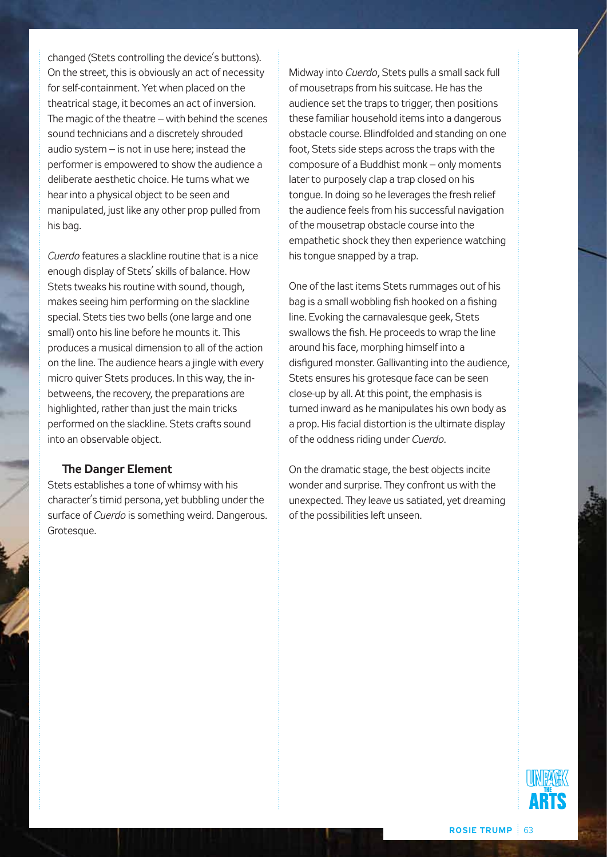changed (Stets controlling the device's buttons). On the street, this is obviously an act of necessity for self-containment. Yet when placed on the theatrical stage, it becomes an act of inversion. The magic of the theatre – with behind the scenes sound technicians and a discretely shrouded audio system – is not in use here; instead the performer is empowered to show the audience a deliberate aesthetic choice. He turns what we hear into a physical object to be seen and manipulated, just like any other prop pulled from his bag.

*Cuerdo* features a slackline routine that is a nice enough display of Stets' skills of balance. How Stets tweaks his routine with sound, though, makes seeing him performing on the slackline special. Stets ties two bells (one large and one small) onto his line before he mounts it. This produces a musical dimension to all of the action on the line. The audience hears a jingle with every micro quiver Stets produces. In this way, the inbetweens, the recovery, the preparations are highlighted, rather than just the main tricks performed on the slackline. Stets crafts sound into an observable object.

### **The Danger Element**

Stets establishes a tone of whimsy with his character's timid persona, yet bubbling under the surface of *Cuerdo* is something weird. Dangerous. Grotesque.

Midway into *Cuerdo*, Stets pulls a small sack full of mousetraps from his suitcase. He has the audience set the traps to trigger, then positions these familiar household items into a dangerous obstacle course. Blindfolded and standing on one foot, Stets side steps across the traps with the composure of a Buddhist monk – only moments later to purposely clap a trap closed on his tongue. In doing so he leverages the fresh relief the audience feels from his successful navigation of the mousetrap obstacle course into the empathetic shock they then experience watching his tongue snapped by a trap.

One of the last items Stets rummages out of his bag is a small wobbling fish hooked on a fishing line. Evoking the carnavalesque geek, Stets swallows the fish. He proceeds to wrap the line around his face, morphing himself into a disfigured monster. Gallivanting into the audience, Stets ensures his grotesque face can be seen close-up by all. At this point, the emphasis is turned inward as he manipulates his own body as a prop. His facial distortion is the ultimate display of the oddness riding under *Cuerdo*.

On the dramatic stage, the best objects incite wonder and surprise. They confront us with the unexpected. They leave us satiated, yet dreaming of the possibilities left unseen.

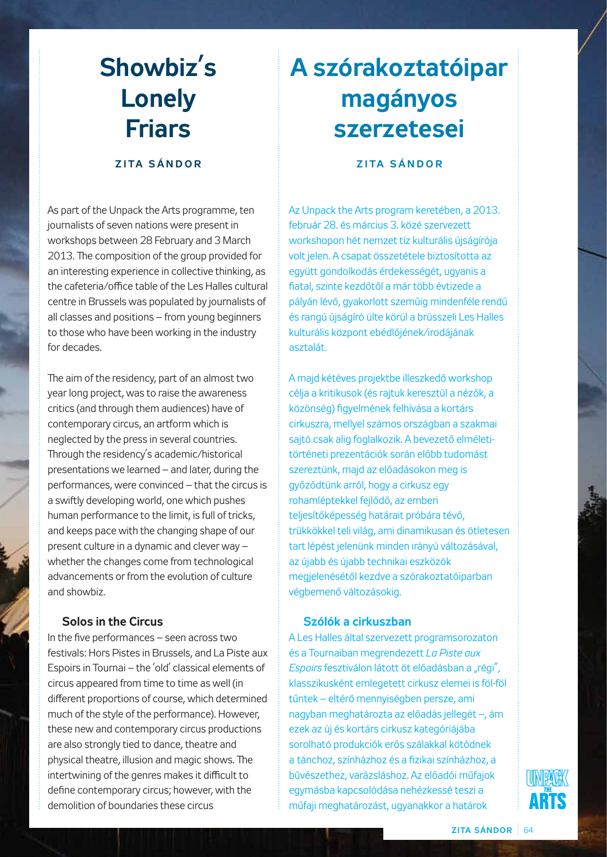# **Showbiz's Lonely Friars**

# **z i ta s á n d o r**

As part of the Unpack the Arts programme, ten journalists of seven nations were present in workshops between 28 February and 3 March 2013. The composition of the group provided for an interesting experience in collective thinking, as the cafeteria/office table of the Les Halles cultural centre in Brussels was populated by journalists of all classes and positions – from young beginners to those who have been working in the industry for decades.

The aim of the residency, part of an almost two year long project, was to raise the awareness critics (and through them audiences) have of contemporary circus, an artform which is neglected by the press in several countries. Through the residency's academic/historical presentations we learned – and later, during the performances, were convinced – that the circus is a swiftly developing world, one which pushes human performance to the limit, is full of tricks, and keeps pace with the changing shape of our present culture in a dynamic and clever way – whether the changes come from technological advancements or from the evolution of culture and showbiz.

# **Solos in the Circus**

In the five performances – seen across two festivals: Hors Pistes in Brussels, and La Piste aux Espoirs in Tournai – the 'old' classical elements of circus appeared from time to time as well (in different proportions of course, which determined much of the style of the performance). However, these new and contemporary circus productions are also strongly tied to dance, theatre and physical theatre, illusion and magic shows. The intertwining of the genres makes it difficult to define contemporary circus; however, with the demolition of boundaries these circus

# **A szórakoztatóipar magányos szerzetesei**

# **z i ta s á n d o r**

Az Unpack the Arts program keretében, a 2013. február 28. és március 3. közé szervezett workshopon hét nemzet tíz kulturális újságírója volt jelen. A csapat összetétele biztosította az együtt gondolkodás érdekességét, ugyanis a fiatal, szinte kezdőtől a már több évtizede a pályán lévő, gyakorlott szeműig mindenféle rendű és rangú újságíró ülte körül a brüsszeli Les Halles kulturális központ ebédlőjének/irodájának asztalát.

A majd kétéves projektbe illeszkedő workshop célja a kritikusok (és rajtuk keresztül a nézők, a közönség) figyelmének felhívása a kortárs cirkuszra, mellyel számos országban a szakmai sajtó csak alig foglalkozik. A bevezető elméletitörténeti prezentációk során előbb tudomást szereztünk, majd az előadásokon meg is győződtünk arról, hogy a cirkusz egy rohamléptekkel fejlődő, az emberi teljesítőképesség határait próbára tévő, trükkökkel teli világ, ami dinamikusan és ötletesen tart lépést jelenünk minden irányú változásával, az újabb és újabb technikai eszközök megjelenésétől kezdve a szórakoztatóiparban végbemenő változásokig.

# **Szólók a cirkuszban**

A Les Halles által szervezett programsorozaton és a Tournaiban megrendezett *La Piste aux Espoirs* fesztiválon látott öt előadásban a "régi", klasszikusként emlegetett cirkusz elemei is föl-föl tűntek – eltérő mennyiségben persze, ami nagyban meghatározta az előadás jellegét –, ám ezek az új és kortárs cirkusz kategóriájába sorolható produkciók erős szálakkal kötődnek a tánchoz, színházhoz és a fizikai színházhoz, a bűvészethez, varázsláshoz. Az előadói műfajok egymásba kapcsolódása nehézkessé teszi a műfaji meghatározást, ugyanakkor a határok

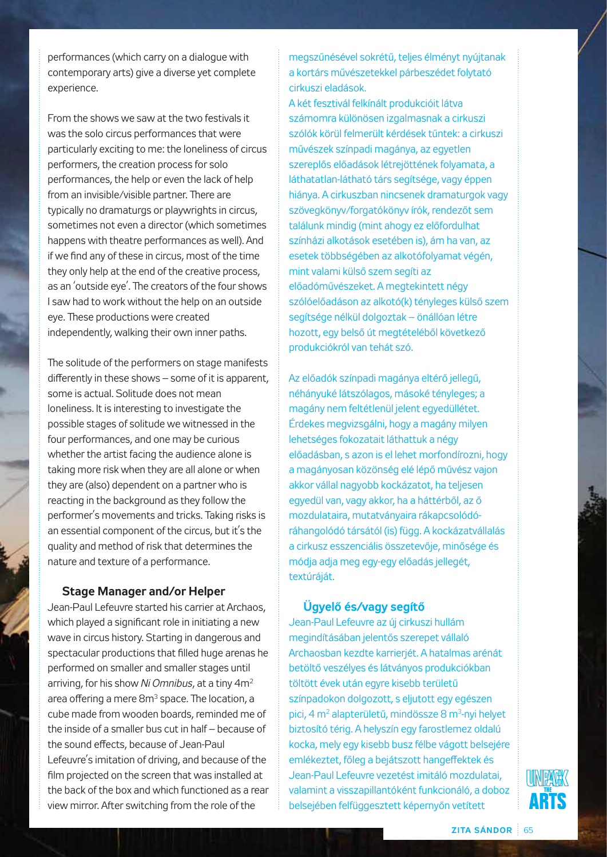performances (which carry on a dialogue with contemporary arts) give a diverse yet complete experience.

From the shows we saw at the two festivals it was the solo circus performances that were particularly exciting to me: the loneliness of circus performers, the creation process for solo performances, the help or even the lack of help from an invisible/visible partner. There are typically no dramaturgs or playwrights in circus, sometimes not even a director (which sometimes happens with theatre performances as well). And if we find any of these in circus, most of the time they only help at the end of the creative process, as an 'outside eye'. The creators of the four shows I saw had to work without the help on an outside eye. These productions were created independently, walking their own inner paths.

The solitude of the performers on stage manifests differently in these shows – some of it is apparent, some is actual. Solitude does not mean loneliness. It is interesting to investigate the possible stages of solitude we witnessed in the four performances, and one may be curious whether the artist facing the audience alone is taking more risk when they are all alone or when they are (also) dependent on a partner who is reacting in the background as they follow the performer's movements and tricks. Taking risks is an essential component of the circus, but it's the quality and method of risk that determines the nature and texture of a performance.

### **Stage Manager and/or Helper**

Jean-Paul Lefeuvre started his carrier at Archaos, which played a significant role in initiating a new wave in circus history. Starting in dangerous and spectacular productions that filled huge arenas he performed on smaller and smaller stages until arriving, for his show *Ni Omnibus*, at a tiny 4m2 area offering a mere 8m<sup>3</sup> space. The location, a cube made from wooden boards, reminded me of the inside of a smaller bus cut in half – because of the sound effects, because of Jean-Paul Lefeuvre's imitation of driving, and because of the film projected on the screen that was installed at the back of the box and which functioned as a rear view mirror. After switching from the role of the

megszűnésével sokrétű, teljes élményt nyújtanak a kortárs művészetekkel párbeszédet folytató cirkuszi eladások.

A két fesztivál felkínált produkcióit látva számomra különösen izgalmasnak a cirkuszi szólók körül felmerült kérdések tűntek: a cirkuszi művészek színpadi magánya, az egyetlen szereplős előadások létrejöttének folyamata, a láthatatlan-látható társ segítsége, vagy éppen hiánya. A cirkuszban nincsenek dramaturgok vagy szövegkönyv/forgatókönyv írók, rendezőt sem találunk mindig (mint ahogy ez előfordulhat színházi alkotások esetében is), ám ha van, az esetek többségében az alkotófolyamat végén, mint valami külső szem segíti az előadóművészeket. A megtekintett négy szólóelőadáson az alkotó(k) tényleges külső szem segítsége nélkül dolgoztak – önállóan létre hozott, egy belső út megtételéből következő produkciókról van tehát szó.

Az előadók színpadi magánya eltérő jellegű, néhányuké látszólagos, másoké tényleges; a magány nem feltétlenül jelent egyedüllétet. Érdekes megvizsgálni, hogy a magány milyen lehetséges fokozatait láthattuk a négy előadásban, s azon is el lehet morfondírozni, hogy a magányosan közönség elé lépő művész vajon akkor vállal nagyobb kockázatot, ha teljesen egyedül van, vagy akkor, ha a háttérből, az ő mozdulataira, mutatványaira rákapcsolódóráhangolódó társától (is) függ. A kockázatvállalás a cirkusz esszenciális összetevője, minősége és módja adja meg egy-egy előadás jellegét, textúráját.

## **Ügyelő és/vagy segítő**

Jean-Paul Lefeuvre az új cirkuszi hullám megindításában jelentős szerepet vállaló Archaosban kezdte karrierjét. A hatalmas arénát betöltő veszélyes és látványos produkciókban töltött évek után egyre kisebb területű színpadokon dolgozott, s eljutott egy egészen pici, 4 m<sup>2</sup> alapterületű, mindössze 8 m<sup>3</sup>-nyi helyet biztosító térig. A helyszín egy farostlemez oldalú kocka, mely egy kisebb busz félbe vágott belsejére emlékeztet, főleg a bejátszott hangeffektek és Jean-Paul Lefeuvre vezetést imitáló mozdulatai, valamint a visszapillantóként funkcionáló, a doboz belsejében felfüggesztett képernyőn vetített

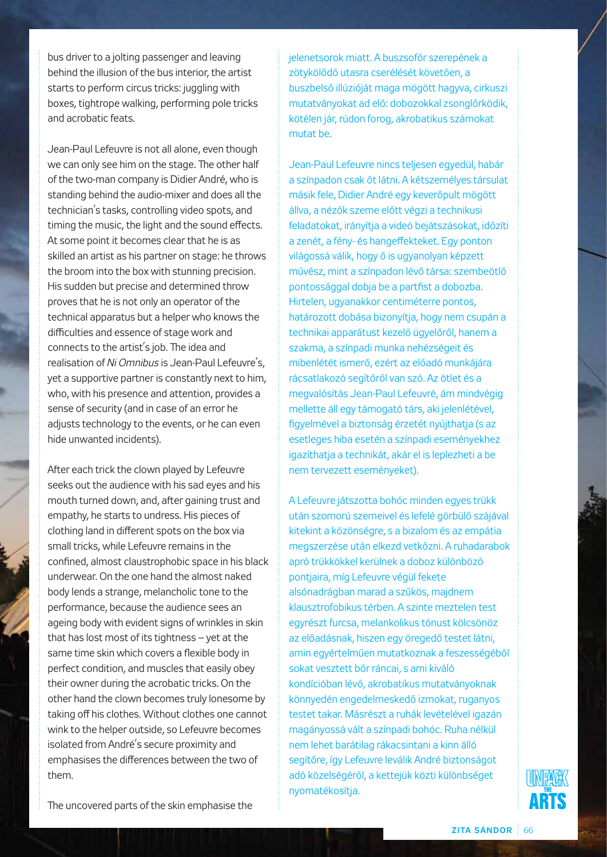bus driver to a jolting passenger and leaving behind the illusion of the bus interior, the artist starts to perform circus tricks: juggling with boxes, tightrope walking, performing pole tricks and acrobatic feats.

Jean-Paul Lefeuvre is not all alone, even though we can only see him on the stage. The other half of the two-man company is Didier André, who is standing behind the audio-mixer and does all the technician's tasks, controlling video spots, and timing the music, the light and the sound effects. At some point it becomes clear that he is as skilled an artist as his partner on stage: he throws the broom into the box with stunning precision. His sudden but precise and determined throw proves that he is not only an operator of the technical apparatus but a helper who knows the difficulties and essence of stage work and connects to the artist's job. The idea and realisation of *Ni Omnibus* is Jean-Paul Lefeuvre's, yet a supportive partner is constantly next to him, who, with his presence and attention, provides a sense of security (and in case of an error he adjusts technology to the events, or he can even hide unwanted incidents).

After each trick the clown played by Lefeuvre seeks out the audience with his sad eyes and his mouth turned down, and, after gaining trust and empathy, he starts to undress. His pieces of clothing land in different spots on the box via small tricks, while Lefeuvre remains in the confined, almost claustrophobic space in his black underwear. On the one hand the almost naked body lends a strange, melancholic tone to the performance, because the audience sees an ageing body with evident signs of wrinkles in skin that has lost most of its tightness – yet at the same time skin which covers a flexible body in perfect condition, and muscles that easily obey their owner during the acrobatic tricks. On the other hand the clown becomes truly lonesome by taking off his clothes. Without clothes one cannot wink to the helper outside, so Lefeuvre becomes isolated from André's secure proximity and emphasises the differences between the two of them.

jelenetsorok miatt. A buszsofőr szerepének a zötykölődő utasra cserélését követően, a buszbelső illúzióját maga mögött hagyva, cirkuszi mutatványokat ad elő: dobozokkal zsonglőrködik, kötélen jár, rúdon forog, akrobatikus számokat mutat be.

Jean-Paul Lefeuvre nincs teljesen egyedül, habár a színpadon csak őt látni. A kétszemélyes társulat másik fele, Didier André egy keverőpult mögött állva, a nézők szeme előtt végzi a technikusi feladatokat, irányítja a videó bejátszásokat, időzíti a zenét, a fény- és hangeffekteket. Egy ponton világossá válik, hogy ő is ugyanolyan képzett művész, mint a színpadon lévő társa: szembeötlő pontossággal dobja be a partfist a dobozba. Hirtelen, ugyanakkor centiméterre pontos, határozott dobása bizonyítja, hogy nem csupán a technikai apparátust kezelő ügyelőről, hanem a szakma, a színpadi munka nehézségeit és mibenlétét ismerő, ezért az előadó munkájára rácsatlakozó segítőről van szó. Az ötlet és a megvalósítás Jean-Paul Lefeuvré, ám mindvégig mellette áll egy támogató társ, aki jelenlétével, figyelmével a biztonság érzetét nyújthatja (s az esetleges hiba esetén a színpadi eseményekhez igazíthatja a technikát, akár el is leplezheti a be nem tervezett eseményeket).

A Lefeuvre játszotta bohóc minden egyes trükk után szomorú szemeivel és lefelé görbülő szájával kitekint a közönségre, s a bizalom és az empátia megszerzése után elkezd vetkőzni. A ruhadarabok apró trükkökkel kerülnek a doboz különböző pontjaira, míg Lefeuvre végül fekete alsónadrágban marad a szűkös, majdnem klausztrofobikus térben. A szinte meztelen test egyrészt furcsa, melankolikus tónust kölcsönöz az előadásnak, hiszen egy öregedő testet látni, amin egyértelműen mutatkoznak a feszességéből sokat vesztett bőr ráncai, s ami kiváló kondícióban lévő, akrobatikus mutatványoknak könnyedén engedelmeskedő izmokat, ruganyos testet takar. Másrészt a ruhák levételével igazán magányossá vált a színpadi bohóc. Ruha nélkül nem lehet barátilag rákacsintani a kinn álló segítőre, így Lefeuvre leválik André biztonságot adó közelségéről, a kettejük közti különbséget nyomatékosítja.



The uncovered parts of the skin emphasise the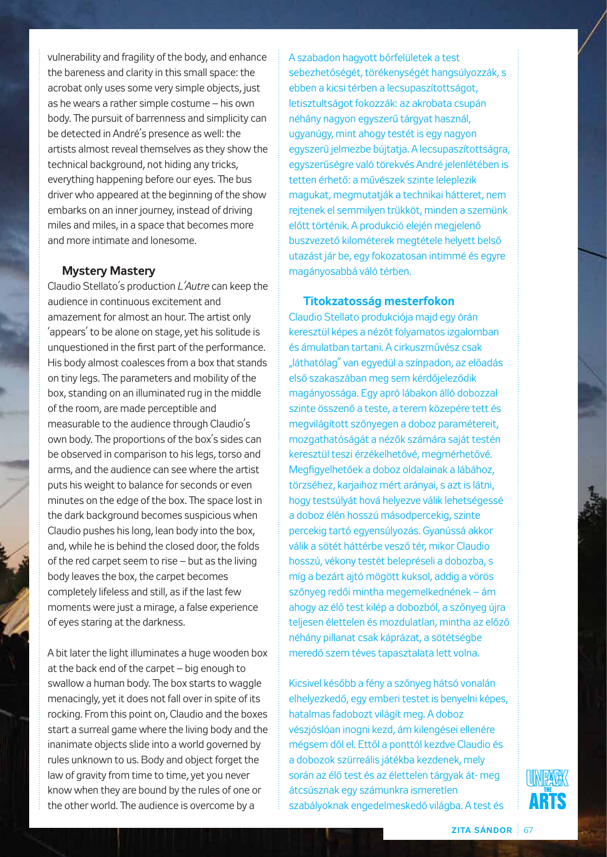vulnerability and fragility of the body, and enhance the bareness and clarity in this small space: the acrobat only uses some very simple objects, just as he wears a rather simple costume – his own body. The pursuit of barrenness and simplicity can be detected in André's presence as well: the artists almost reveal themselves as they show the technical background, not hiding any tricks, everything happening before our eyes. The bus driver who appeared at the beginning of the show embarks on an inner journey, instead of driving miles and miles, in a space that becomes more and more intimate and lonesome.

### **Mystery Mastery**

Claudio Stellato's production *L'Autre* can keep the audience in continuous excitement and amazement for almost an hour. The artist only 'appears' to be alone on stage, yet his solitude is unquestioned in the first part of the performance. His body almost coalesces from a box that stands on tiny legs. The parameters and mobility of the box, standing on an illuminated rug in the middle of the room, are made perceptible and measurable to the audience through Claudio's own body. The proportions of the box's sides can be observed in comparison to his legs, torso and arms, and the audience can see where the artist puts his weight to balance for seconds or even minutes on the edge of the box. The space lost in the dark background becomes suspicious when Claudio pushes his long, lean body into the box, and, while he is behind the closed door, the folds of the red carpet seem to rise – but as the living body leaves the box, the carpet becomes completely lifeless and still, as if the last few moments were just a mirage, a false experience of eyes staring at the darkness.

A bit later the light illuminates a huge wooden box at the back end of the carpet – big enough to swallow a human body. The box starts to waggle menacingly, yet it does not fall over in spite of its rocking. From this point on, Claudio and the boxes start a surreal game where the living body and the inanimate objects slide into a world governed by rules unknown to us. Body and object forget the law of gravity from time to time, yet you never know when they are bound by the rules of one or the other world. The audience is overcome by a

A szabadon hagyott bőrfelületek a test sebezhetőségét, törékenységét hangsúlyozzák, s ebben a kicsi térben a lecsupaszítottságot, letisztultságot fokozzák: az akrobata csupán néhány nagyon egyszerű tárgyat használ, ugyanúgy, mint ahogy testét is egy nagyon egyszerű jelmezbe bújtatja. A lecsupaszítottságra, egyszerűségre való törekvés André jelenlétében is tetten érhető: a művészek szinte leleplezik magukat, megmutatják a technikai hátteret, nem rejtenek el semmilyen trükköt, minden a szemünk előtt történik. A produkció elején megjelenő buszvezető kilométerek megtétele helyett belső utazást jár be, egy fokozatosan intimmé és egyre magányosabbá váló térben.

#### **Titokzatosság mesterfokon**

Claudio Stellato produkciója majd egy órán keresztül képes a nézőt folyamatos izgalomban és ámulatban tartani. A cirkuszművész csak "láthatólag" van egyedül a színpadon, az előadás első szakaszában meg sem kérdőjeleződik magányossága. Egy apró lábakon álló dobozzal szinte összenő a teste, a terem közepére tett és megvilágított szőnyegen a doboz paramétereit, mozgathatóságát a nézők számára saját testén keresztül teszi érzékelhetővé, megmérhetővé. Megfigyelhetőek a doboz oldalainak a lábához, törzséhez, karjaihoz mért arányai, s azt is látni, hogy testsúlyát hová helyezve válik lehetségessé a doboz élén hosszú másodpercekig, szinte percekig tartó egyensúlyozás. Gyanússá akkor válik a sötét háttérbe vesző tér, mikor Claudio hosszú, vékony testét belepréseli a dobozba, s míg a bezárt ajtó mögött kuksol, addig a vörös szőnyeg redői mintha megemelkednének – ám ahogy az élő test kilép a dobozból, a szőnyeg újra teljesen élettelen és mozdulatlan, mintha az előző néhány pillanat csak káprázat, a sötétségbe meredő szem téves tapasztalata lett volna.

Kicsivel később a fény a szőnyeg hátsó vonalán elhelyezkedő, egy emberi testet is benyelni képes, hatalmas fadobozt világít meg. A doboz vészjóslóan inogni kezd, ám kilengései ellenére mégsem dől el. Ettől a ponttól kezdve Claudio és a dobozok szürreális játékba kezdenek, mely során az élő test és az élettelen tárgyak át- meg átcsúsznak egy számunkra ismeretlen szabályoknak engedelmeskedő világba. A test és

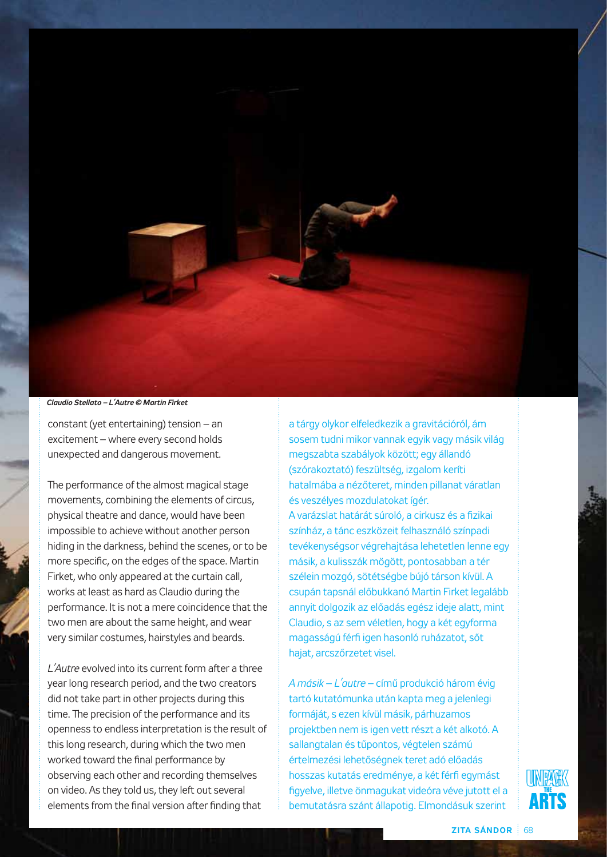

*Claudio Stellato – L'Autre © Martin Firket*

constant (yet entertaining) tension – an excitement – where every second holds unexpected and dangerous movement.

The performance of the almost magical stage movements, combining the elements of circus, physical theatre and dance, would have been impossible to achieve without another person hiding in the darkness, behind the scenes, or to be more specific, on the edges of the space. Martin Firket, who only appeared at the curtain call, works at least as hard as Claudio during the performance. It is not a mere coincidence that the two men are about the same height, and wear very similar costumes, hairstyles and beards.

*L'Autre* evolved into its current form after a three year long research period, and the two creators did not take part in other projects during this time. The precision of the performance and its openness to endless interpretation is the result of this long research, during which the two men worked toward the final performance by observing each other and recording themselves on video. As they told us, they left out several elements from the final version after finding that

a tárgy olykor elfeledkezik a gravitációról, ám sosem tudni mikor vannak egyik vagy másik világ megszabta szabályok között; egy állandó (szórakoztató) feszültség, izgalom keríti hatalmába a nézőteret, minden pillanat váratlan és veszélyes mozdulatokat ígér. A varázslat határát súroló, a cirkusz és a fizikai színház, a tánc eszközeit felhasználó színpadi tevékenységsor végrehajtása lehetetlen lenne egy másik, a kulisszák mögött, pontosabban a tér szélein mozgó, sötétségbe bújó társon kívül. A csupán tapsnál előbukkanó Martin Firket legalább annyit dolgozik az előadás egész ideje alatt, mint Claudio, s az sem véletlen, hogy a két egyforma magasságú férfi igen hasonló ruházatot, sőt hajat, arcszőrzetet visel.

*A másik* – *L'autre* – című produkció három évig tartó kutatómunka után kapta meg a jelenlegi formáját, s ezen kívül másik, párhuzamos projektben nem is igen vett részt a két alkotó. A sallangtalan és tűpontos, végtelen számú értelmezési lehetőségnek teret adó előadás hosszas kutatás eredménye, a két férfi egymást figyelve, illetve önmagukat videóra véve jutott el a bemutatásra szánt állapotig. Elmondásuk szerint

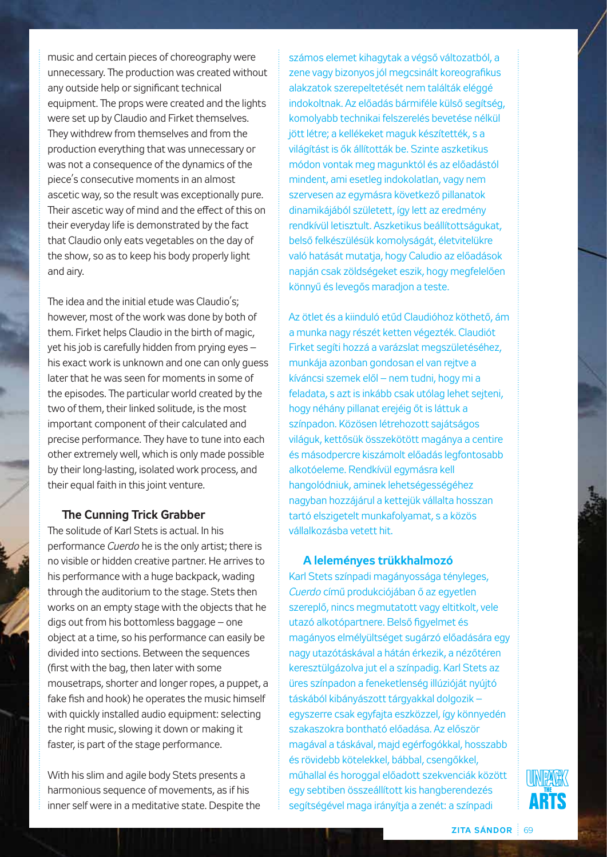music and certain pieces of choreography were unnecessary. The production was created without any outside help or significant technical equipment. The props were created and the lights were set up by Claudio and Firket themselves. They withdrew from themselves and from the production everything that was unnecessary or was not a consequence of the dynamics of the piece's consecutive moments in an almost ascetic way, so the result was exceptionally pure. Their ascetic way of mind and the effect of this on their everyday life is demonstrated by the fact that Claudio only eats vegetables on the day of the show, so as to keep his body properly light and airy.

The idea and the initial etude was Claudio's; however, most of the work was done by both of them. Firket helps Claudio in the birth of magic, yet his job is carefully hidden from prying eyes – his exact work is unknown and one can only guess later that he was seen for moments in some of the episodes. The particular world created by the two of them, their linked solitude, is the most important component of their calculated and precise performance. They have to tune into each other extremely well, which is only made possible by their long-lasting, isolated work process, and their equal faith in this joint venture.

# **The Cunning Trick Grabber**

The solitude of Karl Stets is actual. In his performance *Cuerdo* he is the only artist; there is no visible or hidden creative partner. He arrives to his performance with a huge backpack, wading through the auditorium to the stage. Stets then works on an empty stage with the objects that he digs out from his bottomless baggage – one object at a time, so his performance can easily be divided into sections. Between the sequences (first with the bag, then later with some mousetraps, shorter and longer ropes, a puppet, a fake fish and hook) he operates the music himself with quickly installed audio equipment: selecting the right music, slowing it down or making it faster, is part of the stage performance.

With his slim and agile body Stets presents a harmonious sequence of movements, as if his inner self were in a meditative state. Despite the

számos elemet kihagytak a végső változatból, a zene vagy bizonyos jól megcsinált koreografikus alakzatok szerepeltetését nem találták eléggé indokoltnak. Az előadás bármiféle külső segítség, komolyabb technikai felszerelés bevetése nélkül jött létre; a kellékeket maguk készítették, s a világítást is ők állították be. Szinte aszketikus módon vontak meg magunktól és az előadástól mindent, ami esetleg indokolatlan, vagy nem szervesen az egymásra következő pillanatok dinamikájából született, így lett az eredmény rendkívül letisztult. Aszketikus beállítottságukat, belső felkészülésük komolyságát, életvitelükre való hatását mutatja, hogy Caludio az előadások napján csak zöldségeket eszik, hogy megfelelően könnyű és levegős maradjon a teste.

Az ötlet és a kiinduló etűd Claudióhoz köthető, ám a munka nagy részét ketten végezték. Claudiót Firket segíti hozzá a varázslat megszületéséhez, munkája azonban gondosan el van rejtve a kíváncsi szemek elől – nem tudni, hogy mi a feladata, s azt is inkább csak utólag lehet sejteni, hogy néhány pillanat erejéig őt is láttuk a színpadon. Közösen létrehozott sajátságos világuk, kettősük összekötött magánya a centire és másodpercre kiszámolt előadás legfontosabb alkotóeleme. Rendkívül egymásra kell hangolódniuk, aminek lehetségességéhez nagyban hozzájárul a kettejük vállalta hosszan tartó elszigetelt munkafolyamat, s a közös vállalkozásba vetett hit.

### **A leleményes trükkhalmozó**

Karl Stets színpadi magányossága tényleges, *Cuerdo* című produkciójában ő az egyetlen szereplő, nincs megmutatott vagy eltitkolt, vele utazó alkotópartnere. Belső figyelmet és magányos elmélyültséget sugárzó előadására egy nagy utazótáskával a hátán érkezik, a nézőtéren keresztülgázolva jut el a színpadig. Karl Stets az üres színpadon a feneketlenség illúzióját nyújtó táskából kibányászott tárgyakkal dolgozik – egyszerre csak egyfajta eszközzel, így könnyedén szakaszokra bontható előadása. Az először magával a táskával, majd egérfogókkal, hosszabb és rövidebb kötelekkel, bábbal, csengőkkel, műhallal és horoggal előadott szekvenciák között egy sebtiben összeállított kis hangberendezés segítségével maga irányítja a zenét: a színpadi

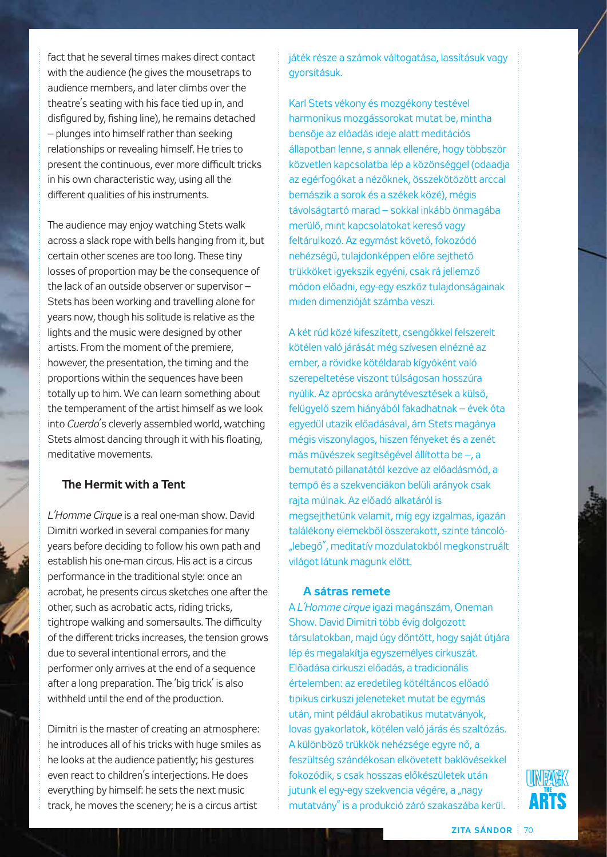fact that he several times makes direct contact with the audience (he gives the mousetraps to audience members, and later climbs over the theatre's seating with his face tied up in, and disfigured by, fishing line), he remains detached – plunges into himself rather than seeking relationships or revealing himself. He tries to present the continuous, ever more difficult tricks in his own characteristic way, using all the different qualities of his instruments.

The audience may enjoy watching Stets walk across a slack rope with bells hanging from it, but certain other scenes are too long. These tiny losses of proportion may be the consequence of the lack of an outside observer or supervisor – Stets has been working and travelling alone for years now, though his solitude is relative as the lights and the music were designed by other artists. From the moment of the premiere, however, the presentation, the timing and the proportions within the sequences have been totally up to him. We can learn something about the temperament of the artist himself as we look into *Cuerdo*'s cleverly assembled world, watching Stets almost dancing through it with his floating, meditative movements.

# **The Hermit with a Tent**

*L'Homme Cirque* is a real one-man show. David Dimitri worked in several companies for many years before deciding to follow his own path and establish his one-man circus. His act is a circus performance in the traditional style: once an acrobat, he presents circus sketches one after the other, such as acrobatic acts, riding tricks, tightrope walking and somersaults. The difficulty of the different tricks increases, the tension grows due to several intentional errors, and the performer only arrives at the end of a sequence after a long preparation. The 'big trick' is also withheld until the end of the production.

Dimitri is the master of creating an atmosphere: he introduces all of his tricks with huge smiles as he looks at the audience patiently; his gestures even react to children's interjections. He does everything by himself: he sets the next music track, he moves the scenery; he is a circus artist

játék része a számok váltogatása, lassításuk vagy gyorsításuk.

Karl Stets vékony és mozgékony testével harmonikus mozgássorokat mutat be, mintha bensője az előadás ideje alatt meditációs állapotban lenne, s annak ellenére, hogy többször közvetlen kapcsolatba lép a közönséggel (odaadja az egérfogókat a nézőknek, összekötözött arccal bemászik a sorok és a székek közé), mégis távolságtartó marad – sokkal inkább önmagába merülő, mint kapcsolatokat kereső vagy feltárulkozó. Az egymást követő, fokozódó nehézségű, tulajdonképpen előre sejthető trükköket igyekszik egyéni, csak rá jellemző módon előadni, egy-egy eszköz tulajdonságainak miden dimenzióját számba veszi.

A két rúd közé kifeszített, csengőkkel felszerelt kötélen való járását még szívesen elnézné az ember, a rövidke kötéldarab kígyóként való szerepeltetése viszont túlságosan hosszúra nyúlik. Az aprócska aránytévesztések a külső, felügyelő szem hiányából fakadhatnak – évek óta egyedül utazik előadásával, ám Stets magánya mégis viszonylagos, hiszen fényeket és a zenét más művészek segítségével állította be –, a bemutató pillanatától kezdve az előadásmód, a tempó és a szekvenciákon belüli arányok csak rajta múlnak. Az előadó alkatáról is megsejthetünk valamit, míg egy izgalmas, igazán találékony elemekből összerakott, szinte táncoló- "lebegő", meditatív mozdulatokból megkonstruált világot látunk magunk előtt.

### **A sátras remete**

A *L'Homme cirque* igazi magánszám, Oneman Show. David Dimitri több évig dolgozott társulatokban, majd úgy döntött, hogy saját útjára lép és megalakítja egyszemélyes cirkuszát. Előadása cirkuszi előadás, a tradicionális értelemben: az eredetileg kötéltáncos előadó tipikus cirkuszi jeleneteket mutat be egymás után, mint például akrobatikus mutatványok, lovas gyakorlatok, kötélen való járás és szaltózás. A különböző trükkök nehézsége egyre nő, a feszültség szándékosan elkövetett baklövésekkel fokozódik, s csak hosszas előkészületek után jutunk el egy-egy szekvencia végére, a "nagy mutatvány" is a produkció záró szakaszába kerül.

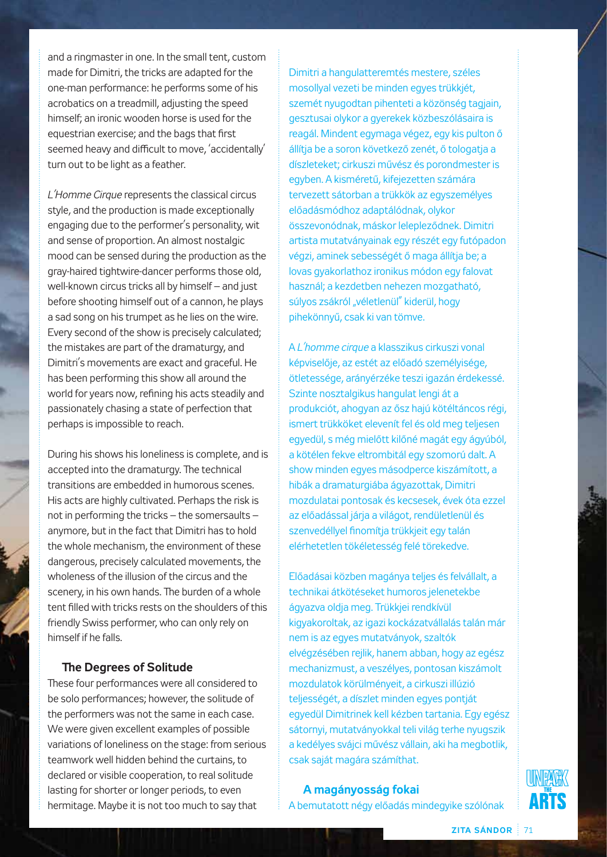and a ringmaster in one. In the small tent, custom made for Dimitri, the tricks are adapted for the one-man performance: he performs some of his acrobatics on a treadmill, adjusting the speed himself; an ironic wooden horse is used for the equestrian exercise; and the bags that first seemed heavy and difficult to move, 'accidentally' turn out to be light as a feather.

*L'Homme Cirque* represents the classical circus style, and the production is made exceptionally engaging due to the performer's personality, wit and sense of proportion. An almost nostalgic mood can be sensed during the production as the gray-haired tightwire-dancer performs those old, well-known circus tricks all by himself – and just before shooting himself out of a cannon, he plays a sad song on his trumpet as he lies on the wire. Every second of the show is precisely calculated; the mistakes are part of the dramaturgy, and Dimitri's movements are exact and graceful. He has been performing this show all around the world for years now, refining his acts steadily and passionately chasing a state of perfection that perhaps is impossible to reach.

During his shows his loneliness is complete, and is accepted into the dramaturgy. The technical transitions are embedded in humorous scenes. His acts are highly cultivated. Perhaps the risk is not in performing the tricks – the somersaults – anymore, but in the fact that Dimitri has to hold the whole mechanism, the environment of these dangerous, precisely calculated movements, the wholeness of the illusion of the circus and the scenery, in his own hands. The burden of a whole tent filled with tricks rests on the shoulders of this friendly Swiss performer, who can only rely on himself if he falls.

### **The Degrees of Solitude**

These four performances were all considered to be solo performances; however, the solitude of the performers was not the same in each case. We were given excellent examples of possible variations of loneliness on the stage: from serious teamwork well hidden behind the curtains, to declared or visible cooperation, to real solitude lasting for shorter or longer periods, to even hermitage. Maybe it is not too much to say that

Dimitri a hangulatteremtés mestere, széles mosollyal vezeti be minden egyes trükkjét, szemét nyugodtan pihenteti a közönség tagjain, gesztusai olykor a gyerekek közbeszólásaira is reagál. Mindent egymaga végez, egy kis pulton ő állítja be a soron következő zenét, ő tologatja a díszleteket; cirkuszi művész és porondmester is egyben. A kisméretű, kifejezetten számára tervezett sátorban a trükkök az egyszemélyes előadásmódhoz adaptálódnak, olykor összevonódnak, máskor lelepleződnek. Dimitri artista mutatványainak egy részét egy futópadon végzi, aminek sebességét ő maga állítja be; a lovas gyakorlathoz ironikus módon egy falovat használ; a kezdetben nehezen mozgatható, súlyos zsákról "véletlenül" kiderül, hogy pihekönnyű, csak ki van tömve.

A *L'homme cirque* a klasszikus cirkuszi vonal képviselője, az estét az előadó személyisége, ötletessége, arányérzéke teszi igazán érdekessé. Szinte nosztalgikus hangulat lengi át a produkciót, ahogyan az ősz hajú kötéltáncos régi, ismert trükköket elevenít fel és old meg teljesen egyedül, s még mielőtt kilőné magát egy ágyúból, a kötélen fekve eltrombitál egy szomorú dalt. A show minden egyes másodperce kiszámított, a hibák a dramaturgiába ágyazottak, Dimitri mozdulatai pontosak és kecsesek, évek óta ezzel az előadással járja a világot, rendületlenül és szenvedéllyel finomítja trükkjeit egy talán elérhetetlen tökéletesség felé törekedve.

Előadásai közben magánya teljes és felvállalt, a technikai átkötéseket humoros jelenetekbe ágyazva oldja meg. Trükkjei rendkívül kigyakoroltak, az igazi kockázatvállalás talán már nem is az egyes mutatványok, szaltók elvégzésében rejlik, hanem abban, hogy az egész mechanizmust, a veszélyes, pontosan kiszámolt mozdulatok körülményeit, a cirkuszi illúzió teljességét, a díszlet minden egyes pontját egyedül Dimitrinek kell kézben tartania. Egy egész sátornyi, mutatványokkal teli világ terhe nyugszik a kedélyes svájci művész vállain, aki ha megbotlik, csak saját magára számíthat.

**A magányosság fokai**

A bemutatott négy előadás mindegyike szólónak

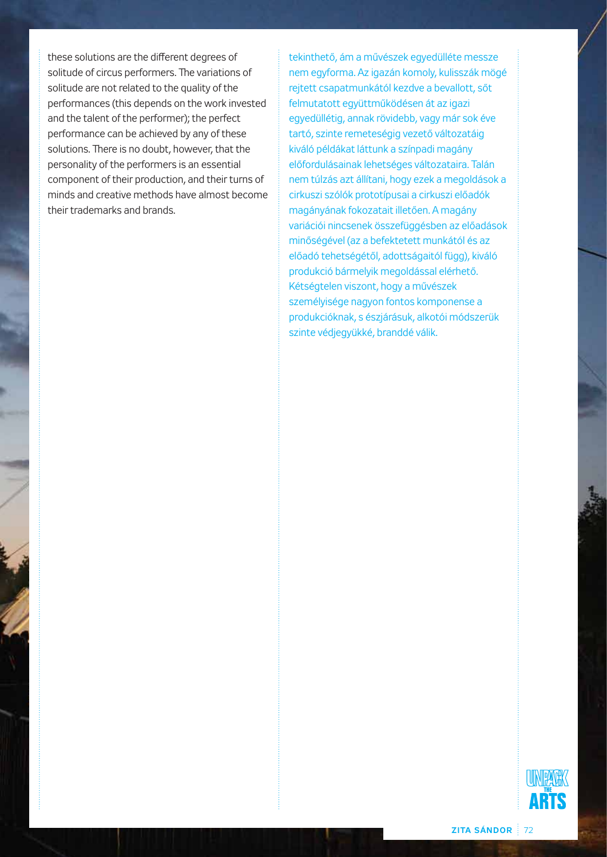these solutions are the different degrees of solitude of circus performers. The variations of solitude are not related to the quality of the performances (this depends on the work invested and the talent of the performer); the perfect performance can be achieved by any of these solutions. There is no doubt, however, that the personality of the performers is an essential component of their production, and their turns of minds and creative methods have almost become their trademarks and brands.

tekinthető, ám a művészek egyedülléte messze nem egyforma. Az igazán komoly, kulisszák mögé rejtett csapatmunkától kezdve a bevallott, sőt felmutatott együttműködésen át az igazi egyedüllétig, annak rövidebb, vagy már sok éve tartó, szinte remeteségig vezető változatáig kiváló példákat láttunk a színpadi magány előfordulásainak lehetséges változataira. Talán nem túlzás azt állítani, hogy ezek a megoldások a cirkuszi szólók prototípusai a cirkuszi előadók magányának fokozatait illetően. A magány variációi nincsenek összefüggésben az előadások minőségével (az a befektetett munkától és az előadó tehetségétől, adottságaitól függ), kiváló produkció bármelyik megoldással elérhető. Kétségtelen viszont, hogy a művészek személyisége nagyon fontos komponense a produkcióknak, s észjárásuk, alkotói módszerük szinte védjegyükké, branddé válik.

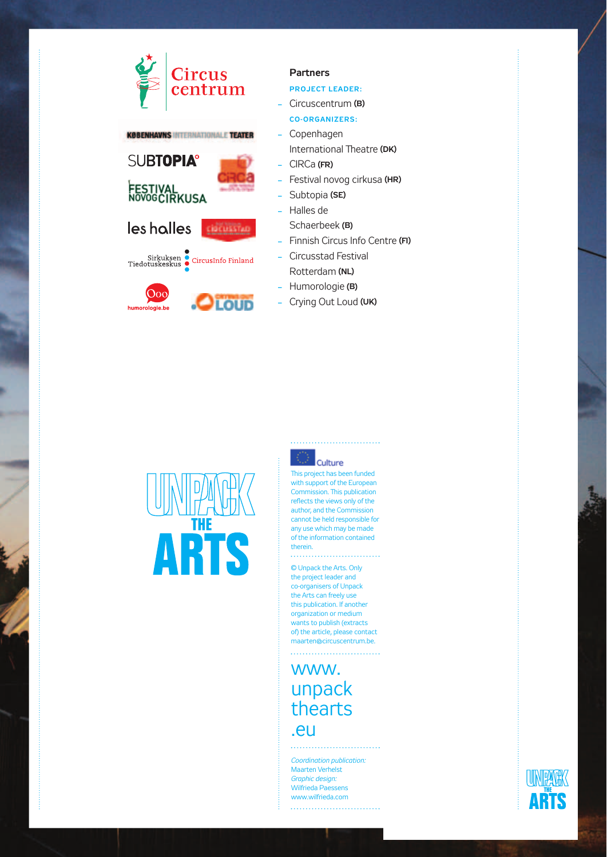## lircus centrum **KØBENHAVNS INTERNATIONALE TEATER SUBTOPIA°** FESTIVAL<br>NOVOGCIRKUSA

Sirkuksen<br>Tiedotuskeskus<br>CircusInfo Finland

 $\bigcirc$  LOUD

les holles

 $\overline{O}$ 

ologie.be



- **PRoJect leADeR:**
- Circuscentrum **(B)**
- **co-oRGAnizeRs:**
- Copenhagen International Theatre (DK)
- CIRCa **(FR)**
- Festival novog cirkusa **(hR)**
- Subtopia **(se)**
- Halles de
- Schaerbeek **(B)**
- Finnish Circus Info Centre **(Fi)**
- Circusstad Festival Rotterdam **(nl)**
- Humorologie **(B)**
- Crying Out Loud **(uK)**



## Culture

This project has been funded with support of the European Commission. This publication reflects the views only of the author, and the Commission cannot be held responsible for any use which may be made of the information contained therein. . . . . . . . . . and a construction of the construction

## © Unpack the Arts. Only the project leader and co-organisers of Unpack the Arts can freely use this publication. If another organization or medium wants to publish (extracts of) the article, please contact maarten@circuscentrum.be.

www. unpack thearts .eu

*Coordination publication:* Maarten Verhelst *Graphic design:*  Wilfrieda Paessens www.wilfrieda.com